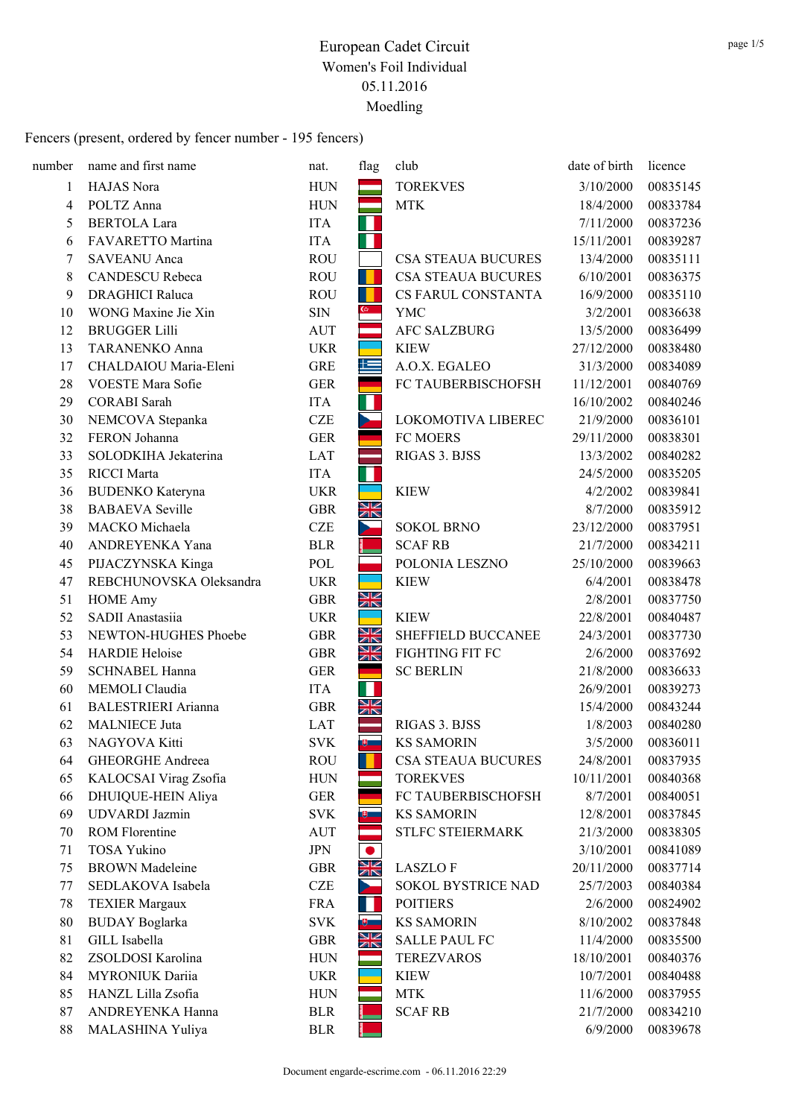| number | name and first name        | nat.       | flag      | club                      | date of birth | licence  |
|--------|----------------------------|------------|-----------|---------------------------|---------------|----------|
| 1      | HAJAS Nora                 | <b>HUN</b> |           | <b>TOREKVES</b>           | 3/10/2000     | 00835145 |
| 4      | POLTZ Anna                 | <b>HUN</b> |           | <b>MTK</b>                | 18/4/2000     | 00833784 |
| 5      | <b>BERTOLA Lara</b>        | <b>ITA</b> | Н         |                           | 7/11/2000     | 00837236 |
| 6      | FAVARETTO Martina          | <b>ITA</b> | 11        |                           | 15/11/2001    | 00839287 |
| 7      | <b>SAVEANU</b> Anca        | <b>ROU</b> |           | <b>CSA STEAUA BUCURES</b> | 13/4/2000     | 00835111 |
| 8      | <b>CANDESCU Rebeca</b>     | <b>ROU</b> |           | <b>CSA STEAUA BUCURES</b> | 6/10/2001     | 00836375 |
| 9      | <b>DRAGHICI Raluca</b>     | <b>ROU</b> |           | CS FARUL CONSTANTA        | 16/9/2000     | 00835110 |
| 10     | WONG Maxine Jie Xin        | <b>SIN</b> |           | YMC                       | 3/2/2001      | 00836638 |
| 12     | <b>BRUGGER Lilli</b>       | AUT        | m.        | <b>AFC SALZBURG</b>       | 13/5/2000     | 00836499 |
| 13     | <b>TARANENKO Anna</b>      | <b>UKR</b> |           | <b>KIEW</b>               | 27/12/2000    | 00838480 |
| 17     | CHALDAIOU Maria-Eleni      | <b>GRE</b> | 隼         | A.O.X. EGALEO             | 31/3/2000     | 00834089 |
| 28     | VOESTE Mara Sofie          | <b>GER</b> |           | FC TAUBERBISCHOFSH        | 11/12/2001    | 00840769 |
| 29     | <b>CORABI</b> Sarah        | <b>ITA</b> | П         |                           | 16/10/2002    | 00840246 |
| 30     | NEMCOVA Stepanka           | <b>CZE</b> | $\sim$    | LOKOMOTIVA LIBEREC        | 21/9/2000     | 00836101 |
| 32     | FERON Johanna              | <b>GER</b> |           | FC MOERS                  | 29/11/2000    | 00838301 |
| 33     | SOLODKIHA Jekaterina       | <b>LAT</b> |           | RIGAS 3. BJSS             | 13/3/2002     | 00840282 |
| 35     | <b>RICCI</b> Marta         | <b>ITA</b> | Ш         |                           | 24/5/2000     | 00835205 |
| 36     | <b>BUDENKO</b> Kateryna    | <b>UKR</b> |           | <b>KIEW</b>               | 4/2/2002      | 00839841 |
| 38     | <b>BABAEVA</b> Seville     | <b>GBR</b> | N<br>AK   |                           | 8/7/2000      | 00835912 |
| 39     | MACKO Michaela             | <b>CZE</b> | ь         | <b>SOKOL BRNO</b>         | 23/12/2000    | 00837951 |
| 40     | ANDREYENKA Yana            | <b>BLR</b> |           | <b>SCAF RB</b>            | 21/7/2000     | 00834211 |
| 45     | PIJACZYNSKA Kinga          | POL        |           | POLONIA LESZNO            | 25/10/2000    | 00839663 |
| 47     | REBCHUNOVSKA Oleksandra    | <b>UKR</b> |           | <b>KIEW</b>               | 6/4/2001      | 00838478 |
| 51     | <b>HOME Amy</b>            | <b>GBR</b> | XK        |                           | 2/8/2001      | 00837750 |
| 52     | SADII Anastasiia           | <b>UKR</b> |           | <b>KIEW</b>               | 22/8/2001     | 00840487 |
| 53     | NEWTON-HUGHES Phoebe       | <b>GBR</b> | XK        | SHEFFIELD BUCCANEE        | 24/3/2001     | 00837730 |
| 54     | <b>HARDIE Heloise</b>      | <b>GBR</b> | XK        | FIGHTING FIT FC           | 2/6/2000      | 00837692 |
| 59     | <b>SCHNABEL Hanna</b>      | <b>GER</b> | a.        | <b>SC BERLIN</b>          | 21/8/2000     | 00836633 |
| 60     | MEMOLI Claudia             | <b>ITA</b> | ш         |                           | 26/9/2001     | 00839273 |
| 61     | <b>BALESTRIERI</b> Arianna | <b>GBR</b> | XK        |                           | 15/4/2000     | 00843244 |
| 62     | <b>MALNIECE Juta</b>       | <b>LAT</b> |           | RIGAS 3. BJSS             | 1/8/2003      | 00840280 |
| 63     | NAGYOVA Kitti              | <b>SVK</b> | ⊕         | <b>KS SAMORIN</b>         | 3/5/2000      | 00836011 |
| 64     | <b>GHEORGHE Andreea</b>    | <b>ROU</b> |           | <b>CSA STEAUA BUCURES</b> | 24/8/2001     | 00837935 |
| 65     | KALOCSAI Virag Zsofia      | <b>HUN</b> |           | <b>TOREKVES</b>           | 10/11/2001    | 00840368 |
| 66     | DHUIQUE-HEIN Aliya         | <b>GER</b> |           | FC TAUBERBISCHOFSH        | 8/7/2001      | 00840051 |
| 69     | UDVARDI Jazmin             | <b>SVK</b> | ய         | <b>KS SAMORIN</b>         | 12/8/2001     | 00837845 |
| 70     | <b>ROM Florentine</b>      | AUT        |           | STLFC STEIERMARK          | 21/3/2000     | 00838305 |
| 71     | <b>TOSA Yukino</b>         | <b>JPN</b> |           |                           | 3/10/2001     | 00841089 |
| 75     | <b>BROWN</b> Madeleine     | <b>GBR</b> | XK        | <b>LASZLOF</b>            | 20/11/2000    | 00837714 |
| 77     | SEDLAKOVA Isabela          | <b>CZE</b> | <b>De</b> | SOKOL BYSTRICE NAD        | 25/7/2003     | 00840384 |
| 78     | <b>TEXIER Margaux</b>      | <b>FRA</b> | ш         | <b>POITIERS</b>           | 2/6/2000      | 00824902 |
| 80     | <b>BUDAY</b> Boglarka      | <b>SVK</b> | ⋓         | <b>KS SAMORIN</b>         | 8/10/2002     | 00837848 |
| 81     | GILL Isabella              | <b>GBR</b> | XK        | <b>SALLE PAUL FC</b>      | 11/4/2000     | 00835500 |
| 82     | ZSOLDOSI Karolina          | <b>HUN</b> |           | <b>TEREZVAROS</b>         | 18/10/2001    | 00840376 |
| 84     | MYRONIUK Dariia            | <b>UKR</b> |           | <b>KIEW</b>               | 10/7/2001     | 00840488 |
| 85     | HANZL Lilla Zsofia         | <b>HUN</b> |           | <b>MTK</b>                | 11/6/2000     | 00837955 |
| 87     | ANDREYENKA Hanna           | <b>BLR</b> |           | <b>SCAF RB</b>            | 21/7/2000     | 00834210 |
| 88     | MALASHINA Yuliya           | <b>BLR</b> |           |                           | 6/9/2000      | 00839678 |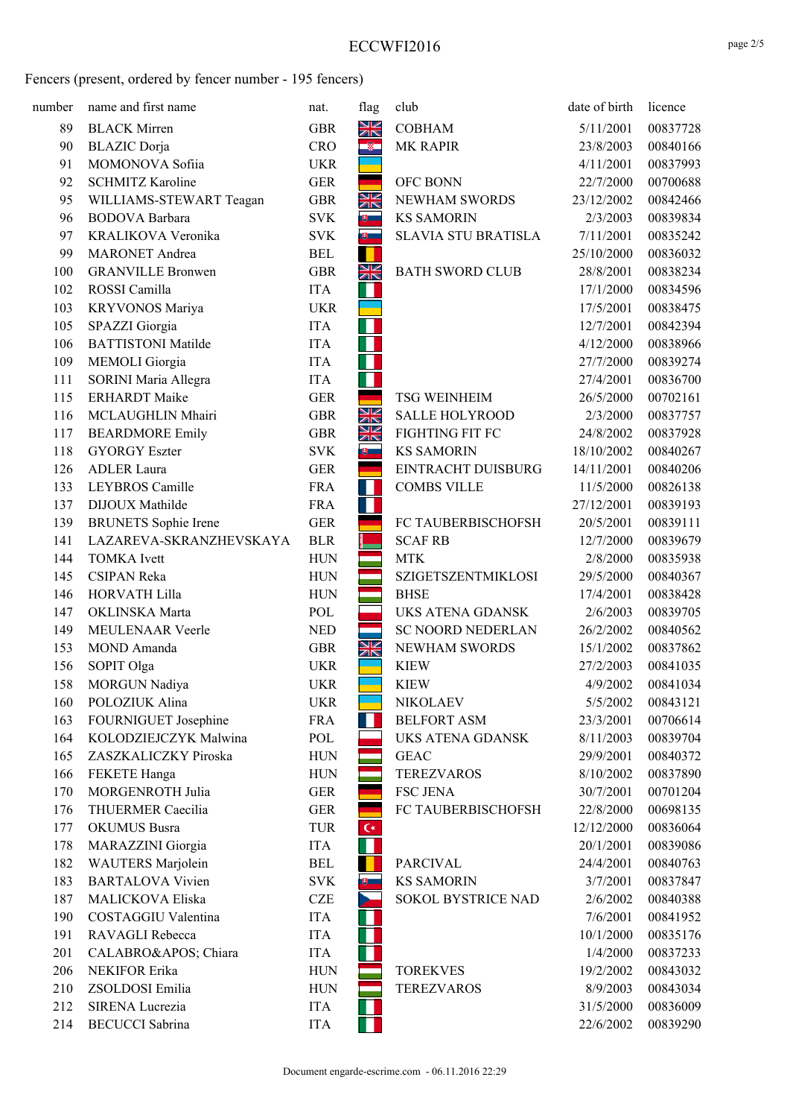| number | name and first name         | nat.       | flag                    | club                       | date of birth | licence  |
|--------|-----------------------------|------------|-------------------------|----------------------------|---------------|----------|
| 89     | <b>BLACK Mirren</b>         | <b>GBR</b> | NK<br>7K                | <b>COBHAM</b>              | 5/11/2001     | 00837728 |
| 90     | <b>BLAZIC</b> Dorja         | <b>CRO</b> | $\bullet$               | MK RAPIR                   | 23/8/2003     | 00840166 |
| 91     | MOMONOVA Sofiia             | <b>UKR</b> |                         |                            | 4/11/2001     | 00837993 |
| 92     | <b>SCHMITZ Karoline</b>     | <b>GER</b> |                         | <b>OFC BONN</b>            | 22/7/2000     | 00700688 |
| 95     | WILLIAMS-STEWART Teagan     | <b>GBR</b> | XK                      | NEWHAM SWORDS              | 23/12/2002    | 00842466 |
| 96     | <b>BODOVA</b> Barbara       | <b>SVK</b> | $\overline{\mathbf{v}}$ | <b>KS SAMORIN</b>          | 2/3/2003      | 00839834 |
| 97     | KRALIKOVA Veronika          | <b>SVK</b> | $\theta$                | <b>SLAVIA STU BRATISLA</b> | 7/11/2001     | 00835242 |
| 99     | <b>MARONET</b> Andrea       | <b>BEL</b> | п                       |                            | 25/10/2000    | 00836032 |
| 100    | <b>GRANVILLE Bronwen</b>    | <b>GBR</b> | NK<br>NK                | <b>BATH SWORD CLUB</b>     | 28/8/2001     | 00838234 |
| 102    | ROSSI Camilla               | <b>ITA</b> | Ш                       |                            | 17/1/2000     | 00834596 |
| 103    | KRYVONOS Mariya             | <b>UKR</b> |                         |                            | 17/5/2001     | 00838475 |
| 105    | SPAZZI Giorgia              | <b>ITA</b> | ш                       |                            | 12/7/2001     | 00842394 |
| 106    | <b>BATTISTONI Matilde</b>   | <b>ITA</b> | Ш                       |                            | 4/12/2000     | 00838966 |
| 109    | MEMOLI Giorgia              | <b>ITA</b> | H                       |                            | 27/7/2000     | 00839274 |
| 111    | SORINI Maria Allegra        | <b>ITA</b> | П                       |                            | 27/4/2001     | 00836700 |
| 115    | <b>ERHARDT</b> Maike        | <b>GER</b> |                         | <b>TSG WEINHEIM</b>        | 26/5/2000     | 00702161 |
| 116    | MCLAUGHLIN Mhairi           | <b>GBR</b> | N<br>Ak                 | <b>SALLE HOLYROOD</b>      | 2/3/2000      | 00837757 |
| 117    | <b>BEARDMORE Emily</b>      | <b>GBR</b> | NK<br>7N                | FIGHTING FIT FC            | 24/8/2002     | 00837928 |
| 118    | <b>GYORGY Eszter</b>        | <b>SVK</b> | ⊕                       | <b>KS SAMORIN</b>          | 18/10/2002    | 00840267 |
| 126    | <b>ADLER</b> Laura          | <b>GER</b> |                         | EINTRACHT DUISBURG         | 14/11/2001    | 00840206 |
| 133    | LEYBROS Camille             | <b>FRA</b> | H.                      | <b>COMBS VILLE</b>         | 11/5/2000     | 00826138 |
| 137    | DIJOUX Mathilde             | <b>FRA</b> | $\blacksquare$          |                            | 27/12/2001    | 00839193 |
| 139    | <b>BRUNETS</b> Sophie Irene | <b>GER</b> |                         | FC TAUBERBISCHOFSH         | 20/5/2001     | 00839111 |
| 141    | LAZAREVA-SKRANZHEVSKAYA     | <b>BLR</b> |                         | <b>SCAF RB</b>             | 12/7/2000     | 00839679 |
| 144    | <b>TOMKA</b> Ivett          | <b>HUN</b> |                         | <b>MTK</b>                 | 2/8/2000      | 00835938 |
| 145    | <b>CSIPAN Reka</b>          | <b>HUN</b> |                         | SZIGETSZENTMIKLOSI         | 29/5/2000     | 00840367 |
| 146    | HORVATH Lilla               | <b>HUN</b> |                         | <b>BHSE</b>                | 17/4/2001     | 00838428 |
| 147    | OKLINSKA Marta              | POL        |                         | UKS ATENA GDANSK           | 2/6/2003      | 00839705 |
| 149    | MEULENAAR Veerle            | <b>NED</b> |                         | <b>SC NOORD NEDERLAN</b>   | 26/2/2002     | 00840562 |
| 153    | MOND Amanda                 | <b>GBR</b> | N<br>Ak                 | NEWHAM SWORDS              | 15/1/2002     | 00837862 |
| 156    | SOPIT Olga                  | <b>UKR</b> |                         | <b>KIEW</b>                | 27/2/2003     | 00841035 |
| 158    | MORGUN Nadiya               | <b>UKR</b> |                         | <b>KIEW</b>                | 4/9/2002      | 00841034 |
| 160    | POLOZIUK Alina              | <b>UKR</b> |                         | <b>NIKOLAEV</b>            | 5/5/2002      | 00843121 |
| 163    | FOURNIGUET Josephine        | <b>FRA</b> | Ш                       | <b>BELFORT ASM</b>         | 23/3/2001     | 00706614 |
| 164    | KOLODZIEJCZYK Malwina       | POL        |                         | UKS ATENA GDANSK           | 8/11/2003     | 00839704 |
| 165    | ZASZKALICZKY Piroska        | <b>HUN</b> |                         | <b>GEAC</b>                | 29/9/2001     | 00840372 |
| 166    | FEKETE Hanga                | <b>HUN</b> |                         | <b>TEREZVAROS</b>          | 8/10/2002     | 00837890 |
| 170    | MORGENROTH Julia            | <b>GER</b> |                         | <b>FSC JENA</b>            | 30/7/2001     | 00701204 |
| 176    | THUERMER Caecilia           | <b>GER</b> |                         | FC TAUBERBISCHOFSH         | 22/8/2000     | 00698135 |
| 177    | <b>OKUMUS</b> Busra         | <b>TUR</b> | $\mathsf{C}^*$          |                            | 12/12/2000    | 00836064 |
| 178    | MARAZZINI Giorgia           | ITA        | П                       |                            | 20/1/2001     | 00839086 |
| 182    | <b>WAUTERS</b> Marjolein    | <b>BEL</b> | . .                     | <b>PARCIVAL</b>            | 24/4/2001     | 00840763 |
| 183    | <b>BARTALOVA Vivien</b>     | <b>SVK</b> | ⊕ ⊥                     | <b>KS SAMORIN</b>          | 3/7/2001      | 00837847 |
| 187    | MALICKOVA Eliska            | <b>CZE</b> | $\geq$                  | SOKOL BYSTRICE NAD         | 2/6/2002      | 00840388 |
| 190    | COSTAGGIU Valentina         | <b>ITA</b> | Ш                       |                            | 7/6/2001      | 00841952 |
| 191    | RAVAGLI Rebecca             | <b>ITA</b> | П                       |                            | 10/1/2000     | 00835176 |
| 201    | CALABRO' Chiara             | <b>ITA</b> |                         |                            | 1/4/2000      | 00837233 |
| 206    | NEKIFOR Erika               | <b>HUN</b> |                         | <b>TOREKVES</b>            | 19/2/2002     | 00843032 |
| 210    | ZSOLDOSI Emilia             | <b>HUN</b> |                         | <b>TEREZVAROS</b>          | 8/9/2003      | 00843034 |
| 212    | SIRENA Lucrezia             | <b>ITA</b> | Ш                       |                            | 31/5/2000     | 00836009 |
| 214    | <b>BECUCCI</b> Sabrina      | <b>ITA</b> | M.                      |                            | 22/6/2002     | 00839290 |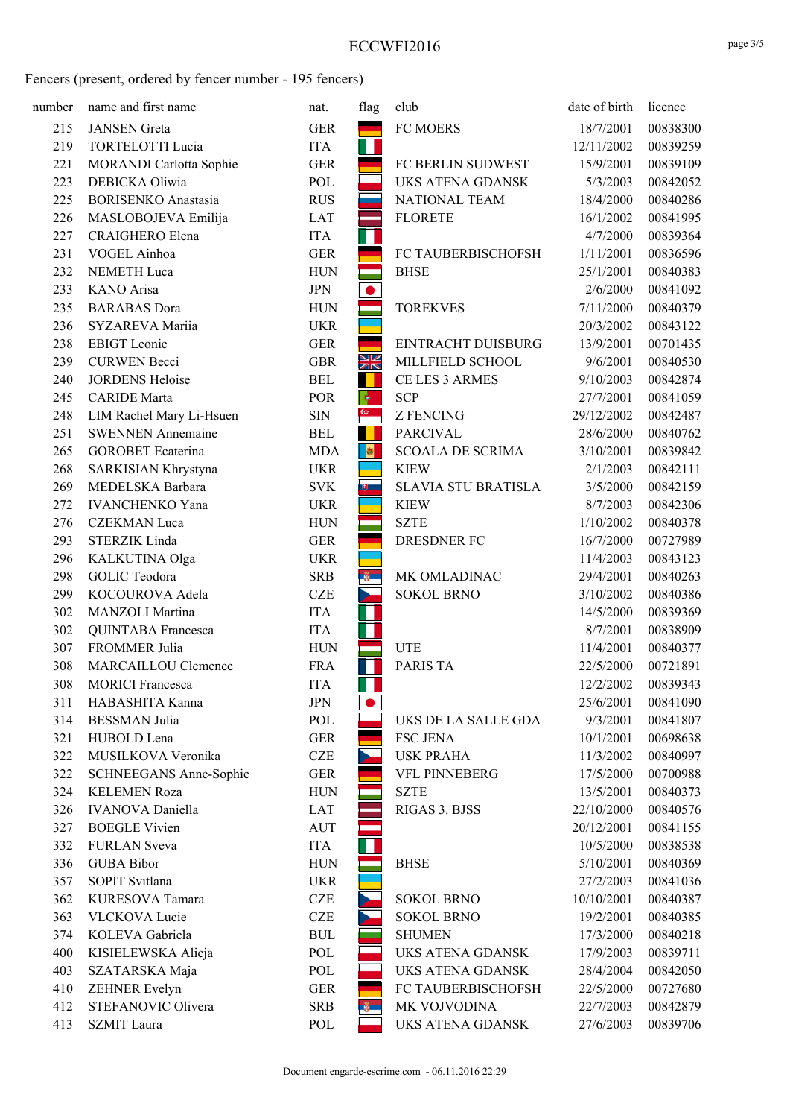| number | name and first name        | nat.       | flag                | club                       | date of birth | licence  |
|--------|----------------------------|------------|---------------------|----------------------------|---------------|----------|
| 215    | <b>JANSEN</b> Greta        | <b>GER</b> |                     | FC MOERS                   | 18/7/2001     | 00838300 |
| 219    | <b>TORTELOTTI Lucia</b>    | <b>ITA</b> | ш                   |                            | 12/11/2002    | 00839259 |
| 221    | MORANDI Carlotta Sophie    | <b>GER</b> |                     | FC BERLIN SUDWEST          | 15/9/2001     | 00839109 |
| 223    | DEBICKA Oliwia             | POL        |                     | <b>UKS ATENA GDANSK</b>    | 5/3/2003      | 00842052 |
| 225    | <b>BORISENKO</b> Anastasia | <b>RUS</b> |                     | NATIONAL TEAM              | 18/4/2000     | 00840286 |
| 226    | MASLOBOJEVA Emilija        | LAT        |                     | <b>FLORETE</b>             | 16/1/2002     | 00841995 |
| 227    | CRAIGHERO Elena            | <b>ITA</b> | ш                   |                            | 4/7/2000      | 00839364 |
| 231    | VOGEL Ainhoa               | <b>GER</b> |                     | FC TAUBERBISCHOFSH         | 1/11/2001     | 00836596 |
| 232    | NEMETH Luca                | <b>HUN</b> |                     | <b>BHSE</b>                | 25/1/2001     | 00840383 |
| 233    | KANO Arisa                 | <b>JPN</b> |                     |                            | 2/6/2000      | 00841092 |
| 235    | <b>BARABAS</b> Dora        | <b>HUN</b> |                     | <b>TOREKVES</b>            | 7/11/2000     | 00840379 |
| 236    | SYZAREVA Mariia            | <b>UKR</b> |                     |                            | 20/3/2002     | 00843122 |
| 238    | <b>EBIGT</b> Leonie        | <b>GER</b> |                     | EINTRACHT DUISBURG         | 13/9/2001     | 00701435 |
| 239    | <b>CURWEN Becci</b>        | <b>GBR</b> | XK                  | MILLFIELD SCHOOL           | 9/6/2001      | 00840530 |
| 240    | <b>JORDENS Heloise</b>     | <b>BEL</b> |                     | CE LES 3 ARMES             | 9/10/2003     | 00842874 |
| 245    | <b>CARIDE</b> Marta        | POR        |                     | <b>SCP</b>                 | 27/7/2001     | 00841059 |
| 248    | LIM Rachel Mary Li-Hsuen   | <b>SIN</b> | $\overline{\omega}$ | <b>Z FENCING</b>           | 29/12/2002    | 00842487 |
| 251    | <b>SWENNEN</b> Annemaine   | <b>BEL</b> |                     | <b>PARCIVAL</b>            | 28/6/2000     | 00840762 |
| 265    | <b>GOROBET</b> Ecaterina   | <b>MDA</b> | $\bullet$           | <b>SCOALA DE SCRIMA</b>    | 3/10/2001     | 00839842 |
| 268    | SARKISIAN Khrystyna        | <b>UKR</b> |                     | <b>KIEW</b>                | 2/1/2003      | 00842111 |
| 269    | MEDELSKA Barbara           | <b>SVK</b> | $\theta$            | <b>SLAVIA STU BRATISLA</b> | 3/5/2000      | 00842159 |
| 272    | <b>IVANCHENKO Yana</b>     | <b>UKR</b> |                     | <b>KIEW</b>                | 8/7/2003      | 00842306 |
| 276    | <b>CZEKMAN</b> Luca        | <b>HUN</b> |                     | <b>SZTE</b>                | 1/10/2002     | 00840378 |
| 293    | STERZIK Linda              | <b>GER</b> |                     | DRESDNER FC                | 16/7/2000     | 00727989 |
| 296    | KALKUTINA Olga             | <b>UKR</b> |                     |                            | 11/4/2003     | 00843123 |
| 298    | <b>GOLIC</b> Teodora       | <b>SRB</b> | ÷.                  | MK OMLADINAC               | 29/4/2001     | 00840263 |
| 299    | KOCOUROVA Adela            | <b>CZE</b> | ь.                  | <b>SOKOL BRNO</b>          | 3/10/2002     | 00840386 |
| 302    | MANZOLI Martina            | <b>ITA</b> | ш                   |                            | 14/5/2000     | 00839369 |
| 302    | QUINTABA Francesca         | <b>ITA</b> | ш                   |                            | 8/7/2001      | 00838909 |
| 307    | FROMMER Julia              | <b>HUN</b> |                     | <b>UTE</b>                 | 11/4/2001     | 00840377 |
| 308    | MARCAILLOU Clemence        | <b>FRA</b> | ш                   | PARIS TA                   | 22/5/2000     | 00721891 |
| 308    | <b>MORICI</b> Francesca    | <b>ITA</b> | ш                   |                            | 12/2/2002     | 00839343 |
| 311    | HABASHITA Kanna            | <b>JPN</b> |                     |                            | 25/6/2001     | 00841090 |
| 314    | <b>BESSMAN</b> Julia       | POL        |                     | UKS DE LA SALLE GDA        | 9/3/2001      | 00841807 |
| 321    | HUBOLD Lena                | <b>GER</b> |                     | <b>FSC JENA</b>            | 10/1/2001     | 00698638 |
| 322    | MUSILKOVA Veronika         | <b>CZE</b> |                     | <b>USK PRAHA</b>           | 11/3/2002     | 00840997 |
| 322    | SCHNEEGANS Anne-Sophie     | <b>GER</b> |                     | <b>VFL PINNEBERG</b>       | 17/5/2000     | 00700988 |
| 324    | <b>KELEMEN Roza</b>        | <b>HUN</b> |                     | <b>SZTE</b>                | 13/5/2001     | 00840373 |
| 326    | <b>IVANOVA</b> Daniella    | LAT        |                     | RIGAS 3. BJSS              | 22/10/2000    | 00840576 |
| 327    | <b>BOEGLE Vivien</b>       | AUT        |                     |                            | 20/12/2001    | 00841155 |
| 332    | <b>FURLAN</b> Sveva        | <b>ITA</b> |                     |                            | 10/5/2000     | 00838538 |
| 336    | <b>GUBA Bibor</b>          | <b>HUN</b> |                     | <b>BHSE</b>                | 5/10/2001     | 00840369 |
| 357    | SOPIT Svitlana             | <b>UKR</b> |                     |                            | 27/2/2003     | 00841036 |
| 362    | KURESOVA Tamara            | <b>CZE</b> |                     | <b>SOKOL BRNO</b>          | 10/10/2001    | 00840387 |
| 363    | <b>VLCKOVA Lucie</b>       | <b>CZE</b> |                     | <b>SOKOL BRNO</b>          | 19/2/2001     | 00840385 |
| 374    | KOLEVA Gabriela            | <b>BUL</b> |                     | <b>SHUMEN</b>              | 17/3/2000     | 00840218 |
| 400    | KISIELEWSKA Alicja         | POL        |                     | UKS ATENA GDANSK           | 17/9/2003     | 00839711 |
| 403    | SZATARSKA Maja             | POL        |                     | UKS ATENA GDANSK           | 28/4/2004     | 00842050 |
| 410    | ZEHNER Evelyn              | <b>GER</b> |                     | FC TAUBERBISCHOFSH         | 22/5/2000     | 00727680 |
| 412    | STEFANOVIC Olivera         | <b>SRB</b> | ÷                   | MK VOJVODINA               | 22/7/2003     | 00842879 |
| 413    | <b>SZMIT</b> Laura         | POL        |                     | UKS ATENA GDANSK           | 27/6/2003     | 00839706 |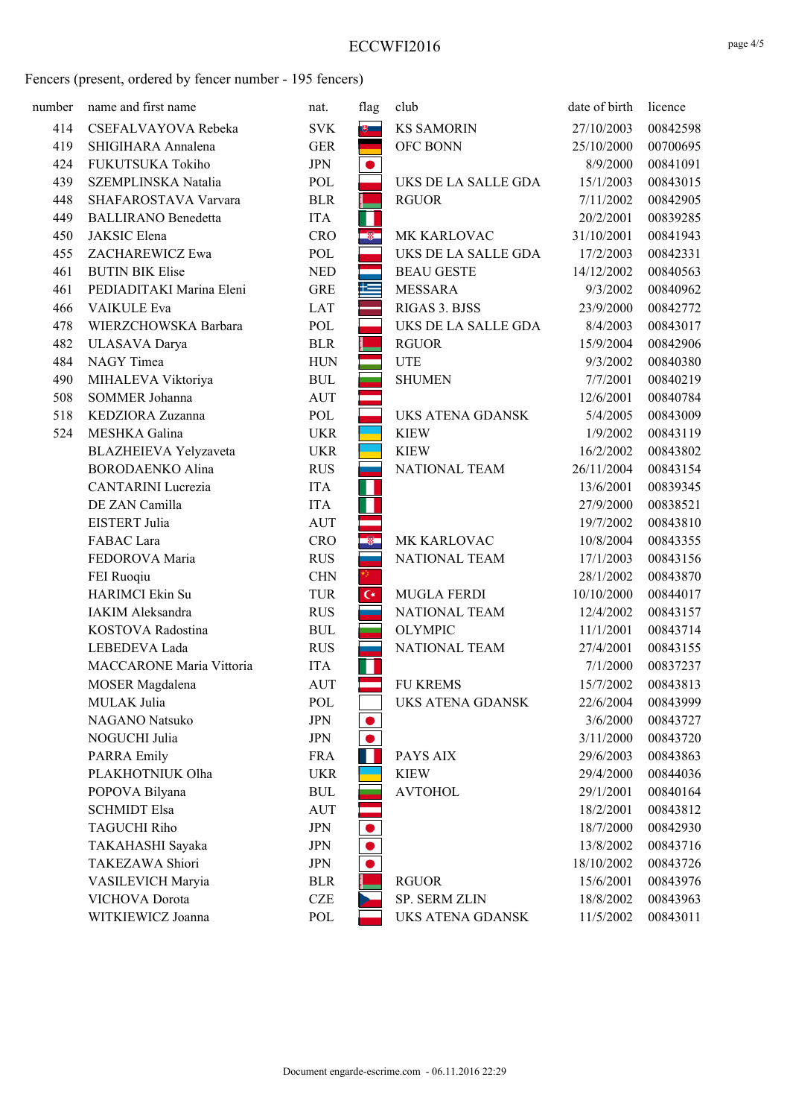| number | name and first name                 | nat.              | flag           | club                              | date of birth          | licence              |
|--------|-------------------------------------|-------------------|----------------|-----------------------------------|------------------------|----------------------|
| 414    | CSEFALVAYOVA Rebeka                 | <b>SVK</b>        | $\theta$       | <b>KS SAMORIN</b>                 | 27/10/2003             | 00842598             |
| 419    | SHIGIHARA Annalena                  | <b>GER</b>        |                | OFC BONN                          | 25/10/2000             | 00700695             |
| 424    | FUKUTSUKA Tokiho                    | <b>JPN</b>        |                |                                   | 8/9/2000               | 00841091             |
| 439    | SZEMPLINSKA Natalia                 | POL               |                | UKS DE LA SALLE GDA               | 15/1/2003              | 00843015             |
| 448    | SHAFAROSTAVA Varvara                | <b>BLR</b>        |                | <b>RGUOR</b>                      | 7/11/2002              | 00842905             |
| 449    | <b>BALLIRANO</b> Benedetta          | <b>ITA</b>        | ш              |                                   | 20/2/2001              | 00839285             |
| 450    | JAKSIC Elena                        | <b>CRO</b>        | Ñ,             | MK KARLOVAC                       | 31/10/2001             | 00841943             |
| 455    | ZACHAREWICZ Ewa                     | POL               |                | UKS DE LA SALLE GDA               | 17/2/2003              | 00842331             |
| 461    | <b>BUTIN BIK Elise</b>              | <b>NED</b>        |                | <b>BEAU GESTE</b>                 | 14/12/2002             | 00840563             |
| 461    | PEDIADITAKI Marina Eleni            | <b>GRE</b>        | 隼              | <b>MESSARA</b>                    | 9/3/2002               | 00840962             |
| 466    | VAIKULE Eva                         | LAT               |                | RIGAS 3. BJSS                     | 23/9/2000              | 00842772             |
| 478    | WIERZCHOWSKA Barbara                | POL               |                | UKS DE LA SALLE GDA               | 8/4/2003               | 00843017             |
| 482    | ULASAVA Darya                       | <b>BLR</b>        |                | <b>RGUOR</b>                      | 15/9/2004              | 00842906             |
| 484    | NAGY Timea                          | <b>HUN</b>        |                | <b>UTE</b>                        | 9/3/2002               | 00840380             |
| 490    | MIHALEVA Viktoriya                  | <b>BUL</b>        |                | <b>SHUMEN</b>                     | 7/7/2001               | 00840219             |
| 508    | SOMMER Johanna                      | <b>AUT</b>        |                |                                   | 12/6/2001              | 00840784             |
| 518    | KEDZIORA Zuzanna                    | POL               |                | UKS ATENA GDANSK                  | 5/4/2005               | 00843009             |
| 524    | MESHKA Galina                       | <b>UKR</b>        |                | <b>KIEW</b>                       | 1/9/2002               | 00843119             |
|        | BLAZHEIEVA Yelyzaveta               | <b>UKR</b>        |                | <b>KIEW</b>                       | 16/2/2002              | 00843802             |
|        | <b>BORODAENKO Alina</b>             | <b>RUS</b>        |                | NATIONAL TEAM                     | 26/11/2004             | 00843154             |
|        | <b>CANTARINI</b> Lucrezia           | <b>ITA</b>        |                |                                   | 13/6/2001              | 00839345             |
|        | DE ZAN Camilla                      | <b>ITA</b>        | ш              |                                   | 27/9/2000              | 00838521             |
|        | EISTERT Julia                       | <b>AUT</b>        |                |                                   | 19/7/2002              | 00843810             |
|        | FABAC Lara                          | <b>CRO</b>        | $\bullet$      | MK KARLOVAC                       | 10/8/2004              | 00843355             |
|        | FEDOROVA Maria                      | <b>RUS</b>        |                | NATIONAL TEAM                     | 17/1/2003              | 00843156             |
|        | FEI Ruoqiu                          | <b>CHN</b>        |                |                                   | 28/1/2002              | 00843870             |
|        | <b>HARIMCI</b> Ekin Su              | <b>TUR</b>        | $\mathsf{C}^*$ | <b>MUGLA FERDI</b>                | 10/10/2000             | 00844017             |
|        | IAKIM Aleksandra                    | <b>RUS</b>        |                | NATIONAL TEAM                     | 12/4/2002              | 00843157             |
|        | KOSTOVA Radostina                   | <b>BUL</b>        |                | <b>OLYMPIC</b>                    | 11/1/2001              | 00843714             |
|        | LEBEDEVA Lada                       | <b>RUS</b>        |                | NATIONAL TEAM                     | 27/4/2001              | 00843155             |
|        | <b>MACCARONE Maria Vittoria</b>     | <b>ITA</b>        | Ш              |                                   | 7/1/2000               | 00837237             |
|        | MOSER Magdalena                     | <b>AUT</b>        |                | <b>FU KREMS</b>                   | 15/7/2002              | 00843813             |
|        | MULAK Julia                         | POL               |                | UKS ATENA GDANSK                  | 22/6/2004              | 00843999             |
|        | NAGANO Natsuko                      | <b>JPN</b>        |                |                                   | 3/6/2000               | 00843727             |
|        | NOGUCHI Julia                       | <b>JPN</b>        |                |                                   | 3/11/2000              | 00843720             |
|        | <b>PARRA Emily</b>                  | <b>FRA</b>        |                | PAYS AIX                          | 29/6/2003              | 00843863             |
|        | PLAKHOTNIUK Olha                    | <b>UKR</b>        |                | <b>KIEW</b>                       | 29/4/2000              | 00844036             |
|        | POPOVA Bilyana                      | <b>BUL</b>        |                | <b>AVTOHOL</b>                    | 29/1/2001              | 00840164             |
|        | <b>SCHMIDT Elsa</b>                 | AUT               |                |                                   | 18/2/2001              | 00843812             |
|        | <b>TAGUCHI Riho</b>                 | <b>JPN</b>        |                |                                   | 18/7/2000              | 00842930             |
|        | TAKAHASHI Sayaka                    | <b>JPN</b>        |                |                                   | 13/8/2002              | 00843716             |
|        | TAKEZAWA Shiori                     | <b>JPN</b>        |                |                                   | 18/10/2002             | 00843726             |
|        | VASILEVICH Maryia                   | <b>BLR</b>        |                | <b>RGUOR</b>                      | 15/6/2001              | 00843976             |
|        |                                     |                   |                |                                   |                        |                      |
|        | VICHOVA Dorota<br>WITKIEWICZ Joanna | <b>CZE</b><br>POL |                | SP. SERM ZLIN<br>UKS ATENA GDANSK | 18/8/2002<br>11/5/2002 | 00843963<br>00843011 |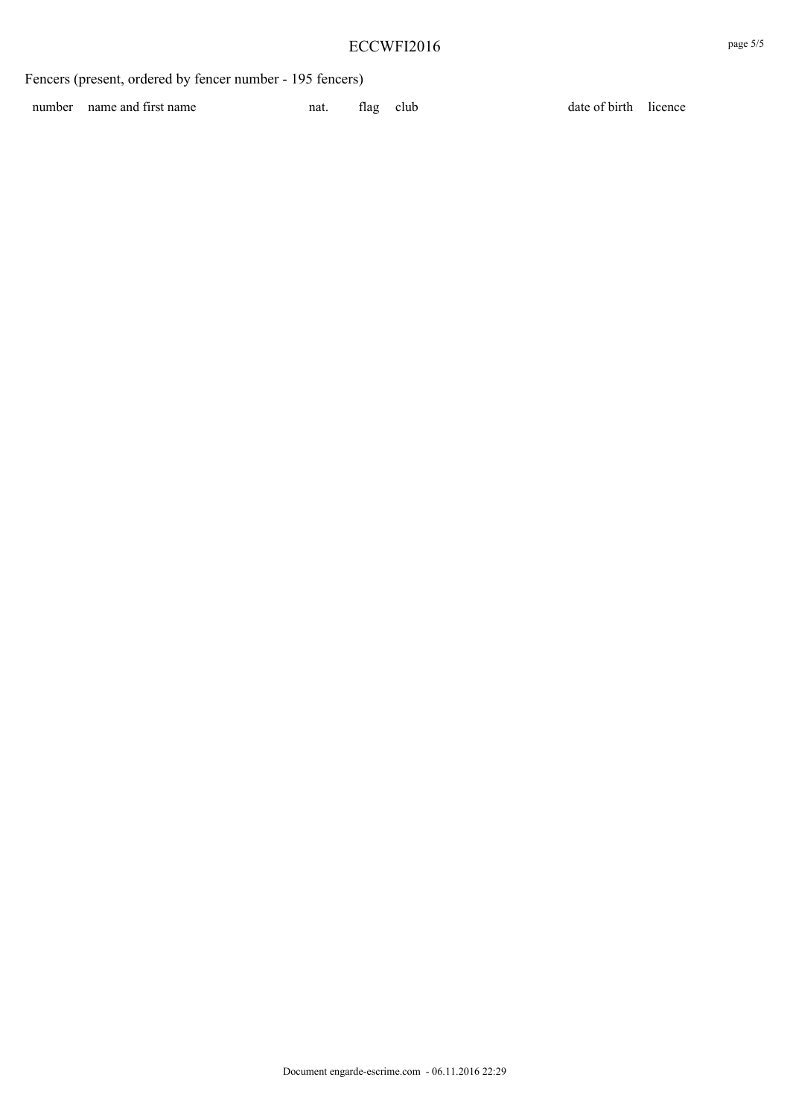number name and first name nat. Ilag club date of birth licence

Document engarde-escrime.com - 06.11.2016 22:29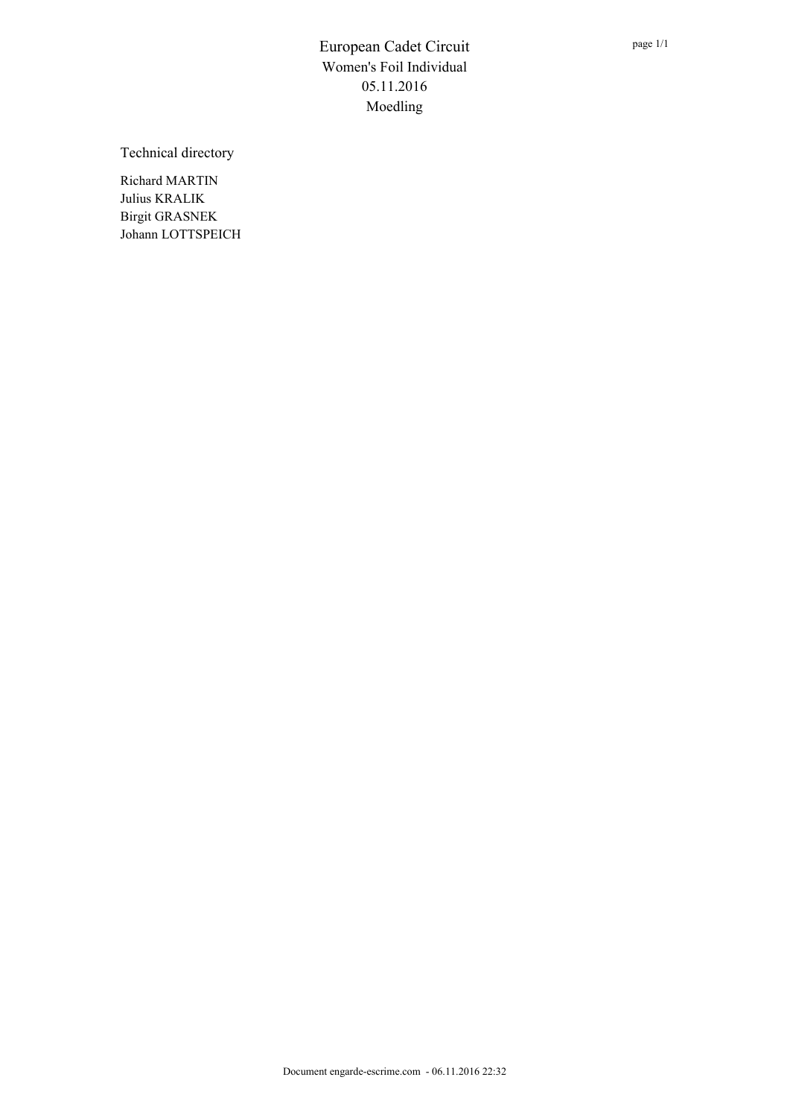Technical directory

Richard MARTIN Julius KRALIK Birgit GRASNEK Johann LOTTSPEICH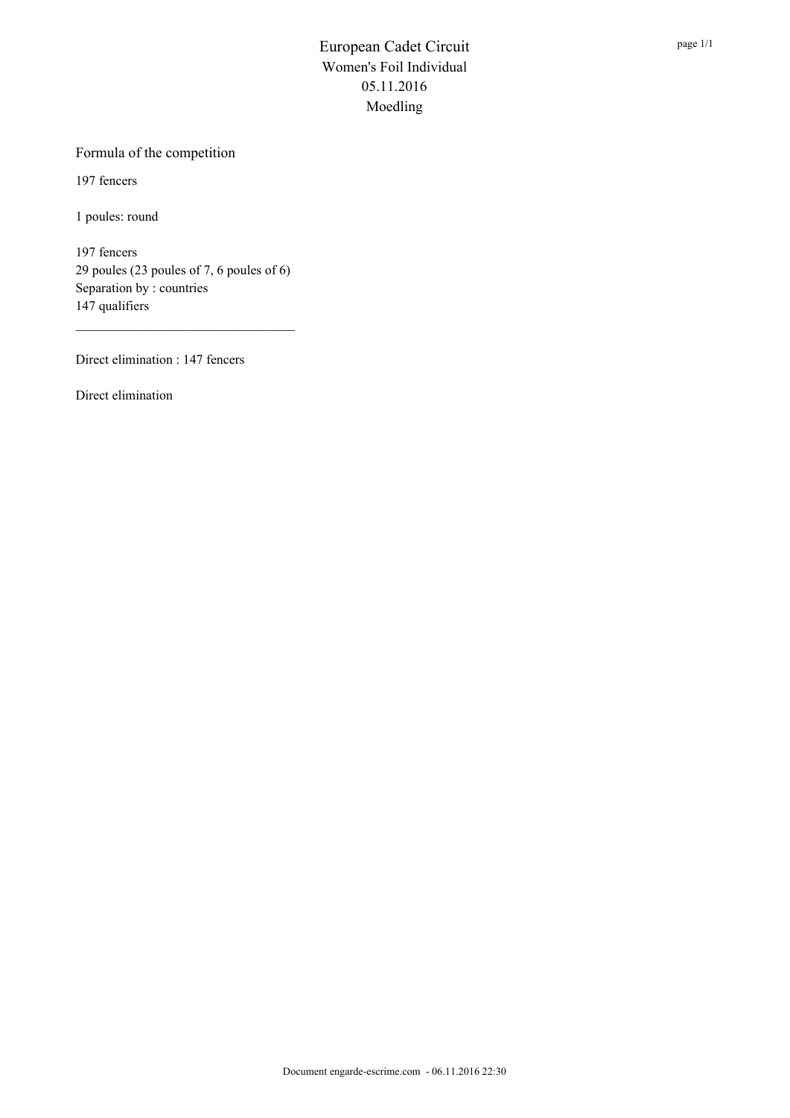#### Formula of the competition

197 fencers

1 poules: round

197 fencers 29 poules (23 poules of 7, 6 poules of 6) Separation by : countries 147 qualifiers

Direct elimination : 147 fencers

Direct elimination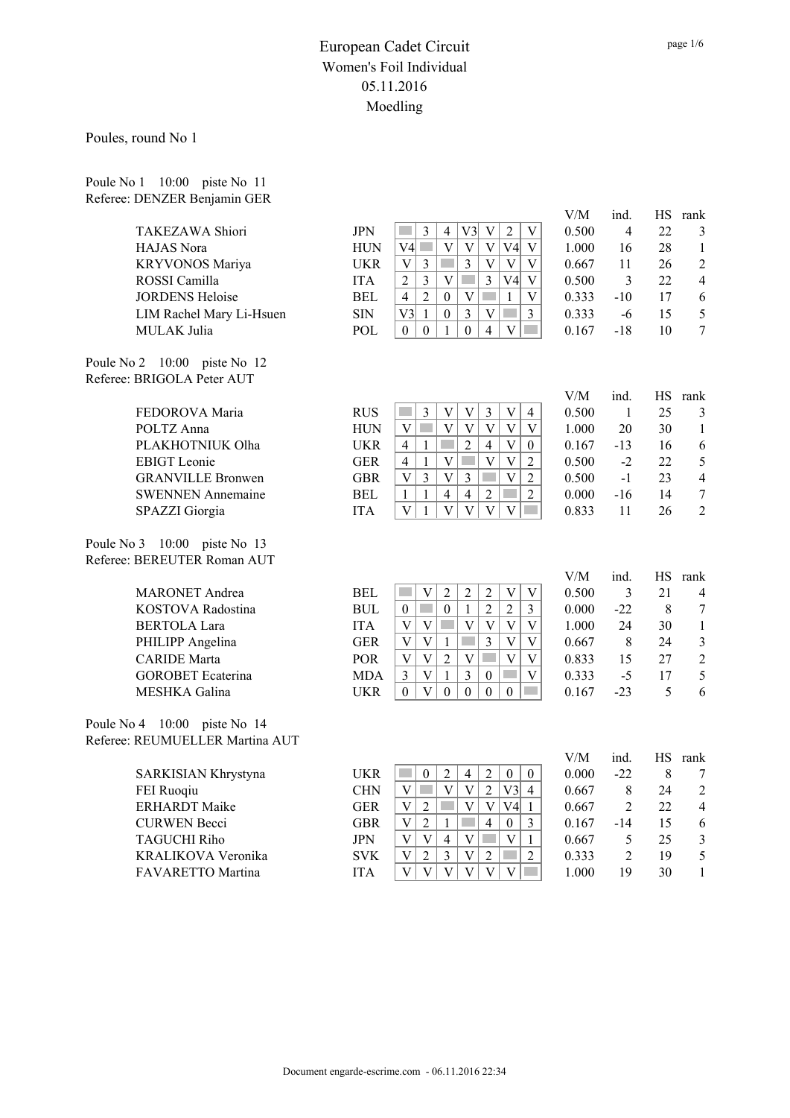Poules, round No 1

Poule No 1 10:00 piste No 11 Referee: DENZER Benjamin GER

|                                 |            |                                                                                                                                                                | V/M   | ind.           | HS        | rank                     |
|---------------------------------|------------|----------------------------------------------------------------------------------------------------------------------------------------------------------------|-------|----------------|-----------|--------------------------|
| TAKEZAWA Shiori                 | <b>JPN</b> | V3<br>$\ensuremath{\mathbf{V}}$<br>$\sqrt{2}$<br>$\mathfrak{Z}$<br>$\mathbf V$<br>n.<br>$\overline{4}$                                                         | 0.500 | $\overline{4}$ | 22        | $\mathfrak{Z}$           |
| HAJAS Nora                      | <b>HUN</b> | $\ensuremath{\mathbf{V}}$<br>$\rm{V}$<br>V4<br>V4<br>$\mathcal{L}^{\text{max}}$<br>$\mathbf V$<br>V                                                            | 1.000 | 16             | 28        | 1                        |
| KRYVONOS Mariya                 | <b>UKR</b> | $\mathbf V$<br>$\mathfrak{Z}$<br>$\ensuremath{\mathbf{V}}$<br><b>Tara</b><br>$\mathbf V$<br>$\ensuremath{\mathbf{V}}$<br>$\mathfrak{Z}$                        | 0.667 | 11             | 26        | $\overline{2}$           |
| ROSSI Camilla                   | <b>ITA</b> | $\overline{V}$<br>$\overline{2}$<br>$\mathfrak{Z}$<br>$\overline{3}$<br>$\overline{\mathbf{V}}$<br><b>Tara</b><br>V4                                           | 0.500 | 3              | 22        | 4                        |
| <b>JORDENS Heloise</b>          | <b>BEL</b> | $\overline{2}$<br>$\overline{4}$<br>$\boldsymbol{0}$<br>V<br>$\mathbf{1}$<br>$\overline{\mathbf{V}}$                                                           | 0.333 | $-10$          | 17        | 6                        |
| LIM Rachel Mary Li-Hsuen        | <b>SIN</b> | $\overline{3}$<br>V3<br>$\mathbf V$<br>$\overline{3}$<br>$\mathbf{1}$<br>$\boldsymbol{0}$<br><b>Tara</b>                                                       | 0.333 | $-6$           | 15        | 5                        |
| MULAK Julia                     | POL        | $\overline{V}$<br>$\mathbf{0}$<br>$\mathbf{0}$<br>$\mathcal{L}(\mathcal{A})$<br>$\mathbf{1}$<br>$\overline{4}$<br>$\theta$                                     | 0.167 | $-18$          | 10        | $\overline{7}$           |
| Poule No 2 10:00 piste No 12    |            |                                                                                                                                                                |       |                |           |                          |
| Referee: BRIGOLA Peter AUT      |            |                                                                                                                                                                |       |                |           |                          |
|                                 |            |                                                                                                                                                                | V/M   | ind.           | HS.       | rank                     |
| FEDOROVA Maria                  | <b>RUS</b> | $\mathfrak{Z}$<br>$\mathbf V$<br>$\overline{V}$<br>$\mathfrak{Z}$<br>$\overline{V}$<br><b>Tara</b><br>$\overline{4}$                                           | 0.500 | $\mathbf{1}$   | 25        | 3                        |
| POLTZ Anna                      | <b>HUN</b> | $\mathbf V$<br>$\ensuremath{\mathbf{V}}$<br>$\ensuremath{\mathbf{V}}$<br>$\overline{\mathbf{V}}$<br>$\overline{\mathbf{V}}$<br>$\mathcal{L}^{\text{max}}$<br>V | 1.000 | 20             | 30        | $\mathbf{1}$             |
| PLAKHOTNIUK Olha                | <b>UKR</b> | $\overline{4}$<br>$\overline{2}$<br>$\overline{4}$<br>$\mathbf{V}$<br>$\mathbf{1}$<br>$\boldsymbol{0}$                                                         | 0.167 | $-13$          | 16        | 6                        |
| <b>EBIGT</b> Leonie             | <b>GER</b> | $\mathbf{V}$<br>$\mathbf{V}$<br>$\mathbf{V}$<br>$\sqrt{2}$<br>$\overline{4}$<br>$\mathbf{1}$<br>in 19                                                          | 0.500 | $-2$           | 22        | 5                        |
| <b>GRANVILLE Bronwen</b>        | <b>GBR</b> | $\overline{3}$<br>$\overline{V}$<br>$\mathbf V$<br>$\ensuremath{\mathbf{V}}$<br>$\overline{3}$<br><b>Tara</b><br>$\overline{2}$                                | 0.500 | $-1$           | 23        | $\overline{\mathcal{L}}$ |
| <b>SWENNEN Annemaine</b>        | <b>BEL</b> | $\overline{4}$<br>$\overline{2}$<br>$\overline{4}$<br>$\overline{2}$<br>$\mathbf{1}$<br>1                                                                      | 0.000 | $-16$          | 14        | $\boldsymbol{7}$         |
| SPAZZI Giorgia                  | <b>ITA</b> | $\overline{\mathbf{V}}$<br>$\overline{V}$<br>$\overline{\mathbf{V}}$<br>$\overline{V}$<br><b>The State</b><br>V<br>$\mathbf{1}$                                | 0.833 | 11             | 26        | $\overline{2}$           |
| Poule No 3 10:00 piste No 13    |            |                                                                                                                                                                |       |                |           |                          |
| Referee: BEREUTER Roman AUT     |            |                                                                                                                                                                |       |                |           |                          |
|                                 |            |                                                                                                                                                                | V/M   | ind.           | <b>HS</b> | rank                     |
| <b>MARONET</b> Andrea           | <b>BEL</b> | $\overline{2}$<br>$\sqrt{2}$<br>$\sqrt{2}$<br>$\overline{V}$<br>$\mathcal{L}^{\mathcal{L}}$<br>$\mathbf{V}$<br>$\mathbf{V}$                                    | 0.500 | $\overline{3}$ | 21        | $\overline{4}$           |
| KOSTOVA Radostina               | <b>BUL</b> | $\overline{2}$<br>$\mathcal{L}^{\text{max}}$<br>$\boldsymbol{0}$<br>$\overline{2}$<br>$\boldsymbol{0}$<br>$\mathbf{1}$<br>$\overline{3}$                       | 0.000 | $-22$          | 8         | $\boldsymbol{7}$         |
| <b>BERTOLA Lara</b>             | <b>ITA</b> | $\mathbf V$<br>$\mathbf V$<br><b>T</b><br>V<br>$\mathbf V$<br>$\mathbf{V}$<br>V                                                                                | 1.000 | 24             | 30        | $\mathbf{1}$             |
| PHILIPP Angelina                | <b>GER</b> | $\mathbf V$<br>$\mathbf V$<br>$\overline{3}$<br>$\overline{V}$<br>$\ensuremath{\mathbf{V}}$<br>$\mathbf{1}$                                                    | 0.667 | 8              | 24        | 3                        |
| <b>CARIDE</b> Marta             | POR        | $\overline{2}$<br>$\overline{V}$<br>$\overline{V}$<br>$\mathbf V$<br>$\mathbf V$<br>$\mathbf V$<br><b>Side</b>                                                 | 0.833 | 15             | 27        | $\overline{2}$           |
| <b>GOROBET</b> Ecaterina        | <b>MDA</b> | $\overline{\mathbf{3}}$<br>$\overline{\mathbf{V}}$<br>$\mathbf V$<br>$\mathfrak{Z}$<br>$\mathbf{1}$<br>$\boldsymbol{0}$                                        | 0.333 | $-5$           | 17        | 5                        |
| MESHKA Galina                   | <b>UKR</b> | $\mathbf V$<br>$\mathbf{0}$<br>$\boldsymbol{0}$<br>$\boldsymbol{0}$<br>$\boldsymbol{0}$<br>$\boldsymbol{0}$<br><b>In the </b>                                  | 0.167 | $-23$          | 5         | 6                        |
| Poule No 4 10:00 piste No 14    |            |                                                                                                                                                                |       |                |           |                          |
| Referee: REUMUELLER Martina AUT |            |                                                                                                                                                                |       |                |           |                          |
|                                 |            |                                                                                                                                                                | V/M   | ind.           | $\rm HS$  | rank                     |
| SARKISIAN Khrystyna             | <b>UKR</b> | $\mathcal{L}^{\mathcal{L}}$<br>$\overline{2}$<br>$\overline{4}$<br>$\overline{2}$<br>$\boldsymbol{0}$<br>$\boldsymbol{0}$<br>$\boldsymbol{0}$                  | 0.000 | $-22$          | 8         | 7                        |
| FEI Ruoqiu                      | <b>CHN</b> | $\mathbf V$<br>$\mathbf V$<br>$\mathbf{V}$<br>$\overline{2}$<br>V3<br>$\mathcal{L}^{\mathcal{L}}$<br>$\overline{4}$                                            | 0.667 | 8              | 24        | $\overline{2}$           |
| <b>ERHARDT</b> Maike            | <b>GER</b> | p.<br>$\sqrt{2}$<br>V4<br>V<br>V<br> V <br>$\mathbf{1}$                                                                                                        | 0.667 | $\overline{2}$ | 22        | $\overline{4}$           |
| <b>CURWEN Becci</b>             | <b>GBR</b> | $\ensuremath{\mathbf{V}}$<br>$\sqrt{2}$<br>$\overline{4}$<br>$\mathfrak{Z}$<br>$\mathbf{1}$<br>$\boldsymbol{0}$                                                | 0.167 | $-14$          | 15        | 6                        |
| <b>TAGUCHI Riho</b>             | <b>JPN</b> | $\ensuremath{\mathbf{V}}$<br>$\mathbf V$<br>$\overline{4}$<br>$\mathbf V$<br><b>Tara</b><br>$\mathbf{V}$<br>$\mathbf{1}$                                       | 0.667 | 5              | 25        | $\mathfrak{Z}$           |
| KRALIKOVA Veronika              | <b>SVK</b> | $\sqrt{2}$<br>$\overline{3}$<br>$\overline{2}$<br>$\mathbf V$<br>$\overline{2}$<br>$\mathbf V$                                                                 | 0.333 | $\overline{2}$ | 19        | 5                        |
| FAVARETTO Martina               | <b>ITA</b> | $\overline{\mathbf{V}}$<br>$\overline{\mathbf{V}}$<br>$\mathbf{V}$<br>$\overline{V}$<br>$\mathbf V$<br>$\mathbf V$<br>$\mathcal{O}(\mathbb{R}^d)$              | 1.000 | 19             | 30        | $\mathbf{1}$             |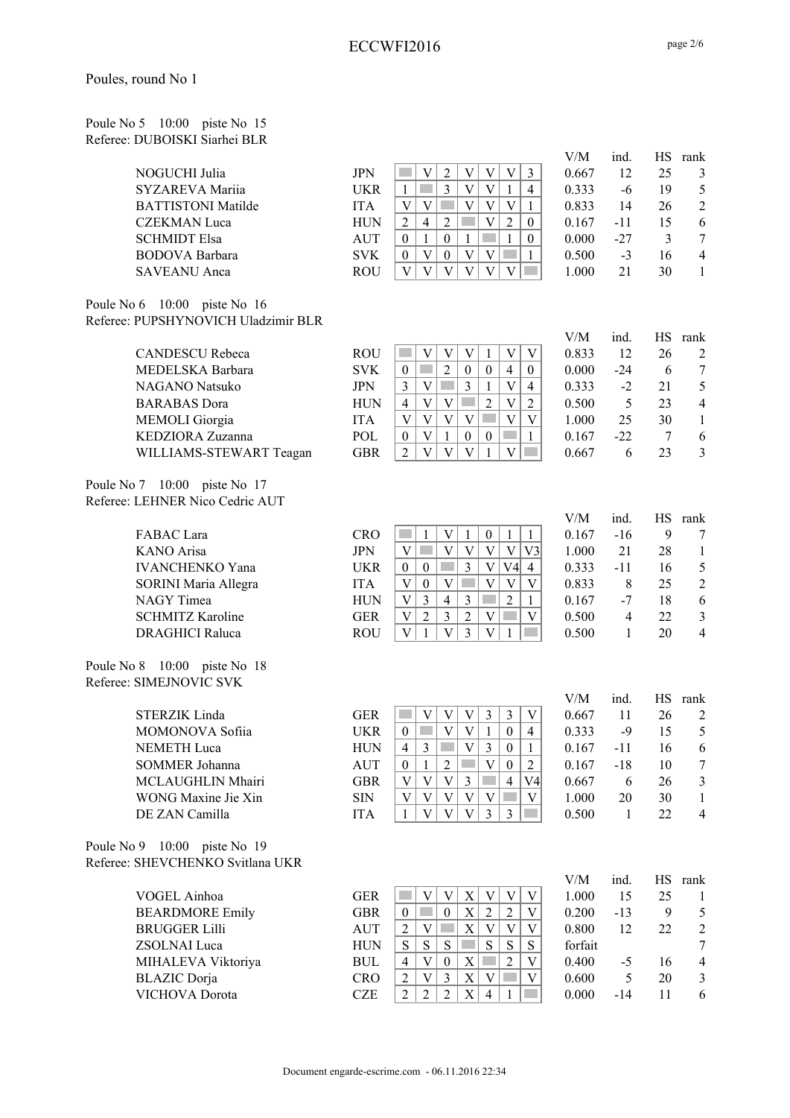#### Poule No 5 10:00 piste No 15 Referee: DUBOISKI Siarhei BLR

|                    |            |   |  |   |   | V/M   | ind.   | HS. | rank           |
|--------------------|------------|---|--|---|---|-------|--------|-----|----------------|
| NOGUCHI Julia      | <b>JPN</b> |   |  | V |   | 0.667 | 12     | 25  | 3              |
| SYZAREVA Mariia    | UKR        |   |  |   | 4 | 0.333 | -6     | 19  | .5             |
| BATTISTONI Matilde | <b>ITA</b> |   |  |   |   | 0.833 | 14     | 26  | $\mathcal{L}$  |
| CZEKMAN Luca       | <b>HUN</b> | 4 |  |   |   | 0.167 | -11    |     | 6              |
| SCHMIDT Elsa       | AUT        |   |  |   |   | 0.000 | $-2.7$ |     |                |
| BODOVA Barbara     | <b>SVK</b> |   |  |   |   | 0.500 | $-3$   | 16  | $\overline{4}$ |
| SAVEANU Anca       | ROU        |   |  |   |   | 1.000 |        | 30  |                |

Poule No 6 10:00 piste No 16 Referee: PUPSHYNOVICH Uladzimir BLR

| <b>CANDESCU Rebeca</b>  | R١ |
|-------------------------|----|
| MEDELSKA Barbara        | S, |
| NAGANO Natsuko          | JF |
| <b>BARABAS</b> Dora     | H  |
| <b>MEMOLI</b> Giorgia   | Ш  |
| KEDZIORA Zuzanna        | P( |
| WILLIAMS-STEWART Teagan | G  |

Poule No 7 10:00 piste No 17 Referee: LEHNER Nico Cedric AUT

> FABAC Lara C KANO Arisa JPN V V V V V V3 1.000 21 28 1 IVANCHENKO Yana U SORINI Maria Allegra ITA V 0 V V V V 0.833 8 25 2 NAGY Timea H SCHMITZ Karoline GER V 2 3 2 V V 0.500 4 22 3 DRAGHICI Raluca R

Poule No 8 10:00 piste No 18 Referee: SIMEJNOVIC SVK

| <b>STERZIK Linda</b> |  |
|----------------------|--|
| MOMONOVA Sofija      |  |
| <b>NEMETH</b> Luca   |  |
| SOMMER Johanna       |  |
| MCLAUGHLIN Mhairi    |  |
| WONG Maxine Jie Xin  |  |
| DE ZAN Camilla       |  |

Poule No 9 10:00 piste No 19 Referee: SHEVCHENKO Svitlana UKR

> VOGEL Ainhoa GER V 1.000 15 26 1.000 15 26 1.000 15 26 1.000 15 26 1.000 15 26 1.000 15 26 1.000 15 25 1.000 15 25 1.000 15 26 1.000 15 26 1.000 15 26 1.000 15 26 1.000 15 26 1.000 15 26 1.000 15 26 1.000 15 26 1.000 15 26 BEARDMORE Emily G. BRUGGER Lilli A ZSOLNAI Luca H MIHALEVA Viktoriya Bl BLAZIC Dorja C VICHOVA Dorota CZ

|                         |            |  |  |          |          | V/M   | ind.   | HS. | rank           |
|-------------------------|------------|--|--|----------|----------|-------|--------|-----|----------------|
| CANDESCU Rebeca         | ROU        |  |  |          |          | 0.833 | 12     | 26  | 2              |
| MEDELSKA Barbara        | <b>SVK</b> |  |  | $\Omega$ | $\theta$ | 0.000 | $-2.4$ |     |                |
| NAGANO Natsuko          | <b>JPN</b> |  |  |          | 4        | 0.333 | $-2$   |     | 5              |
| <b>BARABAS Dora</b>     | HUN        |  |  | າ        |          | 0.500 |        | 23  | $\overline{4}$ |
| <b>MEMOLI</b> Giorgia   | <b>ITA</b> |  |  |          |          | 1.000 | 25     | 30  |                |
| KEDZIORA Zuzanna        | POL        |  |  | $\theta$ |          | 0.167 | $-22.$ |     | 6              |
| WILLIAMS-STEWART Teagan | GBR        |  |  |          |          | 0.667 | h      |     |                |
|                         |            |  |  |          |          |       |        |     |                |

|     |   |   |   |  |   | V/M   | ind.  | <b>HS</b> | rank                     |
|-----|---|---|---|--|---|-------|-------|-----------|--------------------------|
| CRO |   |   |   |  |   | 0.167 | $-16$ | 9         | 7                        |
| PN  |   |   |   |  |   | 1.000 | 21    | 28        |                          |
| JKR | 0 | 0 |   |  | 4 | 0.333 | -11   | 16        | 5                        |
| TA  | V | 0 |   |  |   | 0.833 | 8     | 25        | $\overline{2}$           |
| łUΝ |   |   | 4 |  |   | 0.167 | $-7$  | 18        | 6                        |
| fer | V | 2 |   |  |   | 0.500 | 4     | 22        | 3                        |
| १०U |   |   |   |  |   | 0.500 |       | 20        | $\overline{\mathcal{A}}$ |
|     |   |   |   |  |   |       |       |           |                          |

|                     |            |   |  |  |          |    | V/M   | ind. |    | HS rank        |
|---------------------|------------|---|--|--|----------|----|-------|------|----|----------------|
| STERZIK Linda       | GER        |   |  |  |          | V  | 0.667 |      | 26 | 2              |
| MOMONOVA Sofiia     | <b>UKR</b> |   |  |  |          | 4  | 0.333 | -9   | 15 | 5              |
| NEMETH Luca         | HUN        | 4 |  |  |          |    | 0.167 | -11  | 16 | 6              |
| SOMMER Johanna      | AUT        |   |  |  | $\theta$ | 2  | 0.167 | -18  | 10 | 7              |
| MCLAUGHLIN Mhairi   | GBR        |   |  |  |          | V4 | 0.667 | 6    | 26 | 3              |
| WONG Maxine Jie Xin | <b>SIN</b> |   |  |  |          | V  | 1.000 | 20   | 30 |                |
| DE ZAN Camilla      | <b>ITA</b> |   |  |  |          |    | 0.500 |      | フフ | $\overline{4}$ |
|                     |            |   |  |  |          |    |       |      |    |                |

|    |                |   |   |   |   |   | V/M     | ind.  | НS | rank |
|----|----------------|---|---|---|---|---|---------|-------|----|------|
| ER |                |   |   |   |   | V | 1.000   | 15    | 25 |      |
| BR | 0              |   | 0 |   | 2 | V | 0.200   | $-13$ | 9  | 5    |
| UT | 2              |   |   |   |   | V | 0.800   | 12    | 22 | 2    |
| UN | S              | S | S | S | S | S | forfait |       |    | 7    |
| UL | 4              |   | 0 |   | 2 | V | 0.400   | $-5$  | 16 | 4    |
| RO | 2              | V | 3 |   |   | V | 0.600   | 5     | 20 | 3    |
| ZE | $\mathfrak{D}$ |   | 2 |   |   |   | 0.000   | -14   |    | 6    |
|    |                |   |   |   |   |   |         |       |    |      |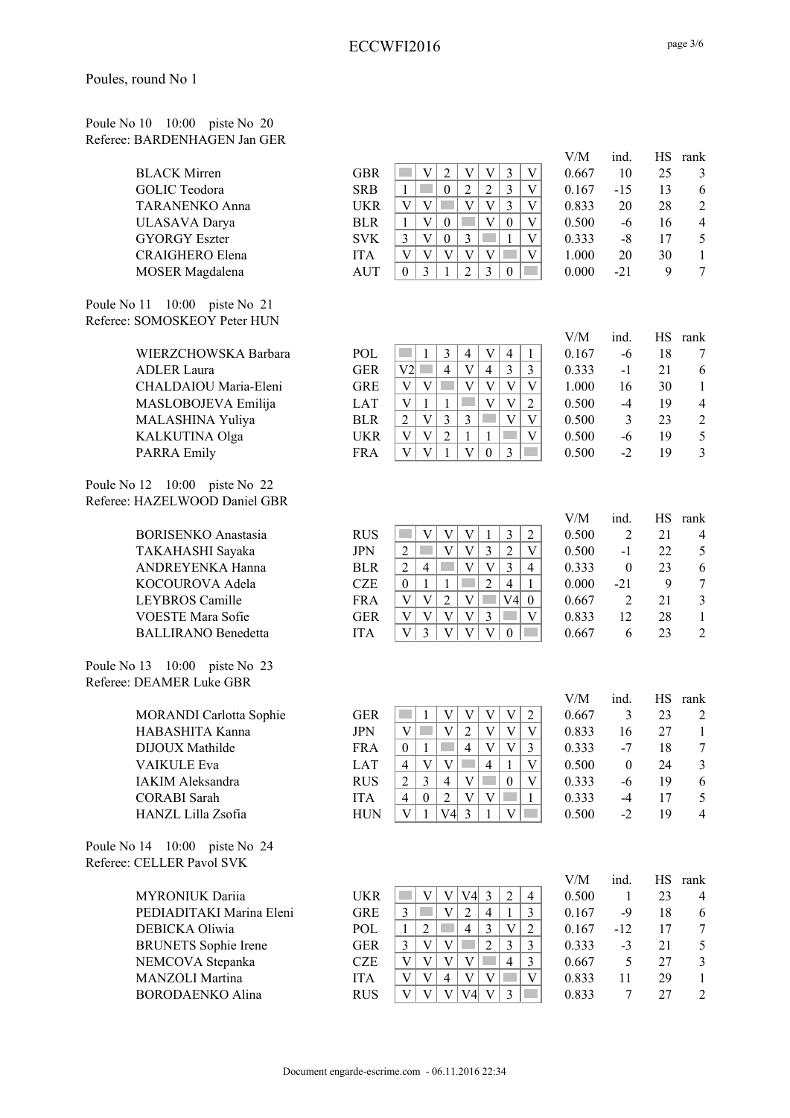| Poule No 10 10:00 piste No 20 |  |  |
|-------------------------------|--|--|
| Referee: BARDENHAGEN Jan GER  |  |  |

| <b>BLACK Mirren</b>  |
|----------------------|
| GOLIC Teodora        |
| TARANENKO Anna       |
| ULASAVA Darya        |
| <b>GYORGY Eszter</b> |
| CRAIGHERO Elena      |
| MOSER Magdalena      |

Poule No 11 10:00 piste No 21 Referee: SOMOSKEOY Peter HUN

| WIERZCHOWSKA Barbara  |
|-----------------------|
| <b>ADLER</b> Laura    |
| CHALDAIOU Maria-Eleni |
| MASLOBOJEVA Emilija   |
| MALASHINA Yuliya      |
| KALKUTINA Olga        |
| <b>PARRA Emily</b>    |

Poule No 12 10:00 piste No 22 Referee: HAZELWOOD Daniel GBR

| Poule No 13 10:00 piste No 23 |  |  |
|-------------------------------|--|--|
| Referee: DEAMER Luke GBR      |  |  |

Poule No 14 10:00 piste No 24 Referee: CELLER Pavol SVK

|                             |             |                |   |                |                |                |                |                | V/M   | ind.           | HS     | rank           |
|-----------------------------|-------------|----------------|---|----------------|----------------|----------------|----------------|----------------|-------|----------------|--------|----------------|
| <b>BLACK Mirren</b>         | <b>GBR</b>  |                | V | $\overline{2}$ | V              | V              | 3              | V              | 0.667 | 10             | 25     | 3              |
| <b>GOLIC</b> Teodora        | <b>SRB</b>  | 1              |   | $\Omega$       | $\overline{2}$ | $\overline{2}$ | 3              | V              | 0.167 | $-15$          | 13     | 6              |
| <b>TARANENKO Anna</b>       | <b>UKR</b>  | V              | V |                | V              | $\mathbf{V}$   | 3              | V              | 0.833 | 20             | 28     | $\overline{2}$ |
| ULASAVA Darya               | <b>BLR</b>  | 1              | V | $\theta$       |                | V              | $\theta$       | V              | 0.500 | -6             | 16     | $\overline{4}$ |
| <b>GYORGY Eszter</b>        | <b>SVK</b>  | 3              | V | $\theta$       | 3              |                |                | V              | 0.333 | -8             | 17     | 5              |
| CRAIGHERO Elena             | <b>ITA</b>  | V              | V | V              | V              | V              |                | V              | 1.000 | 20             | 30     | $\mathbf{1}$   |
| MOSER Magdalena             | <b>AUT</b>  | $\theta$       | 3 |                | $\overline{2}$ | 3              | $\theta$       |                | 0.000 | $-21$          | 9      | 7              |
| 10:00 piste No 21<br>, 11   |             |                |   |                |                |                |                |                |       |                |        |                |
| <b>SOMOSKEOY Peter HUN</b>  |             |                |   |                |                |                |                |                |       |                |        |                |
|                             |             |                |   |                |                |                |                |                | V/M   | ind.           | HS     | rank           |
| WIERZCHOWSKA Barbara        | POL         |                |   | 3              | 4              | V              | $\overline{4}$ |                | 0.167 | -6             | 18     | 7              |
| <b>ADLER</b> Laura          | <b>GER</b>  | V2             |   | 4              | V              | $\overline{4}$ | 3              | 3              | 0.333 | $-1$           | 21     | 6              |
| CHALDAIOU Maria-Eleni       | <b>GRE</b>  | V              | V |                | V              | V              | V              | V              | 1.000 | 16             | 30     | $\mathbf{1}$   |
| MASLOBOJEVA Emilija         | <b>LAT</b>  | V              | 1 | 1              |                | V              | V              | 2              | 0.500 | $-4$           | 19     | $\overline{4}$ |
| MALASHINA Yuliya            | <b>BLR</b>  | $\overline{2}$ | V | 3              | 3              |                | V              | V              | 0.500 | 3              | 23     | $\overline{2}$ |
| KALKUTINA Olga              | <b>UKR</b>  | V              | V | $\overline{2}$ | 1              | 1              |                | V              | 0.500 | -6             | 19     | 5              |
| <b>PARRA Emily</b>          | <b>FRA</b>  | V              | V |                | V              | $\Omega$       | 3              |                | 0.500 | $-2$           | 19     | 3              |
| 12 10:00 piste No 22        |             |                |   |                |                |                |                |                |       |                |        |                |
| HAZELWOOD Daniel GBR        |             |                |   |                |                |                |                |                |       |                |        |                |
|                             |             |                |   |                |                |                |                |                | V/M   | ind.           | HS     | rank           |
| <b>BORISENKO</b> Anastasia  | <b>RUS</b>  |                | V | V              | V              | 1              | 3              | $\overline{2}$ | 0.500 | $\overline{c}$ | 21     | $\overline{4}$ |
| T N I T A T I A C T T I C I | <b>TDAT</b> | $\sim$         |   | $\mathbf{v}$   | $\mathbf{v}$   | $\sim$         | $\sim$         | T              | 0.500 | $\blacksquare$ | $\sim$ |                |

| BORISENKO Anastasia        | <b>RUS</b> |  |  |     |                | 0.500 |       |    | $\overline{4}$ |
|----------------------------|------------|--|--|-----|----------------|-------|-------|----|----------------|
| TAKAHASHI Sayaka           | JPN        |  |  |     |                | 0.500 | -1    | フフ |                |
| ANDREYENKA Hanna           | <b>BLR</b> |  |  |     | $\overline{4}$ | 0.333 |       | 23 | 6              |
| KOCOUROVA Adela            | <b>CZE</b> |  |  |     |                | 0.000 | $-21$ |    |                |
| LEYBROS Camille            | <b>FRA</b> |  |  | V4I |                | 0.667 |       | 21 |                |
| <b>VOESTE Mara Sofie</b>   | GER        |  |  |     |                | 0.833 |       | 28 |                |
| <b>BALLIRANO</b> Benedetta | <b>ITA</b> |  |  |     |                | 0.667 |       |    |                |

|                                |            |   |          |   |   |   |   | V/M   | ind.     | НS | rank           |
|--------------------------------|------------|---|----------|---|---|---|---|-------|----------|----|----------------|
| <b>MORANDI</b> Carlotta Sophie | GER        |   |          |   |   | V |   | 0.667 |          | 23 | $\mathfrak{D}$ |
| HABASHITA Kanna                | JPN        |   |          |   |   |   | V | 0.833 | 16       | 27 |                |
| DIJOUX Mathilde                | <b>FRA</b> |   |          | 4 |   |   |   | 0.333 | $-7$     | 18 | 7              |
| <b>VAIKULE</b> Eva             | <b>LAT</b> | 4 | V        |   | 4 |   |   | 0.500 | $\theta$ | 24 | 3              |
| <b>IAKIM Aleksandra</b>        | <b>RUS</b> |   |          |   |   |   | V | 0.333 | -6       | 19 | 6              |
| <b>CORABI</b> Sarah            | <b>ITA</b> | 4 | $\theta$ |   |   |   |   | 0.333 | -4       |    | 5              |
| HANZL Lilla Zsofia             | HUN        |   |          |   |   |   |   | 0.500 | $-2$     | 19 | $\overline{4}$ |

| UELLEK PAVOI S V K          |            |   |     |                             |   |   |       |       |    |         |
|-----------------------------|------------|---|-----|-----------------------------|---|---|-------|-------|----|---------|
|                             |            |   |     |                             |   |   | V/M   | ind.  |    | HS rank |
| <b>MYRONIUK Dariia</b>      | UKR        |   | V4I | 3                           |   | 4 | 0.500 |       | 23 | 4       |
| PEDIADITAKI Marina Eleni    | <b>GRE</b> |   |     | 4                           |   |   | 0.167 | -9    | 18 | 6       |
| DEBICKA Oliwia              | <b>POL</b> |   | 4   | 3                           |   |   | 0.167 | $-12$ |    |         |
| <b>BRUNETS</b> Sophie Irene | GER        | V |     | $\mathcal{D}_{\mathcal{L}}$ |   |   | 0.333 | $-3$  | 21 | 5       |
| NEMCOVA Stepanka            | <b>CZE</b> |   |     |                             | 4 |   | 0.667 |       | 27 | 3       |
| <b>MANZOLI</b> Martina      | <b>ITA</b> | V |     |                             |   | V | 0.833 | 11    | 29 |         |
| <b>BORODAENKO Alina</b>     | RUS        |   |     |                             |   |   | 0.833 |       |    |         |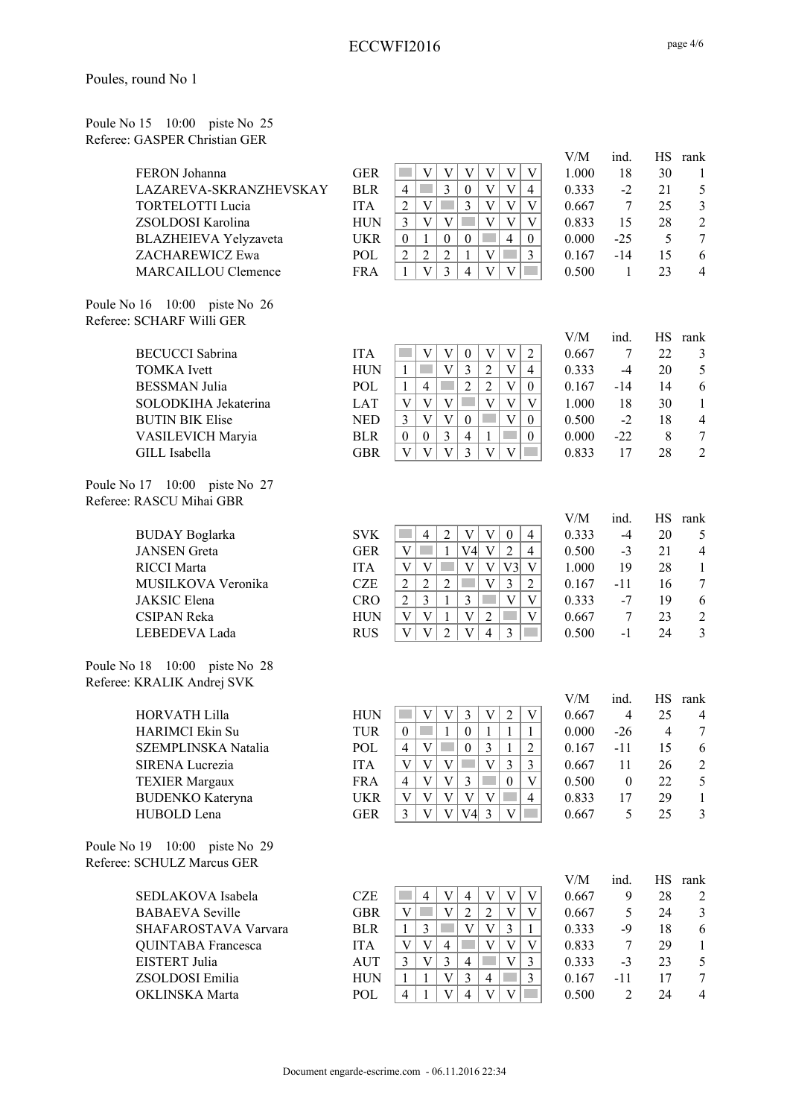| Poule No 15 10:00 piste No 25 |  |  |
|-------------------------------|--|--|
| Referee: GASPER Christian GER |  |  |

| FERON Johanna                                              | <b>GER</b> | $\mathbf V$<br>$\mathbf V$<br>$\ensuremath{\mathbf{V}}$<br>$\ensuremath{\mathbf{V}}$<br>$\ensuremath{\mathbf{V}}$<br>$\ensuremath{\mathbf{V}}$ | V/M<br>1.000 | ind.<br>18       | HS<br>30       | rank<br>1        |
|------------------------------------------------------------|------------|------------------------------------------------------------------------------------------------------------------------------------------------|--------------|------------------|----------------|------------------|
| LAZAREVA-SKRANZHEVSKAY                                     | <b>BLR</b> | $\mathfrak{Z}$<br>$\mathbf V$<br>$\overline{4}$<br>$\boldsymbol{0}$<br>$\mathbf V$<br>$\overline{4}$                                           | 0.333        | $-2$             | 21             | $\sqrt{5}$       |
| <b>TORTELOTTI Lucia</b>                                    | <b>ITA</b> | $\overline{\mathbf{V}}$<br>$\ensuremath{\mathbf{V}}$<br>$\overline{3}$<br>$\overline{2}$<br>$\ensuremath{\text{V}}$<br>$\mathbf V$             | 0.667        | 7                | 25             | $\mathfrak z$    |
| ZSOLDOSI Karolina                                          | <b>HUN</b> | $\mathfrak{Z}$<br>$\ensuremath{\mathbf{V}}$<br>$\mathbf V$<br>$\ensuremath{\text{V}}$<br>$\mathbf V$<br>V                                      | 0.833        | 15               | 28             | $\sqrt{2}$       |
| BLAZHEIEVA Yelyzaveta                                      | <b>UKR</b> | $\overline{4}$<br>$\boldsymbol{0}$<br>$\mathbf{1}$<br>$\boldsymbol{0}$<br>$\boldsymbol{0}$<br>$\boldsymbol{0}$                                 | 0.000        | $-25$            | 5              | $\boldsymbol{7}$ |
| ZACHAREWICZ Ewa                                            | POL        | $\overline{2}$<br>$\overline{2}$<br>$\overline{2}$<br>$\overline{3}$<br>$\mathbf V$<br>$\mathcal{L}^{\text{max}}$<br>$\mathbf{1}$              | 0.167        | $-14$            | 15             | 6                |
| MARCAILLOU Clemence                                        | <b>FRA</b> | $\bar{V}$<br>$\overline{3}$<br>$\mathbf{1}$<br>$\overline{4}$<br>$\overline{V}$<br>$\overline{V}$                                              | 0.500        | 1                | 23             | $\overline{4}$   |
| Poule No 16 10:00 piste No 26<br>Referee: SCHARF Willi GER |            |                                                                                                                                                |              |                  |                |                  |
|                                                            |            |                                                                                                                                                | V/M          | ind.             | <b>HS</b>      | rank             |
| <b>BECUCCI</b> Sabrina                                     | <b>ITA</b> | $\boldsymbol{\mathrm{V}}$<br>$\mathbf V$<br>$\ensuremath{\text{V}}$<br>$\ensuremath{\mathbf{V}}$<br>$\boldsymbol{2}$<br>$\boldsymbol{0}$       | 0.667        | 7                | 22             | 3                |
| <b>TOMKA</b> Ivett                                         | <b>HUN</b> | $\overline{\mathbf{V}}$<br>$\overline{V}$<br>$\boldsymbol{2}$<br>$\mathfrak{Z}$<br>$\overline{4}$<br>$\mathbf{1}$                              | 0.333        | $-4$             | 20             | $\mathfrak s$    |
| <b>BESSMAN</b> Julia                                       | POL        | $\overline{\mathbf{V}}$<br>$\overline{c}$<br>$\sqrt{2}$<br>$\overline{4}$<br>$\boldsymbol{0}$<br>$\mathbf{1}$                                  | 0.167        | $-14$            | 14             | 6                |
| SOLODKIHA Jekaterina                                       | LAT        | $\overline{\mathbf{V}}$<br>$\mathbf V$<br>$\mathbf V$<br>$\mathbf V$<br>V<br>V                                                                 | 1.000        | 18               | 30             | $\mathbf{1}$     |
| <b>BUTIN BIK Elise</b>                                     | <b>NED</b> | $\overline{V}$<br>$\ensuremath{\mathbf{V}}$<br>$\overline{V}$<br>$\mathfrak{Z}$<br>$\boldsymbol{0}$<br>$\boldsymbol{0}$                        | 0.500        | $-2$             | 18             | $\overline{4}$   |
| VASILEVICH Maryia                                          | <b>BLR</b> | $\mathfrak{Z}$<br>$\overline{4}$<br>$\mathbf{1}$<br>$\boldsymbol{0}$<br>$\boldsymbol{0}$<br>$\boldsymbol{0}$                                   | 0.000        | $-22$            | 8              | $\boldsymbol{7}$ |
| GILL Isabella                                              | <b>GBR</b> | $\bar{V}$<br>$\mathbf V$<br>$\overline{3}$<br>$\mathbf V$<br>$\mathbf V$<br>V                                                                  | 0.833        | 17               | 28             | $\overline{2}$   |
| Poule No 17 10:00 piste No 27<br>Referee: RASCU Mihai GBR  |            |                                                                                                                                                |              |                  |                |                  |
|                                                            |            |                                                                                                                                                | V/M          | ind.             |                | HS rank          |
| <b>BUDAY</b> Boglarka                                      | <b>SVK</b> | $\ensuremath{\mathbf{V}}$<br>$\overline{2}$<br>$\ensuremath{\mathbf{V}}$<br>$\boldsymbol{0}$<br>$\overline{4}$<br>$\overline{4}$               | 0.333        | $-4$             | 20             | 5                |
| <b>JANSEN</b> Greta                                        | <b>GER</b> | $\mathbf{1}$<br>$\mathbf V$<br>$\sqrt{2}$<br>$\mathbf{V}$<br>V <sub>4</sub><br>$\mathcal{L}^{\mathcal{A}}$<br>$\overline{4}$                   | 0.500        | $-3$             | 21             | $\overline{4}$   |
| <b>RICCI</b> Marta                                         | <b>ITA</b> | $\ensuremath{\mathbf{V}}$<br>$\mathbf V$<br>$\ensuremath{\mathbf{V}}$<br>$\mathbf V$<br>V <sub>3</sub><br>$\ensuremath{\mathbf{V}}$            | 1.000        | 19               | 28             | $\mathbf{1}$     |
| MUSILKOVA Veronika                                         | CZE        | $\sqrt{2}$<br>$\overline{2}$<br>$\mathbf V$<br>$\mathfrak{Z}$<br>$\overline{2}$<br>$\sqrt{2}$<br>$\mathcal{O}(\mathbb{R}^d)$                   | 0.167        | $-11$            | 16             | $\boldsymbol{7}$ |
| JAKSIC Elena                                               | <b>CRO</b> | $\overline{3}$<br>$\overline{\mathbf{V}}$<br>$\sqrt{2}$<br>$\mathbf{1}$<br>$\overline{\mathbf{3}}$<br>$\ensuremath{\text{V}}$                  | 0.333        | $-7$             | 19             | $\sqrt{6}$       |
| <b>CSIPAN Reka</b>                                         | <b>HUN</b> | $\mathbf V$<br>$\overline{2}$<br>V<br>$\mathbf{1}$<br>$\mathbf V$<br>$\mathcal{L}^{\text{max}}$<br>V                                           | 0.667        | $\overline{7}$   | 23             | $\sqrt{2}$       |
| LEBEDEVA Lada                                              | <b>RUS</b> | $\bar{V}$<br>$\overline{V}$<br>$\overline{2}$<br>$\overline{4}$<br>$\ensuremath{\mathbf{V}}$<br>3                                              | 0.500        | $-1$             | 24             | $\overline{3}$   |
| Poule No 18 10:00 piste No 28                              |            |                                                                                                                                                |              |                  |                |                  |
| Referee: KRALIK Andrej SVK                                 |            |                                                                                                                                                |              |                  |                |                  |
|                                                            |            |                                                                                                                                                | V/M          | ind.             | HS             | rank             |
| <b>HORVATH Lilla</b>                                       | <b>HUN</b> | $\mathfrak{Z}$<br>$\sqrt{2}$<br>V<br>V<br>$\boldsymbol{\mathrm{V}}$<br>V                                                                       | 0.667        | 4                | 25             | 4                |
| <b>HARIMCI</b> Ekin Su                                     | <b>TUR</b> | $\mathbf{1}$<br>$\boldsymbol{0}$<br>$\boldsymbol{0}$<br>$\mathbf{1}$<br>1<br>$\mathbf{1}$                                                      | 0.000        | $-26$            | $\overline{4}$ | 7                |
| SZEMPLINSKA Natalia                                        | POL        | $\overline{4}$<br>V<br>$\boldsymbol{0}$<br>3<br>$\overline{c}$<br>1                                                                            | 0.167        | $-11$            | 15             | 6                |
| SIRENA Lucrezia                                            | <b>ITA</b> | $\ensuremath{\mathbf{V}}$<br>$\mathbf V$<br>$\mathbf V$<br>$\mathbf V$<br>$\overline{3}$<br>$\sim$<br>$\mathfrak{Z}$                           | 0.667        | 11               | 26             | $\overline{c}$   |
| <b>TEXIER Margaux</b>                                      | <b>FRA</b> | $\mathbf V$<br>$\mathbf V$<br>$\mathfrak{Z}$<br><b>Tara</b><br>$\boldsymbol{0}$<br>$\overline{4}$<br>V                                         | 0.500        | $\boldsymbol{0}$ | 22             | $\mathfrak{S}$   |
| <b>BUDENKO</b> Kateryna                                    | <b>UKR</b> | $\mathbf V$<br>V<br>$\ensuremath{\mathbf{V}}$<br>$\ensuremath{\mathbf{V}}$<br>V<br>$\overline{4}$                                              | 0.833        | 17               | 29             | $\mathbf{1}$     |
| HUBOLD Lena                                                | <b>GER</b> | $\overline{3}$<br>$\mathbf{V}$<br>$V4 \vert 3$<br>$\mathbf V$<br>$\mathbf V$                                                                   | 0.667        | 5                | 25             | $\mathfrak{Z}$   |
| Poule No 19 10:00 piste No 29                              |            |                                                                                                                                                |              |                  |                |                  |
| Referee: SCHULZ Marcus GER                                 |            |                                                                                                                                                |              |                  |                |                  |
|                                                            |            |                                                                                                                                                | V/M          | ind.             | <b>HS</b>      | rank             |
| SEDLAKOVA Isabela                                          | <b>CZE</b> | $\ensuremath{\mathbf{V}}$<br>$\ensuremath{\mathbf{V}}$<br>$\ensuremath{\mathbf{V}}$<br>$\overline{4}$<br>V<br>$\overline{4}$                   | 0.667        | 9                | 28             | $\overline{2}$   |
| <b>BABAEVA</b> Seville                                     | <b>GBR</b> | $\bar{V}$<br>$\overline{2}$<br>$\mathbf{V}$<br>$\sqrt{2}$<br>$\mathcal{L}^{\text{max}}$<br>V<br>V                                              | 0.667        | 5                | 24             | $\mathfrak{Z}$   |
| SHAFAROSTAVA Varvara                                       | <b>BLR</b> | $\mathbf V$<br>$\ensuremath{\mathbf{V}}$<br>$\overline{3}$<br>$\mathfrak{Z}$<br>$\mathbf{1}$<br>$\mathbf{1}$                                   | 0.333        | $-9$             | 18             | $\sqrt{6}$       |
| QUINTABA Francesca                                         | <b>ITA</b> | $\mathbf V$<br>$\mathbf V$<br>$\ensuremath{\mathbf{V}}$<br>V<br>$\mathbf V$<br>$\overline{4}$                                                  | 0.833        | 7                | 29             | $\mathbf{1}$     |
| EISTERT Julia                                              | <b>AUT</b> | $\overline{3}$<br>$\mathbf{V}$<br>$\ensuremath{\mathbf{V}}$<br>$\mathfrak{Z}$<br>3<br>$\overline{4}$                                           | 0.333        |                  | 23             | $\mathfrak{S}$   |
|                                                            |            | V<br>$\overline{3}$<br>$\mathfrak{Z}$                                                                                                          |              | $-3$             |                |                  |
| ZSOLDOSI Emilia                                            | <b>HUN</b> | $\overline{4}$<br>1<br>1<br>$\mathbf V$                                                                                                        | 0.167        | $-11$            | 17             | $\boldsymbol{7}$ |
| OKLINSKA Marta                                             | POL        | $\ensuremath{\mathbf{V}}$<br>$\overline{4}$<br>V<br>$\overline{4}$<br>$\mathbf{1}$                                                             | 0.500        | $\overline{2}$   | 24             | $\overline{4}$   |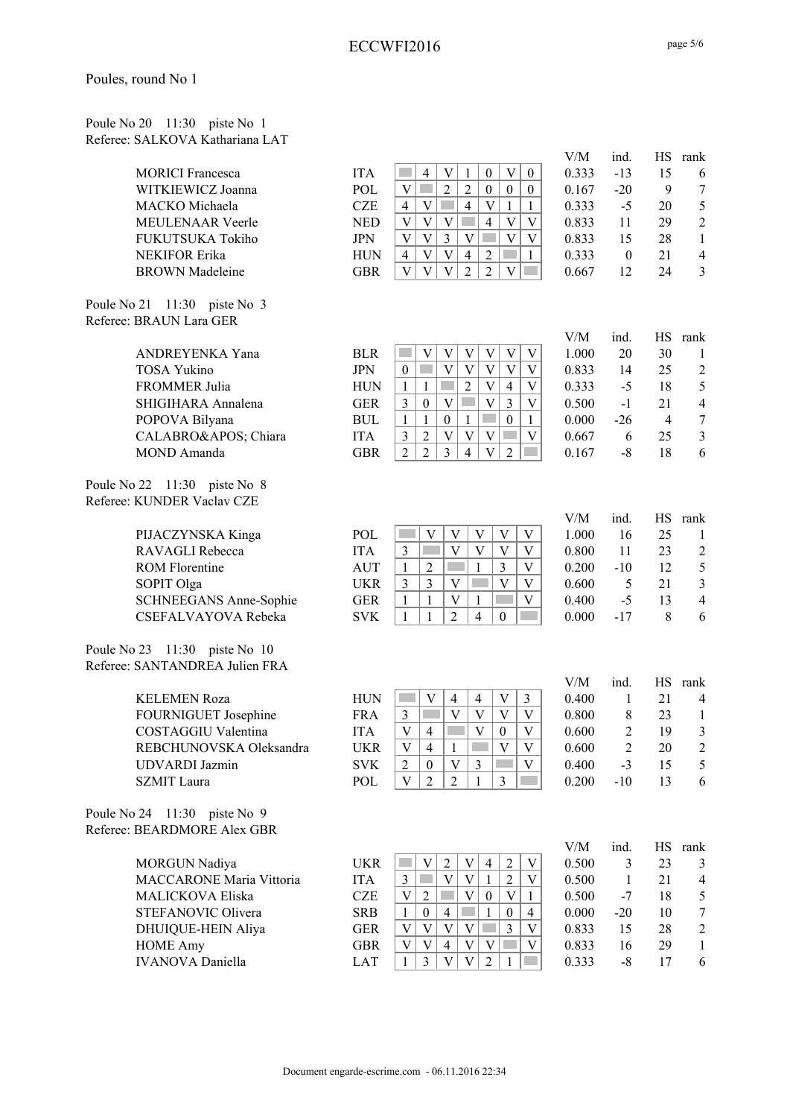| Poule No 20 11:30 piste No 1    |  |  |
|---------------------------------|--|--|
| Referee: SALKOVA Kathariana LAT |  |  |

| <b>MORICI</b> Francesca |
|-------------------------|
| WITKIEWICZ Joanna       |
| MACKO Michaela          |
| <b>MEULENAAR</b> Veerle |
| FUKUTSUKA Tokiho        |
| <b>NEKIFOR Erika</b>    |
| <b>BROWN</b> Madeleine  |

Poule No 21 11:30 piste No 3 Referee: BRAUN Lara GER

| ANDREYENKA Yana      |
|----------------------|
| <b>TOSA Yukino</b>   |
| <b>FROMMER Julia</b> |
| SHIGIHARA Annalena   |
| POPOVA Bilyana       |
| CALABRO' Chiara      |
| MOND Amanda          |
|                      |

Poule No 22 11:30 piste No 8 Referee: KUNDER Vaclav CZE

| PIJACZYNSKA Kinga      |
|------------------------|
| RAVAGLI Rebecca        |
| <b>ROM Florentine</b>  |
| SOPIT Olga             |
| SCHNEEGANS Anne-Sophie |
| CSEFALVAYOVA Rebeka    |
|                        |

Poule No 23 11:30 piste No 10 Referee: SANTANDREA Julien FRA

Poule No 24 11:30 piste No 9 Referee: BEARDMORE Alex GBR

IVANOVA Daniella  $LAT$  | 1 | 3 | V | V | 2 | 1 | 0.333 -8 17 6

| SALKOVA Kathariana LAT    |            |                                                                                                                                          |              |                  |                |                        |
|---------------------------|------------|------------------------------------------------------------------------------------------------------------------------------------------|--------------|------------------|----------------|------------------------|
|                           |            |                                                                                                                                          | V/M          | ind.             | <b>HS</b>      | rank                   |
| <b>MORICI</b> Francesca   | <b>ITA</b> | $\mathbf{V}$<br>$\boldsymbol{0}$<br>$\overline{\mathsf{V}}$<br>$\overline{4}$<br>1<br>$\boldsymbol{0}$                                   | 0.333        | $-13$            | 15             | 6                      |
| WITKIEWICZ Joanna         | POL        | $\overline{c}$<br>$\mathbf V$<br>$\overline{2}$<br>$\boldsymbol{0}$<br>$\boldsymbol{0}$<br>$\mathbf{0}$                                  | 0.167        | $-20$            | 9              | $\tau$                 |
| MACKO Michaela            | <b>CZE</b> | $\mathcal{L}_{\mathcal{A}}$<br>$\overline{4}$<br>$\overline{4}$<br>$\mathbf V$<br>V<br>$\mathbf{1}$<br>$\mathbf{1}$                      | 0.333        | $-5$             | 20             | $\mathfrak s$          |
| <b>MEULENAAR Veerle</b>   | <b>NED</b> | $\overline{V}$<br>V<br>$\overline{4}$<br>V<br>V<br>V                                                                                     | 0.833        | 11               | 29             | $\boldsymbol{2}$       |
| FUKUTSUKA Tokiho          | <b>JPN</b> | $\overline{3}$<br>$\overline{V}$<br>V<br>V<br>V<br>V                                                                                     | 0.833        | 15               | 28             | $\mathbf{1}$           |
| <b>NEKIFOR Erika</b>      | <b>HUN</b> | $\overline{V}$<br>$\overline{2}$<br>$\mathbf V$<br>$\overline{4}$<br>$\overline{4}$<br>1                                                 | 0.333        | $\boldsymbol{0}$ | 21             | $\overline{4}$         |
| <b>BROWN</b> Madeleine    | <b>GBR</b> | $\overline{\mathbf{V}}$<br>$\overline{2}$<br>$\overline{2}$<br>$\mathbf V$<br>$\overline{\mathsf{V}}$<br>V                               | 0.667        | 12               | 24             | $\mathfrak{Z}$         |
| 11:30 piste No 3<br>21    |            |                                                                                                                                          |              |                  |                |                        |
| <b>BRAUN Lara GER</b>     |            |                                                                                                                                          |              |                  |                |                        |
| ANDREYENKA Yana           | <b>BLR</b> | <b>College</b><br>V<br>V<br>V<br>V<br>V<br>V                                                                                             | V/M<br>1.000 | ind.<br>20       | 30             | HS rank<br>1           |
| <b>TOSA Yukino</b>        | <b>JPN</b> | $\mathbf{V}$<br>$\mathbf V$<br>V<br>$\boldsymbol{0}$<br>V<br>V                                                                           | 0.833        | 14               | 25             | $\overline{2}$         |
| FROMMER Julia             | <b>HUN</b> | $\overline{2}$<br>$\mathbf V$<br>$\overline{4}$<br>1<br>$\mathbf{1}$<br><b>Side</b><br>V                                                 | 0.333        | $-5$             | 18             | 5                      |
| SHIGIHARA Annalena        | <b>GER</b> | $\overline{V}$<br>3<br>3<br>$\boldsymbol{0}$<br>V<br>$\mathbf V$                                                                         | 0.500        | $-1$             | 21             | $\overline{4}$         |
| POPOVA Bilyana            | <b>BUL</b> | <b>Tara</b><br>$\mathbf{1}$<br>$\boldsymbol{0}$<br>$\mathbf{1}$<br>$\boldsymbol{0}$<br>1<br>1                                            | 0.000        | $-26$            | $\overline{4}$ | $\boldsymbol{7}$       |
| CALABRO' Chiara           | <b>ITA</b> | $\overline{2}$<br>$\mathbf{V}$<br>3<br>V<br>V<br>V                                                                                       | 0.667        | 6                | 25             | $\mathfrak{Z}$         |
| <b>MOND</b> Amanda        | <b>GBR</b> | $\overline{2}$<br>$\overline{2}$<br>3<br>$\overline{4}$<br>$\mathbf{V}$<br>$\overline{2}$<br>m.                                          | 0.167        | $-8$             | 18             | 6                      |
| 22 11:30 piste No 8       |            |                                                                                                                                          |              |                  |                |                        |
| <b>KUNDER Vaclav CZE</b>  |            |                                                                                                                                          |              |                  |                |                        |
|                           |            |                                                                                                                                          | V/M          | ind.             | HS             | rank                   |
| PIJACZYNSKA Kinga         | POL        | V<br>V<br>V<br>V<br>V                                                                                                                    | 1.000        | 16               | 25             | $\mathbf{1}$           |
| RAVAGLI Rebecca           | <b>ITA</b> | $\mathfrak{Z}$<br>V<br>V<br>V<br>V                                                                                                       | 0.800        | 11               | 23             | $\overline{c}$         |
| <b>ROM Florentine</b>     | <b>AUT</b> | 1<br>$\overline{2}$<br>$\mathbf{1}$<br>3<br>V                                                                                            | 0.200        | $-10$            | 12             | $\mathfrak s$          |
| SOPIT Olga                | <b>UKR</b> | 3<br>$\mathbf V$<br>3<br>V<br>V                                                                                                          | 0.600        | 5                | 21             | $\mathfrak{Z}$         |
| SCHNEEGANS Anne-Sophie    | <b>GER</b> | $\mathbf{1}$<br>1<br>V<br>V<br>1                                                                                                         | 0.400        | $-5$             | 13             | $\overline{4}$         |
| CSEFALVAYOVA Rebeka       | <b>SVK</b> | $\overline{2}$<br>4<br>1<br>1<br>$\theta$                                                                                                | 0.000        | $-17$            | 8              | 6                      |
| 23<br>11:30 piste No $10$ |            |                                                                                                                                          |              |                  |                |                        |
| SANTANDREA Julien FRA     |            |                                                                                                                                          |              |                  |                |                        |
| <b>KELEMEN Roza</b>       | <b>HUN</b> | 3<br>V<br>$\overline{4}$<br>V<br>$\overline{4}$                                                                                          | V/M<br>0.400 | ind.<br>1        | HS.<br>21      | rank<br>$\overline{4}$ |
| FOURNIGUET Josephine      | <b>FRA</b> | V<br>$\ensuremath{\mathbf{V}}$<br>$\mathbf V$<br>V<br>3                                                                                  | 0.800        | 8                | 23             | $\mathbf{1}$           |
| COSTAGGIU Valentina       | <b>ITA</b> | $\blacksquare$ $\blacksquare$ $\blacksquare$ $\blacksquare$ $\blacksquare$ $\blacksquare$<br>$\mathbf V$<br>$\frac{1}{4}$<br>$\mathbf V$ | 0.600        | $\overline{2}$   | 19             | $\mathfrak{Z}$         |
| REBCHUNOVSKA Oleksandra   | <b>UKR</b> | V<br>$\overline{4}$<br>V<br>V<br>1                                                                                                       | 0.600        | $\boldsymbol{2}$ | 20             | $\overline{c}$         |
| <b>UDVARDI</b> Jazmin     | <b>SVK</b> | $\overline{c}$<br>$\boldsymbol{0}$<br>V<br>3<br>V                                                                                        | 0.400        | $-3$             | 15             | 5                      |
| <b>SZMIT</b> Laura        | POL        | $\mathbf V$<br>$\overline{2}$<br>3<br>2<br>1                                                                                             | 0.200        | $-10$            | 13             | 6                      |
| 24 11:30 piste No 9       |            |                                                                                                                                          |              |                  |                |                        |
| <b>BEARDMORE Alex GBR</b> |            |                                                                                                                                          |              |                  |                |                        |
| <b>MORGUN Nadiya</b>      | <b>UKR</b> | 2<br>V<br>2<br>V<br>4<br>V                                                                                                               | V/M<br>0.500 | ind.<br>3        | HS<br>23       | rank<br>3              |
| MACCARONE Maria Vittoria  | <b>ITA</b> | $\mathfrak{D}$<br>$\overline{V}$<br>$\overline{V}$<br>$\mathbf{c}$<br>V                                                                  | 0.500        |                  | 21             | 4                      |
|                           |            |                                                                                                                                          |              |                  |                |                        |

MACCARONE Maria Vittoria ITA 3 V V 1 2 V 0.500 1 21 4 MALICKOVA Eliska CZE V 2 V 0 V 1 0.500 -7 18 5 STEFANOVIC Olivera SRB  $1 \ 0 \ 4 \ 1 \ 0 \ 4 \ 0.000 -20$  10 DHUIQUE-HEIN Aliya GER  $V | V | V | V | = 3 | V$  0.833 15 28 2 HOME Amy GBR  $V | V | 4 | V | V | = 0.833 \t 16 \t 29 \t 1$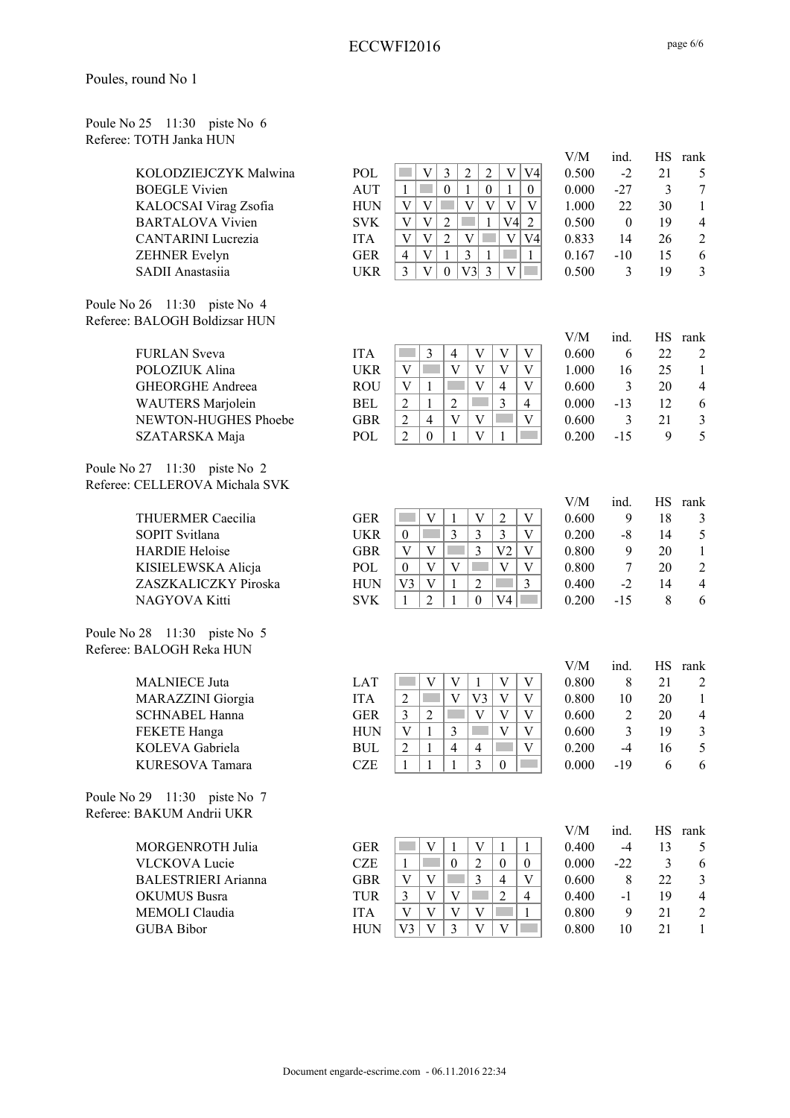| Poules, round No 1 |  |  |  |
|--------------------|--|--|--|
|--------------------|--|--|--|

| Poule No 25 11:30 piste No 6 |  |  |
|------------------------------|--|--|
| Referee: TOTH Janka HUN      |  |  |

|                                                          |            |                                                                                                                   | V/M   | ind.             | HS             | rank                    |
|----------------------------------------------------------|------------|-------------------------------------------------------------------------------------------------------------------|-------|------------------|----------------|-------------------------|
| KOLODZIEJCZYK Malwina                                    | POL        | $\mathfrak{Z}$<br>$\sqrt{2}$<br>$\sqrt{2}$<br>$\ensuremath{\mathbf{V}}$<br>V<br>V4                                | 0.500 | $-2$             | 21             | 5                       |
| <b>BOEGLE Vivien</b>                                     | <b>AUT</b> | $\boldsymbol{0}$<br>$\mathbf{1}$<br>$\sim$<br>1<br>$\boldsymbol{0}$<br>$\mathbf{1}$<br>$\overline{0}$             | 0.000 | $-27$            | $\mathfrak{Z}$ | $\boldsymbol{7}$        |
| KALOCSAI Virag Zsofia                                    | <b>HUN</b> | $\mathbf V$<br>$\ensuremath{\mathbf{V}}$<br>$\mathbf V$<br>$\mathbf V$<br>V<br>V                                  | 1.000 | 22               | 30             | $\,1$                   |
| <b>BARTALOVA Vivien</b>                                  | <b>SVK</b> | $\ensuremath{\mathbf{V}}$<br>$\sqrt{2}$<br>V <sub>4</sub><br>V<br>$\overline{2}$<br>$\mathbf{1}$                  | 0.500 | $\boldsymbol{0}$ | 19             | $\overline{4}$          |
| <b>CANTARINI</b> Lucrezia                                | <b>ITA</b> | $\overline{2}$<br>$\bar{V}$<br>$\mathbf{V}$<br>$\bar{V}$<br>$\mathbf V$<br>V <sub>4</sub>                         | 0.833 | 14               | 26             | $\boldsymbol{2}$        |
| ZEHNER Evelyn                                            | <b>GER</b> | $\bar{V}$<br>$\overline{3}$<br>$\mathcal{L}^{\mathcal{L}}$<br>$\overline{4}$<br>$\mathbf{1}$<br>$\mathbf{1}$<br>1 | 0.167 | $-10$            | 15             | 6                       |
| SADII Anastasiia                                         | <b>UKR</b> | $\overline{3}$<br>$\bar{V}$<br>V3<br>$\overline{3}$<br>$\boldsymbol{0}$<br>$\mathbf{V}$                           | 0.500 | 3                | 19             | $\overline{3}$          |
|                                                          |            |                                                                                                                   |       |                  |                |                         |
| Poule No 26 11:30 piste No 4                             |            |                                                                                                                   |       |                  |                |                         |
| Referee: BALOGH Boldizsar HUN                            |            |                                                                                                                   |       |                  |                |                         |
|                                                          |            |                                                                                                                   | V/M   | ind.             | HS             | rank                    |
| <b>FURLAN</b> Sveva                                      | <b>ITA</b> | 3<br>V<br>$\overline{4}$<br>V<br>V                                                                                | 0.600 | 6                | 22             | $\overline{2}$          |
| POLOZIUK Alina                                           | <b>UKR</b> | $\overline{V}$<br>$\overline{V}$<br>$\overline{\mathbf{V}}$<br>$\overline{\mathbf{V}}$<br>V<br>F                  | 1.000 | 16               | 25             | $\mathbf{1}$            |
| <b>GHEORGHE Andreea</b>                                  | <b>ROU</b> | $\overline{\mathbf{V}}$<br>$\ensuremath{\mathbf{V}}$<br>V<br>$\overline{4}$<br>1                                  | 0.600 | 3                | 20             | $\overline{4}$          |
| WAUTERS Marjolein                                        | <b>BEL</b> | $\overline{3}$<br>$\overline{c}$<br>$\sqrt{2}$<br>$\mathbf{1}$<br>$\overline{4}$                                  | 0.000 | $-13$            | 12             | 6                       |
| NEWTON-HUGHES Phoebe                                     | <b>GBR</b> | $\overline{c}$<br>$\overline{4}$<br>V<br>V<br>V                                                                   | 0.600 | 3                | 21             | $\overline{\mathbf{3}}$ |
| SZATARSKA Maja                                           | POL        | $\overline{2}$<br>$\boldsymbol{0}$<br>$\overline{V}$<br>$\mathbf{1}$<br>$\mathbf{1}$                              | 0.200 | $-15$            | 9              | 5                       |
|                                                          |            |                                                                                                                   |       |                  |                |                         |
| Poule No 27 11:30 piste No 2                             |            |                                                                                                                   |       |                  |                |                         |
| Referee: CELLEROVA Michala SVK                           |            |                                                                                                                   |       |                  |                |                         |
|                                                          |            |                                                                                                                   | V/M   | ind.             | <b>HS</b>      | rank                    |
| <b>THUERMER Caecilia</b>                                 | <b>GER</b> | <b>Tara</b><br>V<br>V<br>$\overline{2}$<br>V<br>1                                                                 | 0.600 | 9                | 18             | 3                       |
| <b>SOPIT Svitlana</b>                                    | <b>UKR</b> | 3<br>$\overline{3}$<br>p.<br>$\mathfrak{Z}$<br>$\ensuremath{\mathbf{V}}$<br>$\boldsymbol{0}$                      | 0.200 | $-8$             | 14             | $\mathfrak s$           |
| <b>HARDIE Heloise</b>                                    | <b>GBR</b> | $\overline{3}$<br>$\mathbf{V}$<br>V <sub>2</sub><br>$\mathbf V$<br>V                                              | 0.800 | 9                | 20             | $\mathbf{1}$            |
| KISIELEWSKA Alicja                                       | POL        | $\overline{V}$<br>V<br>$\mathbf V$<br>$\mathbf V$<br>$\boldsymbol{0}$                                             | 0.800 | $\tau$           | 20             | $\boldsymbol{2}$        |
| ZASZKALICZKY Piroska                                     | <b>HUN</b> | $\overline{2}$<br>$\mathfrak{Z}$<br>V <sub>3</sub><br>$\mathbf V$<br>$\mathbf{1}$                                 | 0.400 | $-2$             | 14             | $\overline{4}$          |
| NAGYOVA Kitti                                            | <b>SVK</b> | $\overline{2}$<br>$\mathbf{1}$<br>V <sub>4</sub><br>$\boldsymbol{0}$<br>1                                         | 0.200 | $-15$            | 8              | 6                       |
|                                                          |            |                                                                                                                   |       |                  |                |                         |
| Poule No 28 11:30 piste No 5<br>Referee: BALOGH Reka HUN |            |                                                                                                                   |       |                  |                |                         |
|                                                          |            |                                                                                                                   | V/M   | ind.             | <b>HS</b>      |                         |
| <b>MALNIECE</b> Juta                                     | <b>LAT</b> | r.<br>V<br>V<br>$\mathbf{1}$<br>$\mathbf V$<br>V                                                                  | 0.800 | 8                | 21             | rank                    |
|                                                          |            | V<br>V<br>V                                                                                                       |       |                  |                | $\overline{2}$          |
| MARAZZINI Giorgia                                        | <b>ITA</b> | $\overline{2}$<br>V3                                                                                              | 0.800 | 10               | 20             | $\mathbf{1}$            |
| <b>SCHNABEL Hanna</b>                                    | <b>GER</b> | $\mathfrak{Z}$<br>$\overline{c}$<br>$\boldsymbol{\mathrm{V}}$<br>$\mathbf V$<br>V                                 | 0.600 | 2                | 20             | $\overline{4}$          |
| FEKETE Hanga                                             | <b>HUN</b> | $\bar{V}$<br>$\mathbf V$<br>$\mathbf{1}$<br>3<br>V                                                                | 0.600 | 3                | 19             | 3                       |
| KOLEVA Gabriela                                          | <b>BUL</b> | $\overline{c}$<br>$\overline{4}$<br>$\overline{4}$<br>v                                                           | 0.200 | $-4$             | 16             | 5                       |
| KURESOVA Tamara                                          | <b>CZE</b> | $\overline{3}$<br>$\mathbf{1}$<br>1<br>1<br>$\theta$                                                              | 0.000 | $-19$            | 6              | 6                       |
| Poule No 29 11:30 piste No 7                             |            |                                                                                                                   |       |                  |                |                         |
| Referee: BAKUM Andrii UKR                                |            |                                                                                                                   |       |                  |                |                         |
|                                                          |            |                                                                                                                   | V/M   | ind.             |                | HS rank                 |
| MORGENROTH Julia                                         | <b>GER</b> | V<br>V<br>1<br>1<br>1                                                                                             | 0.400 | $-4$             | 13             | 5                       |
| <b>VLCKOVA Lucie</b>                                     | <b>CZE</b> | $\overline{2}$<br>$\boldsymbol{0}$<br>$\mathbf{1}$<br>$\boldsymbol{0}$<br>$\boldsymbol{0}$                        | 0.000 | $-22$            | $\overline{3}$ | 6                       |
| <b>BALESTRIERI</b> Arianna                               | <b>GBR</b> | $\overline{3}$<br>$\overline{4}$<br>V<br>V<br>V                                                                   | 0.600 | 8                | 22             | 3                       |
| <b>OKUMUS Busra</b>                                      | <b>TUR</b> | $\overline{2}$<br>V<br>V<br>$\overline{4}$<br>3                                                                   | 0.400 | $-1$             | 19             | $\overline{4}$          |
| MEMOLI Claudia                                           | <b>ITA</b> | V<br>V<br>V<br>V<br>1                                                                                             | 0.800 | 9                | 21             | $\overline{2}$          |
| <b>GUBA Bibor</b>                                        | <b>HUN</b> | V <sub>3</sub><br>$\mathbf V$<br>$\mathfrak{Z}$<br>V<br>$\ensuremath{\mathbf{V}}$                                 | 0.800 | 10               | 21             | $\mathbf{1}$            |
|                                                          |            |                                                                                                                   |       |                  |                |                         |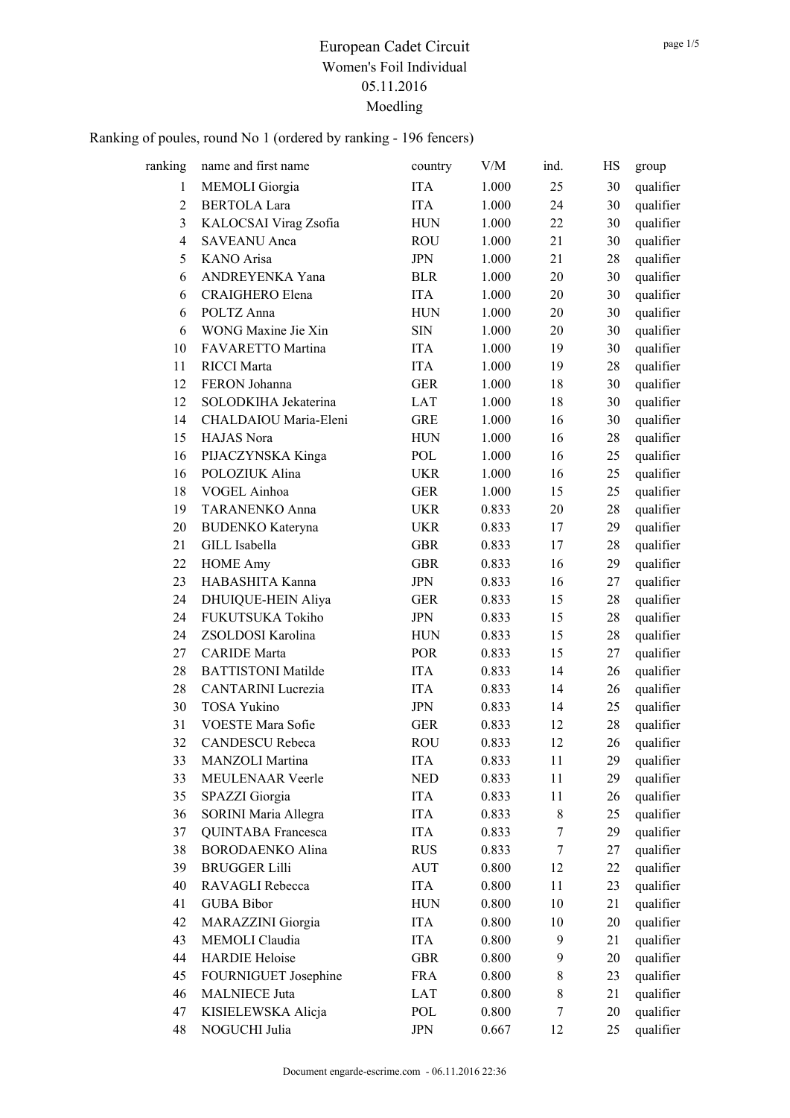| ranking        | name and first name       | country     | V/M   | ind.             | HS | group     |
|----------------|---------------------------|-------------|-------|------------------|----|-----------|
| $\mathbf{1}$   | MEMOLI Giorgia            | <b>ITA</b>  | 1.000 | 25               | 30 | qualifier |
| $\overline{2}$ | <b>BERTOLA Lara</b>       | <b>ITA</b>  | 1.000 | 24               | 30 | qualifier |
| 3              | KALOCSAI Virag Zsofia     | <b>HUN</b>  | 1.000 | 22               | 30 | qualifier |
| $\overline{4}$ | <b>SAVEANU</b> Anca       | ROU         | 1.000 | 21               | 30 | qualifier |
| 5              | <b>KANO</b> Arisa         | <b>JPN</b>  | 1.000 | 21               | 28 | qualifier |
| 6              | ANDREYENKA Yana           | <b>BLR</b>  | 1.000 | 20               | 30 | qualifier |
| 6              | CRAIGHERO Elena           | <b>ITA</b>  | 1.000 | 20               | 30 | qualifier |
| 6              | POLTZ Anna                | <b>HUN</b>  | 1.000 | 20               | 30 | qualifier |
| 6              | WONG Maxine Jie Xin       | <b>SIN</b>  | 1.000 | 20               | 30 | qualifier |
| 10             | FAVARETTO Martina         | <b>ITA</b>  | 1.000 | 19               | 30 | qualifier |
| 11             | <b>RICCI</b> Marta        | <b>ITA</b>  | 1.000 | 19               | 28 | qualifier |
| 12             | FERON Johanna             | <b>GER</b>  | 1.000 | 18               | 30 | qualifier |
| 12             | SOLODKIHA Jekaterina      | LAT         | 1.000 | 18               | 30 | qualifier |
| 14             | CHALDAIOU Maria-Eleni     | <b>GRE</b>  | 1.000 | 16               | 30 | qualifier |
| 15             | HAJAS Nora                | <b>HUN</b>  | 1.000 | 16               | 28 | qualifier |
| 16             | PIJACZYNSKA Kinga         | POL         | 1.000 | 16               | 25 | qualifier |
| 16             | POLOZIUK Alina            | <b>UKR</b>  | 1.000 | 16               | 25 | qualifier |
| 18             | VOGEL Ainhoa              | <b>GER</b>  | 1.000 | 15               | 25 | qualifier |
| 19             | TARANENKO Anna            | <b>UKR</b>  | 0.833 | 20               | 28 | qualifier |
| 20             | <b>BUDENKO</b> Kateryna   | <b>UKR</b>  | 0.833 | 17               | 29 | qualifier |
| 21             | GILL Isabella             | <b>GBR</b>  | 0.833 | 17               | 28 | qualifier |
| 22             | <b>HOME</b> Amy           | <b>GBR</b>  | 0.833 | 16               | 29 | qualifier |
| 23             | HABASHITA Kanna           | <b>JPN</b>  | 0.833 | 16               | 27 | qualifier |
| 24             | DHUIQUE-HEIN Aliya        | <b>GER</b>  | 0.833 | 15               | 28 | qualifier |
| 24             | FUKUTSUKA Tokiho          | JPN         | 0.833 | 15               | 28 | qualifier |
| 24             | ZSOLDOSI Karolina         | <b>HUN</b>  | 0.833 | 15               | 28 | qualifier |
| 27             | <b>CARIDE</b> Marta       | POR         | 0.833 | 15               | 27 | qualifier |
| 28             | <b>BATTISTONI Matilde</b> | <b>ITA</b>  | 0.833 | 14               | 26 | qualifier |
| 28             | <b>CANTARINI</b> Lucrezia | <b>ITA</b>  | 0.833 | 14               | 26 | qualifier |
| 30             | <b>TOSA Yukino</b>        | <b>JPN</b>  | 0.833 | 14               | 25 | qualifier |
| 31             | VOESTE Mara Sofie         | <b>GER</b>  | 0.833 | 12               | 28 | qualifier |
| 32             | <b>CANDESCU Rebeca</b>    | <b>ROU</b>  | 0.833 | 12               | 26 | qualifier |
| 33             | MANZOLI Martina           | ITA         | 0.833 | 11               | 29 | qualifier |
| 33             | MEULENAAR Veerle          | <b>NED</b>  | 0.833 | 11               | 29 | qualifier |
| 35             | SPAZZI Giorgia            | <b>ITA</b>  | 0.833 | 11               | 26 | qualifier |
| 36             | SORINI Maria Allegra      | <b>ITA</b>  | 0.833 | $8\,$            | 25 | qualifier |
| 37             | QUINTABA Francesca        | ITA         | 0.833 | 7                | 29 | qualifier |
| 38             | <b>BORODAENKO Alina</b>   | <b>RUS</b>  | 0.833 | $\boldsymbol{7}$ | 27 | qualifier |
| 39             | <b>BRUGGER Lilli</b>      | <b>AUT</b>  | 0.800 | 12               | 22 | qualifier |
| 40             | RAVAGLI Rebecca           | <b>ITA</b>  | 0.800 | 11               | 23 | qualifier |
| 41             | <b>GUBA Bibor</b>         | ${\rm HUN}$ | 0.800 | 10               | 21 | qualifier |
| 42             | MARAZZINI Giorgia         | <b>ITA</b>  | 0.800 | 10               | 20 | qualifier |
| 43             | MEMOLI Claudia            | <b>ITA</b>  | 0.800 | 9                | 21 | qualifier |
| 44             | <b>HARDIE Heloise</b>     | <b>GBR</b>  | 0.800 | 9                | 20 | qualifier |
| 45             | FOURNIGUET Josephine      | <b>FRA</b>  | 0.800 | $\,8\,$          | 23 | qualifier |
| 46             | <b>MALNIECE Juta</b>      | LAT         | 0.800 | $8\,$            | 21 | qualifier |
| 47             | KISIELEWSKA Alicja        | POL         | 0.800 | 7                | 20 | qualifier |
| 48             | NOGUCHI Julia             | <b>JPN</b>  | 0.667 | 12               | 25 | qualifier |
|                |                           |             |       |                  |    |           |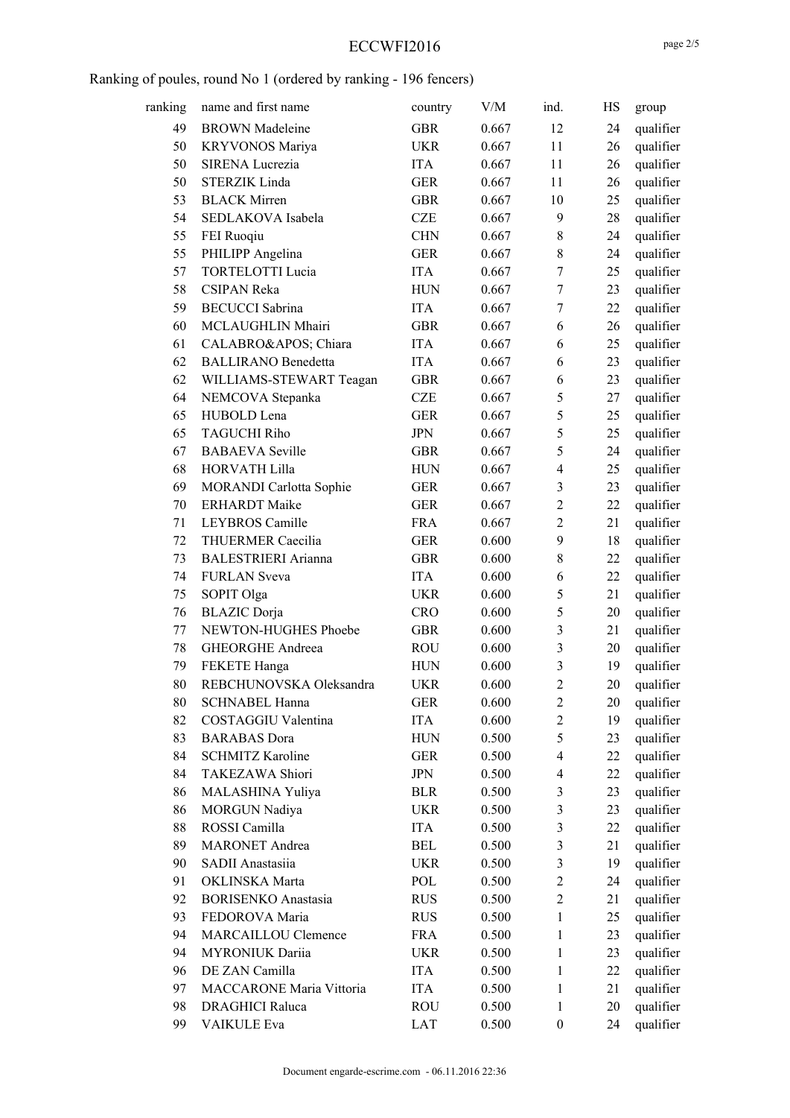#### ECCWFI2016

| ranking | name and first name        | country           | V/M   | ind.                     | HS | group                  |
|---------|----------------------------|-------------------|-------|--------------------------|----|------------------------|
| 49      | <b>BROWN</b> Madeleine     | <b>GBR</b>        | 0.667 | 12                       | 24 | qualifier              |
| 50      | <b>KRYVONOS Mariya</b>     | <b>UKR</b>        | 0.667 | 11                       | 26 | qualifier              |
| 50      | SIRENA Lucrezia            | <b>ITA</b>        | 0.667 | 11                       | 26 | qualifier              |
| 50      | <b>STERZIK Linda</b>       | <b>GER</b>        | 0.667 | 11                       | 26 | qualifier              |
| 53      | <b>BLACK Mirren</b>        | <b>GBR</b>        | 0.667 | 10                       | 25 | qualifier              |
| 54      | SEDLAKOVA Isabela          | <b>CZE</b>        | 0.667 | 9                        | 28 | qualifier              |
| 55      | FEI Ruoqiu                 | <b>CHN</b>        | 0.667 | $8\,$                    | 24 | qualifier              |
| 55      | PHILIPP Angelina           | <b>GER</b>        | 0.667 | $8\,$                    | 24 | qualifier              |
| 57      | <b>TORTELOTTI Lucia</b>    | <b>ITA</b>        | 0.667 | $\tau$                   | 25 | qualifier              |
| 58      | <b>CSIPAN Reka</b>         | <b>HUN</b>        | 0.667 | $\overline{7}$           | 23 | qualifier              |
| 59      | <b>BECUCCI</b> Sabrina     | <b>ITA</b>        | 0.667 | $\overline{7}$           | 22 | qualifier              |
| 60      | MCLAUGHLIN Mhairi          | <b>GBR</b>        | 0.667 | 6                        | 26 | qualifier              |
| 61      | CALABRO' Chiara            | <b>ITA</b>        | 0.667 | 6                        | 25 | qualifier              |
| 62      | <b>BALLIRANO</b> Benedetta | <b>ITA</b>        | 0.667 | 6                        | 23 | qualifier              |
| 62      | WILLIAMS-STEWART Teagan    | <b>GBR</b>        | 0.667 | 6                        | 23 | qualifier              |
| 64      | NEMCOVA Stepanka           | <b>CZE</b>        | 0.667 | 5                        | 27 | qualifier              |
| 65      | HUBOLD Lena                | <b>GER</b>        | 0.667 | 5                        | 25 | qualifier              |
| 65      | <b>TAGUCHI Riho</b>        | <b>JPN</b>        | 0.667 | 5                        | 25 | qualifier              |
| 67      | <b>BABAEVA</b> Seville     | <b>GBR</b>        | 0.667 | 5                        | 24 | qualifier              |
| 68      | HORVATH Lilla              | <b>HUN</b>        | 0.667 | $\overline{\mathcal{L}}$ | 25 | qualifier              |
| 69      | MORANDI Carlotta Sophie    | <b>GER</b>        | 0.667 | 3                        | 23 | qualifier              |
| 70      | <b>ERHARDT</b> Maike       | <b>GER</b>        | 0.667 | $\overline{c}$           | 22 | qualifier              |
| 71      | LEYBROS Camille            | <b>FRA</b>        | 0.667 | $\overline{2}$           | 21 | qualifier              |
| 72      | THUERMER Caecilia          | <b>GER</b>        | 0.600 | 9                        | 18 | qualifier              |
| 73      | <b>BALESTRIERI</b> Arianna | <b>GBR</b>        | 0.600 | $8\,$                    | 22 | qualifier              |
| 74      | <b>FURLAN</b> Sveva        | <b>ITA</b>        | 0.600 | 6                        | 22 | qualifier              |
| 75      | SOPIT Olga                 | <b>UKR</b>        | 0.600 | 5                        | 21 | qualifier              |
| 76      | <b>BLAZIC</b> Dorja        | <b>CRO</b>        | 0.600 | 5                        | 20 | qualifier              |
| 77      | NEWTON-HUGHES Phoebe       | <b>GBR</b>        | 0.600 | 3                        | 21 | qualifier              |
| 78      | GHEORGHE Andreea           | <b>ROU</b>        | 0.600 | $\mathfrak{Z}$           | 20 | qualifier              |
| 79      | FEKETE Hanga               | <b>HUN</b>        | 0.600 | 3                        | 19 | qualifier              |
| 80      | REBCHUNOVSKA Oleksandra    | <b>UKR</b>        | 0.600 | $\overline{2}$           | 20 | qualifier              |
| 80      | <b>SCHNABEL Hanna</b>      | <b>GER</b>        | 0.600 | $\overline{c}$           | 20 | qualifier              |
| 82      | COSTAGGIU Valentina        | <b>ITA</b>        | 0.600 | $\overline{2}$           | 19 | qualifier              |
| 83      | <b>BARABAS</b> Dora        | <b>HUN</b>        | 0.500 | 5                        | 23 | qualifier              |
| 84      | <b>SCHMITZ Karoline</b>    | <b>GER</b>        | 0.500 | $\overline{\mathcal{A}}$ | 22 | qualifier              |
| 84      | TAKEZAWA Shiori            | <b>JPN</b>        | 0.500 | $\overline{\mathcal{A}}$ | 22 | qualifier              |
| 86      | MALASHINA Yuliya           | <b>BLR</b>        | 0.500 | 3                        | 23 |                        |
| 86      | MORGUN Nadiya              | <b>UKR</b>        | 0.500 | $\mathfrak{Z}$           | 23 | qualifier<br>qualifier |
| 88      | ROSSI Camilla              | <b>ITA</b>        | 0.500 | $\mathfrak{Z}$           | 22 |                        |
| 89      | <b>MARONET</b> Andrea      | <b>BEL</b>        | 0.500 | $\mathfrak{Z}$           | 21 | qualifier<br>qualifier |
| 90      | SADII Anastasiia           |                   | 0.500 | $\mathfrak{Z}$           | 19 |                        |
| 91      | OKLINSKA Marta             | <b>UKR</b>        |       | $\overline{2}$           |    | qualifier              |
| 92      | <b>BORISENKO</b> Anastasia | POL<br><b>RUS</b> | 0.500 | $\overline{2}$           | 24 | qualifier              |
|         |                            |                   | 0.500 |                          | 21 | qualifier              |
| 93      | FEDOROVA Maria             | <b>RUS</b>        | 0.500 | 1                        | 25 | qualifier              |
| 94      | MARCAILLOU Clemence        | <b>FRA</b>        | 0.500 | $\mathbf{1}$             | 23 | qualifier              |
| 94      | MYRONIUK Dariia            | <b>UKR</b>        | 0.500 | $\mathbf{1}$             | 23 | qualifier              |
| 96      | DE ZAN Camilla             | <b>ITA</b>        | 0.500 | $\mathbf{1}$             | 22 | qualifier              |
| 97      | MACCARONE Maria Vittoria   | <b>ITA</b>        | 0.500 | 1                        | 21 | qualifier              |
| 98      | <b>DRAGHICI Raluca</b>     | <b>ROU</b>        | 0.500 | $\mathbf{1}$             | 20 | qualifier              |
| 99      | VAIKULE Eva                | LAT               | 0.500 | $\boldsymbol{0}$         | 24 | qualifier              |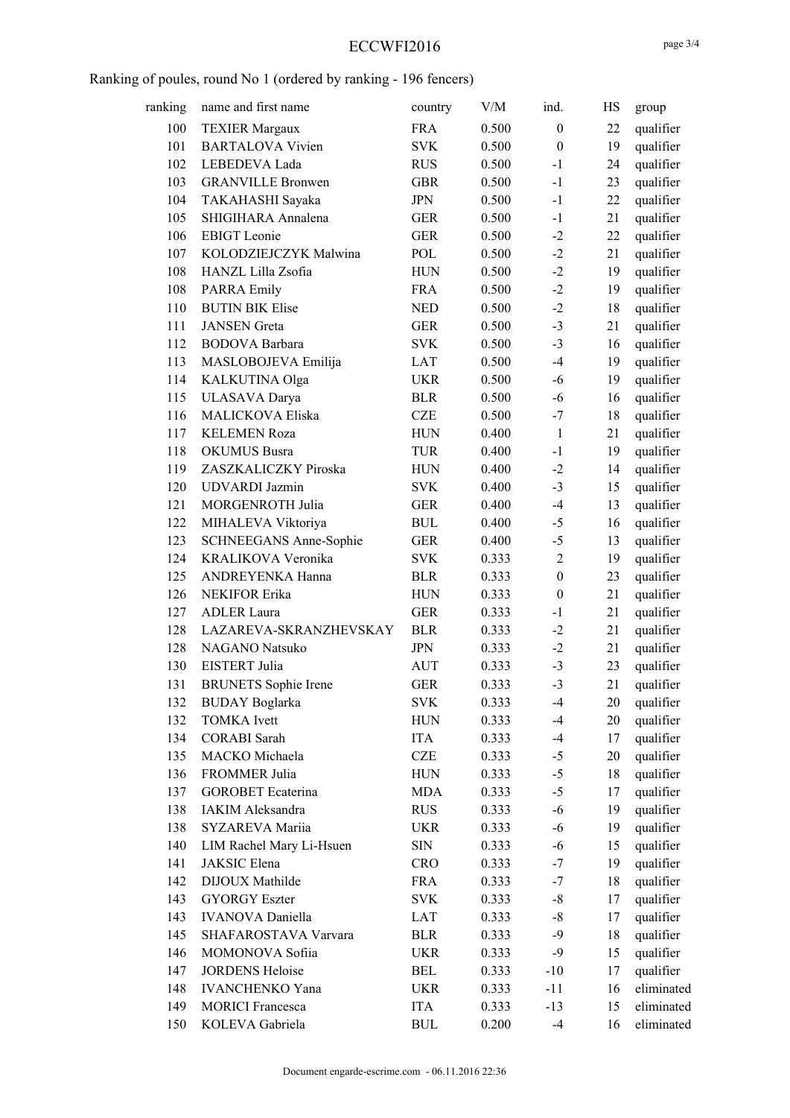## ECCWFI2016

| ranking | name and first name         | country    | V/M   | ind.             | HS | group      |
|---------|-----------------------------|------------|-------|------------------|----|------------|
| 100     | <b>TEXIER Margaux</b>       | <b>FRA</b> | 0.500 | $\boldsymbol{0}$ | 22 | qualifier  |
| 101     | <b>BARTALOVA Vivien</b>     | <b>SVK</b> | 0.500 | $\boldsymbol{0}$ | 19 | qualifier  |
| 102     | LEBEDEVA Lada               | <b>RUS</b> | 0.500 | $-1$             | 24 | qualifier  |
| 103     | <b>GRANVILLE Bronwen</b>    | <b>GBR</b> | 0.500 | $-1$             | 23 | qualifier  |
| 104     | TAKAHASHI Sayaka            | <b>JPN</b> | 0.500 | $-1$             | 22 | qualifier  |
| 105     | SHIGIHARA Annalena          | <b>GER</b> | 0.500 | $-1$             | 21 | qualifier  |
| 106     | <b>EBIGT</b> Leonie         | <b>GER</b> | 0.500 | $-2$             | 22 | qualifier  |
| 107     | KOLODZIEJCZYK Malwina       | POL        | 0.500 | $-2$             | 21 | qualifier  |
| 108     | HANZL Lilla Zsofia          | <b>HUN</b> | 0.500 | $-2$             | 19 | qualifier  |
| 108     | <b>PARRA Emily</b>          | <b>FRA</b> | 0.500 | $-2$             | 19 | qualifier  |
| 110     | <b>BUTIN BIK Elise</b>      | $\rm{NED}$ | 0.500 | $-2$             | 18 | qualifier  |
| 111     | <b>JANSEN</b> Greta         | <b>GER</b> | 0.500 | $-3$             | 21 | qualifier  |
| 112     | <b>BODOVA</b> Barbara       | <b>SVK</b> | 0.500 | $-3$             | 16 | qualifier  |
| 113     | MASLOBOJEVA Emilija         | LAT        | 0.500 | $-4$             | 19 | qualifier  |
| 114     | KALKUTINA Olga              | <b>UKR</b> | 0.500 | $-6$             | 19 | qualifier  |
| 115     | ULASAVA Darya               | <b>BLR</b> | 0.500 | $-6$             | 16 | qualifier  |
| 116     | MALICKOVA Eliska            | <b>CZE</b> | 0.500 | $-7$             | 18 | qualifier  |
| 117     | <b>KELEMEN Roza</b>         | <b>HUN</b> | 0.400 | $\mathbf{1}$     | 21 | qualifier  |
| 118     | <b>OKUMUS</b> Busra         | TUR        | 0.400 | $-1$             | 19 | qualifier  |
| 119     | ZASZKALICZKY Piroska        | <b>HUN</b> | 0.400 | $-2$             | 14 | qualifier  |
| 120     | <b>UDVARDI</b> Jazmin       | <b>SVK</b> | 0.400 | $-3$             | 15 | qualifier  |
| 121     | MORGENROTH Julia            | <b>GER</b> | 0.400 | $-4$             | 13 | qualifier  |
| 122     | MIHALEVA Viktoriya          | <b>BUL</b> | 0.400 | $-5$             | 16 | qualifier  |
| 123     | SCHNEEGANS Anne-Sophie      | <b>GER</b> | 0.400 | $-5$             | 13 | qualifier  |
| 124     | KRALIKOVA Veronika          | <b>SVK</b> | 0.333 | $\overline{2}$   | 19 | qualifier  |
| 125     | ANDREYENKA Hanna            | <b>BLR</b> | 0.333 | $\boldsymbol{0}$ | 23 | qualifier  |
| 126     | <b>NEKIFOR Erika</b>        | <b>HUN</b> | 0.333 | $\boldsymbol{0}$ | 21 | qualifier  |
| 127     | <b>ADLER</b> Laura          | <b>GER</b> | 0.333 | $-1$             | 21 | qualifier  |
| 128     | LAZAREVA-SKRANZHEVSKAY      | <b>BLR</b> | 0.333 | $-2$             | 21 | qualifier  |
| 128     | NAGANO Natsuko              | <b>JPN</b> | 0.333 | $-2$             | 21 | qualifier  |
| 130     | EISTERT Julia               | AUT        | 0.333 | $-3$             | 23 | qualifier  |
| 131     | <b>BRUNETS</b> Sophie Irene | <b>GER</b> | 0.333 | $-3$             | 21 | qualifier  |
| 132     | <b>BUDAY</b> Boglarka       | <b>SVK</b> | 0.333 | $-4$             | 20 | qualifier  |
| 132     | <b>TOMKA</b> Ivett          | <b>HUN</b> | 0.333 | $-4$             | 20 | qualifier  |
| 134     | <b>CORABI</b> Sarah         | <b>ITA</b> | 0.333 | $-4$             | 17 | qualifier  |
| 135     | MACKO Michaela              | <b>CZE</b> | 0.333 | $-5$             | 20 | qualifier  |
| 136     | FROMMER Julia               | <b>HUN</b> | 0.333 | $-5$             | 18 | qualifier  |
| 137     | <b>GOROBET</b> Ecaterina    | <b>MDA</b> | 0.333 | $-5$             | 17 | qualifier  |
| 138     | IAKIM Aleksandra            | <b>RUS</b> | 0.333 | $-6$             | 19 | qualifier  |
| 138     | SYZAREVA Mariia             | <b>UKR</b> | 0.333 | $-6$             | 19 | qualifier  |
| 140     | LIM Rachel Mary Li-Hsuen    | SIN        | 0.333 | $-6$             | 15 | qualifier  |
| 141     | JAKSIC Elena                | <b>CRO</b> | 0.333 | $-7$             | 19 | qualifier  |
| 142     | DIJOUX Mathilde             | <b>FRA</b> | 0.333 | $-7$             | 18 | qualifier  |
| 143     | <b>GYORGY Eszter</b>        | <b>SVK</b> | 0.333 | $-8$             | 17 | qualifier  |
| 143     | <b>IVANOVA</b> Daniella     | LAT        | 0.333 | $-8$             | 17 | qualifier  |
| 145     | SHAFAROSTAVA Varvara        | <b>BLR</b> | 0.333 | $-9$             | 18 | qualifier  |
| 146     | MOMONOVA Sofiia             | <b>UKR</b> | 0.333 | $-9$             | 15 | qualifier  |
| 147     | <b>JORDENS Heloise</b>      | BEL        | 0.333 | $-10$            | 17 | qualifier  |
| 148     | <b>IVANCHENKO Yana</b>      | <b>UKR</b> | 0.333 | $-11$            | 16 | eliminated |
| 149     | <b>MORICI Francesca</b>     | ITA        | 0.333 | $-13$            | 15 | eliminated |
| 150     | KOLEVA Gabriela             | <b>BUL</b> | 0.200 | $-4$             | 16 | eliminated |
|         |                             |            |       |                  |    |            |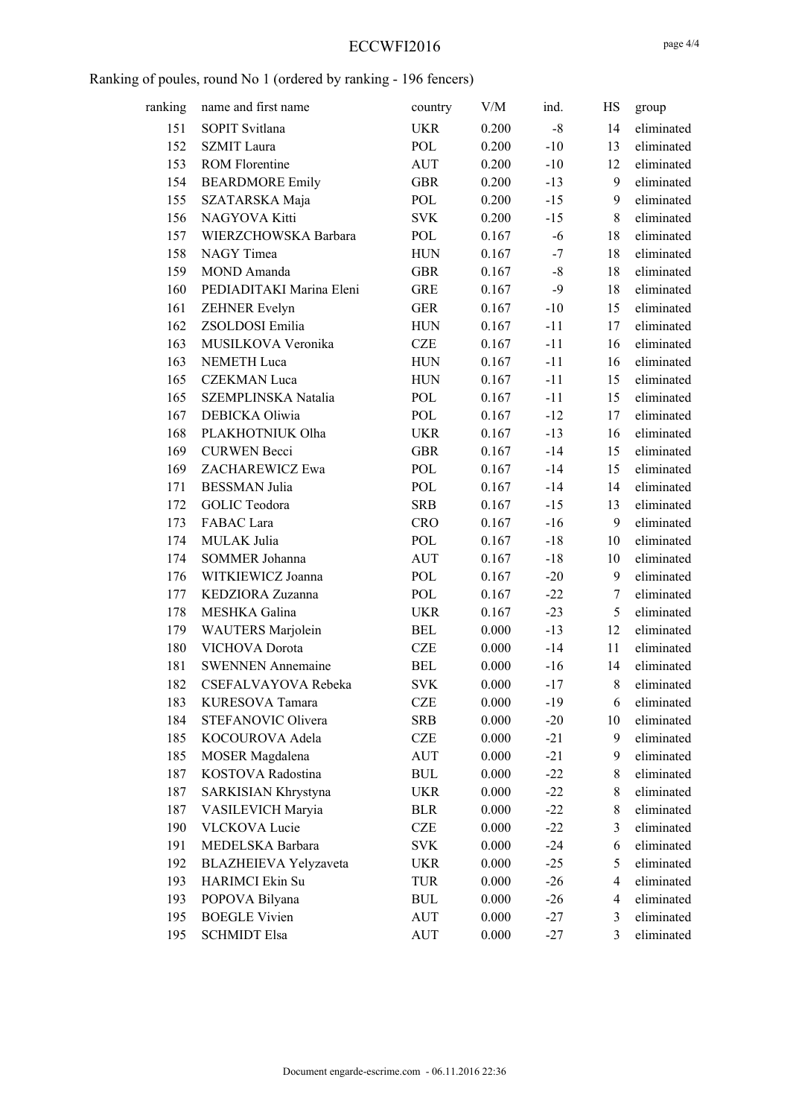## ECCWFI2016

| ranking | name and first name      | country    | V/M   | ind.  | HS             | group      |
|---------|--------------------------|------------|-------|-------|----------------|------------|
| 151     | SOPIT Svitlana           | <b>UKR</b> | 0.200 | $-8$  | 14             | eliminated |
| 152     | <b>SZMIT</b> Laura       | POL        | 0.200 | $-10$ | 13             | eliminated |
| 153     | <b>ROM Florentine</b>    | <b>AUT</b> | 0.200 | $-10$ | 12             | eliminated |
| 154     | <b>BEARDMORE Emily</b>   | <b>GBR</b> | 0.200 | $-13$ | 9              | eliminated |
| 155     | SZATARSKA Maja           | POL        | 0.200 | $-15$ | 9              | eliminated |
| 156     | NAGYOVA Kitti            | <b>SVK</b> | 0.200 | $-15$ | $\,$ 8 $\,$    | eliminated |
| 157     | WIERZCHOWSKA Barbara     | POL        | 0.167 | $-6$  | 18             | eliminated |
| 158     | NAGY Timea               | <b>HUN</b> | 0.167 | $-7$  | 18             | eliminated |
| 159     | MOND Amanda              | <b>GBR</b> | 0.167 | $-8$  | 18             | eliminated |
| 160     | PEDIADITAKI Marina Eleni | <b>GRE</b> | 0.167 | $-9$  | 18             | eliminated |
| 161     | <b>ZEHNER Evelyn</b>     | <b>GER</b> | 0.167 | $-10$ | 15             | eliminated |
| 162     | ZSOLDOSI Emilia          | <b>HUN</b> | 0.167 | $-11$ | 17             | eliminated |
| 163     | MUSILKOVA Veronika       | CZE        | 0.167 | $-11$ | 16             | eliminated |
| 163     | <b>NEMETH Luca</b>       | <b>HUN</b> | 0.167 | $-11$ | 16             | eliminated |
| 165     | <b>CZEKMAN</b> Luca      | <b>HUN</b> | 0.167 | $-11$ | 15             | eliminated |
| 165     | SZEMPLINSKA Natalia      | POL        | 0.167 | $-11$ | 15             | eliminated |
| 167     | DEBICKA Oliwia           | POL        | 0.167 | $-12$ | 17             | eliminated |
| 168     | PLAKHOTNIUK Olha         | <b>UKR</b> | 0.167 | $-13$ | 16             | eliminated |
| 169     | <b>CURWEN</b> Becci      | <b>GBR</b> | 0.167 | $-14$ | 15             | eliminated |
| 169     | ZACHAREWICZ Ewa          | POL        | 0.167 | $-14$ | 15             | eliminated |
| 171     | <b>BESSMAN</b> Julia     | POL        | 0.167 | $-14$ | 14             | eliminated |
| 172     | GOLIC Teodora            | <b>SRB</b> | 0.167 | $-15$ | 13             | eliminated |
| 173     | FABAC Lara               | <b>CRO</b> | 0.167 | $-16$ | 9              | eliminated |
| 174     | MULAK Julia              | POL        | 0.167 | $-18$ | 10             | eliminated |
| 174     | SOMMER Johanna           | <b>AUT</b> | 0.167 | $-18$ | 10             | eliminated |
| 176     | WITKIEWICZ Joanna        | POL        | 0.167 | $-20$ | 9              | eliminated |
| 177     | KEDZIORA Zuzanna         | POL        | 0.167 | $-22$ | 7              | eliminated |
| 178     | MESHKA Galina            | <b>UKR</b> | 0.167 | $-23$ | 5              | eliminated |
| 179     | <b>WAUTERS</b> Marjolein | <b>BEL</b> | 0.000 | $-13$ | 12             | eliminated |
| 180     | VICHOVA Dorota           | CZE        | 0.000 | $-14$ | 11             | eliminated |
| 181     | <b>SWENNEN Annemaine</b> | <b>BEL</b> | 0.000 | $-16$ | 14             | eliminated |
| 182     | CSEFALVAYOVA Rebeka      | <b>SVK</b> | 0.000 | $-17$ | 8              | eliminated |
| 183     | KURESOVA Tamara          | <b>CZE</b> | 0.000 | $-19$ | 6              | eliminated |
| 184     | STEFANOVIC Olivera       | <b>SRB</b> | 0.000 | $-20$ | 10             | eliminated |
| 185     | KOCOUROVA Adela          | CZE        | 0.000 | $-21$ | 9              | eliminated |
| 185     | MOSER Magdalena          | <b>AUT</b> | 0.000 | $-21$ | 9              | eliminated |
| 187     | KOSTOVA Radostina        | <b>BUL</b> | 0.000 | $-22$ | 8              | eliminated |
| 187     | SARKISIAN Khrystyna      | <b>UKR</b> | 0.000 | $-22$ | $\,$ 8 $\,$    | eliminated |
| 187     | VASILEVICH Maryia        | <b>BLR</b> | 0.000 | $-22$ | $\,$ 8 $\,$    | eliminated |
| 190     | VLCKOVA Lucie            | <b>CZE</b> | 0.000 | $-22$ | 3              | eliminated |
| 191     | MEDELSKA Barbara         | <b>SVK</b> | 0.000 | $-24$ | 6              | eliminated |
| 192     | BLAZHEIEVA Yelyzaveta    | UKR        | 0.000 | $-25$ | 5              | eliminated |
| 193     | HARIMCI Ekin Su          | TUR        | 0.000 | $-26$ | $\overline{4}$ | eliminated |
| 193     | POPOVA Bilyana           | <b>BUL</b> | 0.000 | $-26$ | 4              | eliminated |
| 195     | <b>BOEGLE Vivien</b>     | AUT        | 0.000 | $-27$ | 3              | eliminated |
| 195     | <b>SCHMIDT Elsa</b>      | AUT        | 0.000 | $-27$ | 3              | eliminated |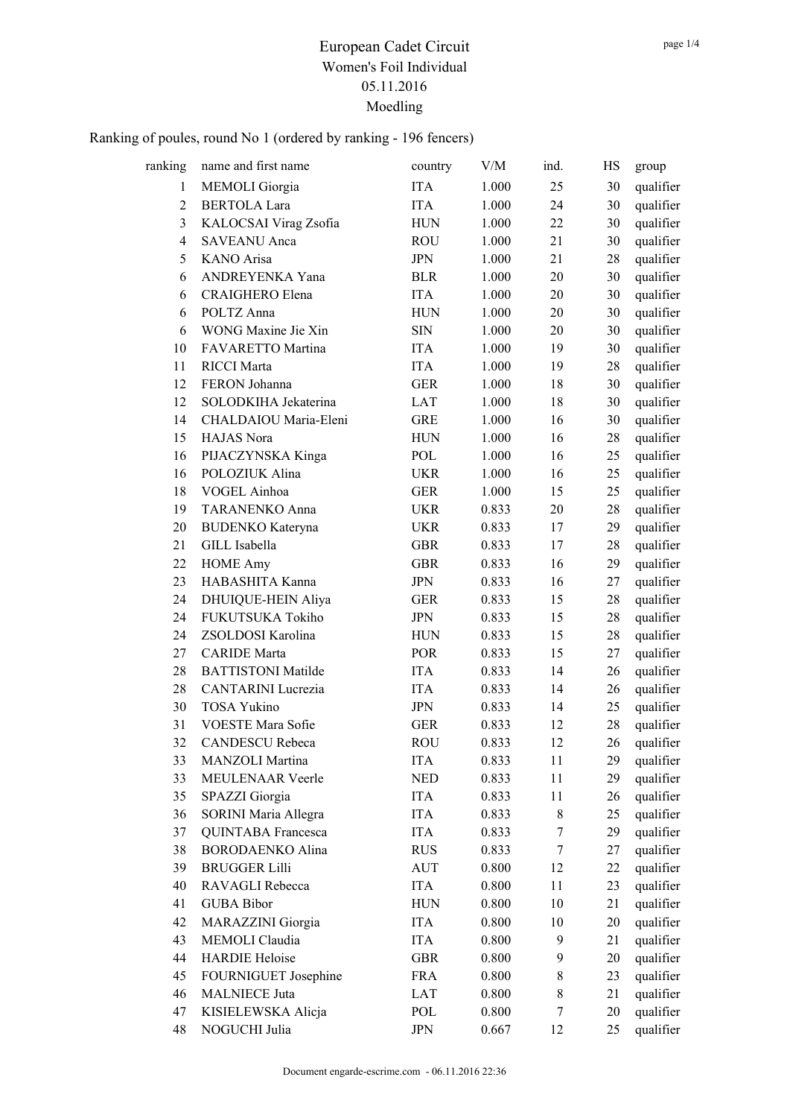| ranking        | name and first name       | country     | V/M   | ind.             | HS | group     |
|----------------|---------------------------|-------------|-------|------------------|----|-----------|
| 1              | <b>MEMOLI</b> Giorgia     | <b>ITA</b>  | 1.000 | 25               | 30 | qualifier |
| 2              | <b>BERTOLA Lara</b>       | <b>ITA</b>  | 1.000 | 24               | 30 | qualifier |
| 3              | KALOCSAI Virag Zsofia     | ${\rm HUN}$ | 1.000 | 22               | 30 | qualifier |
| $\overline{4}$ | <b>SAVEANU</b> Anca       | ROU         | 1.000 | 21               | 30 | qualifier |
| 5              | KANO Arisa                | <b>JPN</b>  | 1.000 | 21               | 28 | qualifier |
| 6              | ANDREYENKA Yana           | <b>BLR</b>  | 1.000 | 20               | 30 | qualifier |
| 6              | CRAIGHERO Elena           | <b>ITA</b>  | 1.000 | 20               | 30 | qualifier |
| 6              | POLTZ Anna                | ${\rm HUN}$ | 1.000 | 20               | 30 | qualifier |
| 6              | WONG Maxine Jie Xin       | <b>SIN</b>  | 1.000 | 20               | 30 | qualifier |
| 10             | FAVARETTO Martina         | <b>ITA</b>  | 1.000 | 19               | 30 | qualifier |
| 11             | <b>RICCI</b> Marta        | <b>ITA</b>  | 1.000 | 19               | 28 | qualifier |
| 12             | FERON Johanna             | <b>GER</b>  | 1.000 | 18               | 30 | qualifier |
| 12             | SOLODKIHA Jekaterina      | <b>LAT</b>  | 1.000 | 18               | 30 | qualifier |
| 14             | CHALDAIOU Maria-Eleni     | <b>GRE</b>  | 1.000 | 16               | 30 | qualifier |
| 15             | HAJAS Nora                | <b>HUN</b>  | 1.000 | 16               | 28 | qualifier |
| 16             | PIJACZYNSKA Kinga         | POL         | 1.000 | 16               | 25 | qualifier |
| 16             | POLOZIUK Alina            | <b>UKR</b>  | 1.000 | 16               | 25 | qualifier |
| 18             | VOGEL Ainhoa              | <b>GER</b>  | 1.000 | 15               | 25 | qualifier |
| 19             | <b>TARANENKO Anna</b>     | <b>UKR</b>  | 0.833 | 20               | 28 | qualifier |
| 20             | <b>BUDENKO</b> Kateryna   | <b>UKR</b>  | 0.833 | 17               | 29 | qualifier |
| 21             | GILL Isabella             | <b>GBR</b>  | 0.833 | 17               | 28 | qualifier |
| 22             | <b>HOME Amy</b>           | <b>GBR</b>  | 0.833 | 16               | 29 | qualifier |
| 23             | HABASHITA Kanna           | <b>JPN</b>  | 0.833 | 16               | 27 | qualifier |
| 24             | DHUIQUE-HEIN Aliya        | <b>GER</b>  | 0.833 | 15               | 28 | qualifier |
| 24             | FUKUTSUKA Tokiho          | <b>JPN</b>  | 0.833 | 15               | 28 | qualifier |
| 24             | ZSOLDOSI Karolina         | <b>HUN</b>  | 0.833 | 15               | 28 | qualifier |
| 27             | <b>CARIDE</b> Marta       | <b>POR</b>  | 0.833 | 15               | 27 | qualifier |
| 28             | <b>BATTISTONI Matilde</b> | <b>ITA</b>  | 0.833 | 14               | 26 | qualifier |
| 28             | <b>CANTARINI</b> Lucrezia | <b>ITA</b>  | 0.833 | 14               | 26 | qualifier |
| 30             | <b>TOSA Yukino</b>        | <b>JPN</b>  | 0.833 | 14               | 25 | qualifier |
| 31             | VOESTE Mara Sofie         | <b>GER</b>  | 0.833 | 12               | 28 | qualifier |
| 32             | <b>CANDESCU</b> Rebeca    | ROU         | 0.833 | 12               | 26 | qualifier |
| 33             | MANZOLI Martina           | <b>ITA</b>  | 0.833 | 11               | 29 | qualifier |
| 33             | MEULENAAR Veerle          | <b>NED</b>  | 0.833 | 11               | 29 | qualifier |
| 35             | SPAZZI Giorgia            | <b>ITA</b>  | 0.833 | 11               | 26 | qualifier |
| 36             | SORINI Maria Allegra      | <b>ITA</b>  | 0.833 | 8                | 25 | qualifier |
| 37             | <b>QUINTABA</b> Francesca | <b>ITA</b>  | 0.833 | 7                | 29 | qualifier |
| 38             | <b>BORODAENKO Alina</b>   | <b>RUS</b>  | 0.833 | 7                | 27 | qualifier |
| 39             | <b>BRUGGER Lilli</b>      | <b>AUT</b>  | 0.800 | 12               | 22 | qualifier |
| 40             | RAVAGLI Rebecca           | ITA         | 0.800 | 11               | 23 | qualifier |
| 41             | <b>GUBA Bibor</b>         | <b>HUN</b>  | 0.800 | 10               | 21 | qualifier |
| 42             | MARAZZINI Giorgia         | ITA         | 0.800 | 10               | 20 | qualifier |
| 43             | MEMOLI Claudia            | <b>ITA</b>  | 0.800 | $\boldsymbol{9}$ | 21 | qualifier |
| 44             | <b>HARDIE Heloise</b>     | <b>GBR</b>  | 0.800 | 9                | 20 | qualifier |
| 45             | FOURNIGUET Josephine      | <b>FRA</b>  | 0.800 | $\,8\,$          | 23 | qualifier |
| 46             | <b>MALNIECE Juta</b>      | LAT         | 0.800 | $8\,$            | 21 | qualifier |
| 47             | KISIELEWSKA Alicja        | POL         | 0.800 | 7                | 20 | qualifier |
| 48             | NOGUCHI Julia             | <b>JPN</b>  | 0.667 | 12               | 25 | qualifier |
|                |                           |             |       |                  |    |           |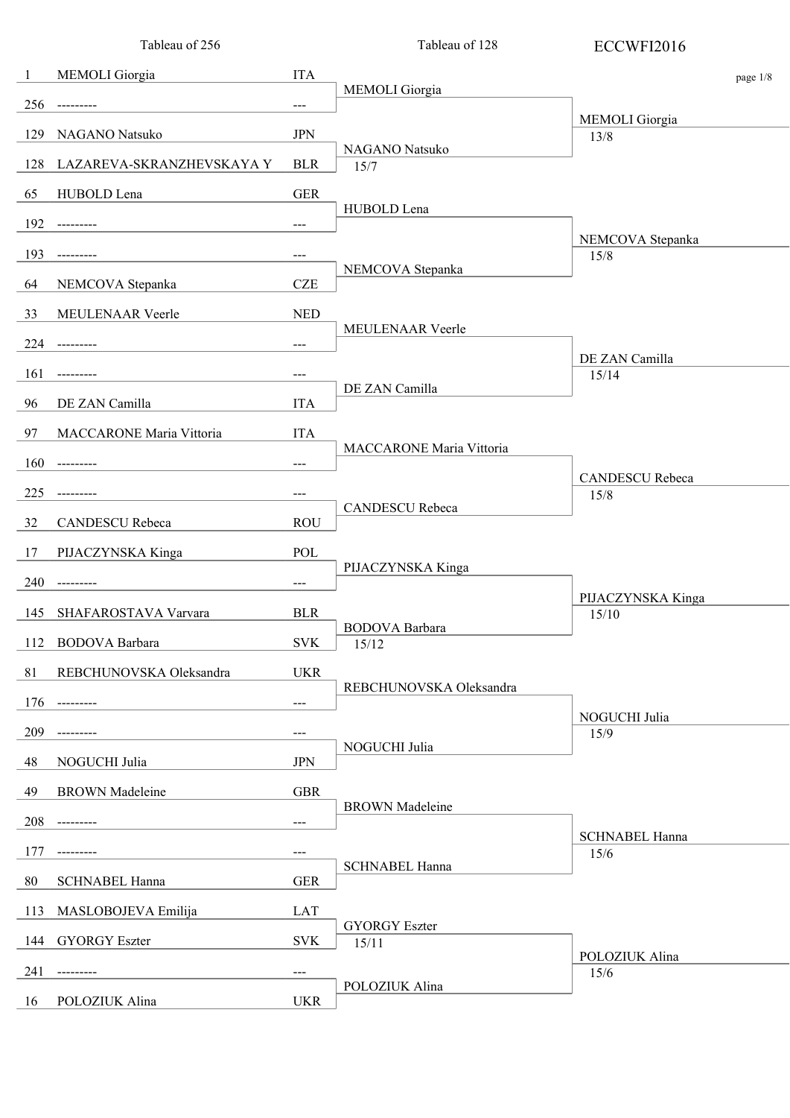|     | Tableau of 256            |            | Tableau of 128                  | ECCWFI2016                    |
|-----|---------------------------|------------|---------------------------------|-------------------------------|
| -1  | MEMOLI Giorgia            | <b>ITA</b> |                                 | page 1/8                      |
| 256 | ---------                 | $---$      | <b>MEMOLI</b> Giorgia           |                               |
| 129 | NAGANO Natsuko            | <b>JPN</b> |                                 | MEMOLI Giorgia<br>13/8        |
| 128 | LAZAREVA-SKRANZHEVSKAYA Y | <b>BLR</b> | NAGANO Natsuko<br>15/7          |                               |
| 65  | HUBOLD Lena               | <b>GER</b> |                                 |                               |
| 192 | ---------                 | $---$      | HUBOLD Lena                     |                               |
| 193 |                           | ---        |                                 | NEMCOVA Stepanka<br>15/8      |
| 64  | NEMCOVA Stepanka          | <b>CZE</b> | NEMCOVA Stepanka                |                               |
| 33  | MEULENAAR Veerle          | <b>NED</b> |                                 |                               |
| 224 | ---------                 | $---$      | MEULENAAR Veerle                |                               |
| 161 |                           | ---        |                                 | DE ZAN Camilla<br>15/14       |
| 96  | DE ZAN Camilla            | <b>ITA</b> | DE ZAN Camilla                  |                               |
|     |                           |            |                                 |                               |
| 97  | MACCARONE Maria Vittoria  | <b>ITA</b> | <b>MACCARONE Maria Vittoria</b> |                               |
| 160 |                           | $---$      |                                 | <b>CANDESCU</b> Rebeca        |
| 225 |                           | $---$      | CANDESCU Rebeca                 | 15/8                          |
| 32  | CANDESCU Rebeca           | <b>ROU</b> |                                 |                               |
| 17  | PIJACZYNSKA Kinga         | POL        | PIJACZYNSKA Kinga               |                               |
| 240 |                           | $---$      |                                 | PIJACZYNSKA Kinga             |
| 145 | SHAFAROSTAVA Varvara      | <b>BLR</b> | BODOVA Barbara                  | 15/10                         |
|     | 112 BODOVA Barbara        | <b>SVK</b> | 15/12                           |                               |
| 81  | REBCHUNOVSKA Oleksandra   | <b>UKR</b> |                                 |                               |
| 176 |                           | $---$      | REBCHUNOVSKA Oleksandra         |                               |
| 209 |                           | ---        |                                 | NOGUCHI Julia<br>15/9         |
| 48  | NOGUCHI Julia             | <b>JPN</b> | NOGUCHI Julia                   |                               |
| 49  | <b>BROWN</b> Madeleine    | <b>GBR</b> |                                 |                               |
| 208 |                           | $---$      | <b>BROWN</b> Madeleine          |                               |
| 177 |                           | ---        |                                 | <b>SCHNABEL Hanna</b><br>15/6 |
| 80  | <b>SCHNABEL Hanna</b>     | <b>GER</b> | <b>SCHNABEL Hanna</b>           |                               |
| 113 | MASLOBOJEVA Emilija       | LAT        |                                 |                               |
| 144 | <b>GYORGY Eszter</b>      | <b>SVK</b> | <b>GYORGY Eszter</b>            |                               |
|     |                           |            | 15/11                           | POLOZIUK Alina                |
| 241 |                           | ---        | POLOZIUK Alina                  | 15/6                          |
| 16  | POLOZIUK Alina            | <b>UKR</b> |                                 |                               |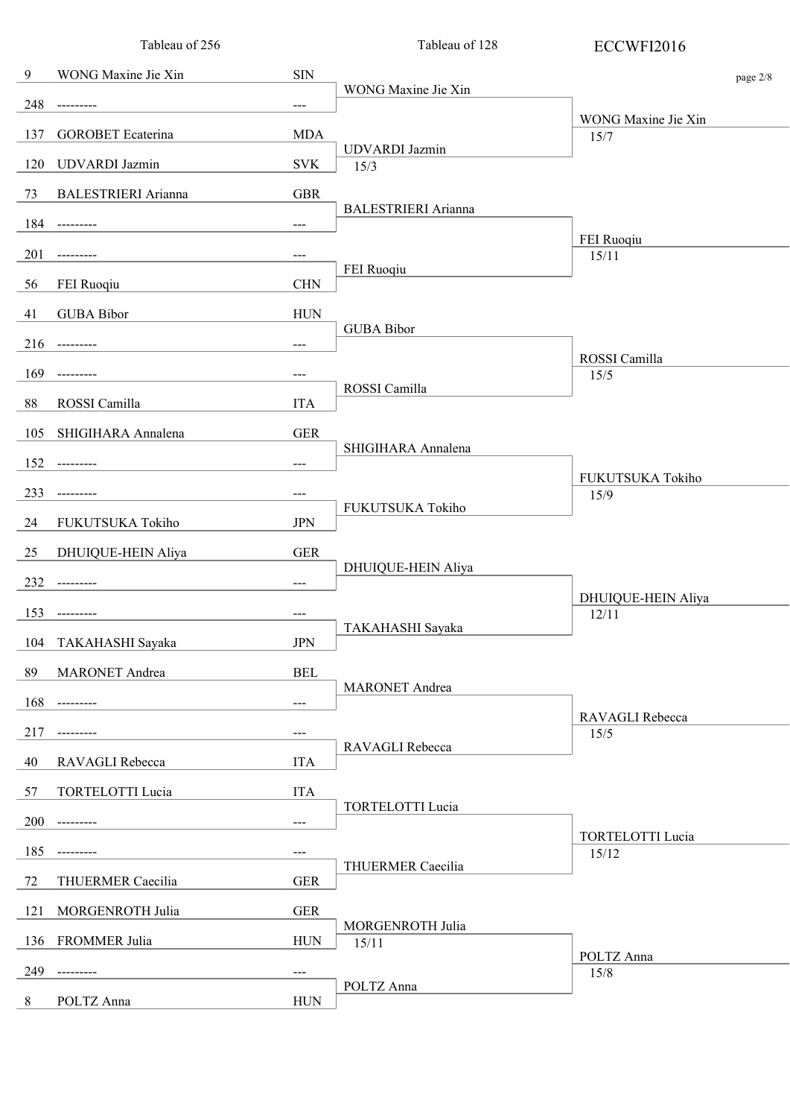|     | Tableau of 256             |                     | Tableau of 128                | ECCWFI2016                       |  |
|-----|----------------------------|---------------------|-------------------------------|----------------------------------|--|
| 9   | WONG Maxine Jie Xin        | <b>SIN</b>          |                               | page 2/8                         |  |
| 248 | ---------                  | $---$               | WONG Maxine Jie Xin           |                                  |  |
| 137 | <b>GOROBET</b> Ecaterina   | <b>MDA</b>          |                               | WONG Maxine Jie Xin<br>15/7      |  |
| 120 | <b>UDVARDI</b> Jazmin      | <b>SVK</b>          | <b>UDVARDI</b> Jazmin<br>15/3 |                                  |  |
| 73  | <b>BALESTRIERI</b> Arianna | <b>GBR</b>          |                               |                                  |  |
| 184 | ---------                  | $---$               | <b>BALESTRIERI</b> Arianna    |                                  |  |
| 201 | ---------                  | $\qquad \qquad - -$ |                               | FEI Ruoqiu<br>15/11              |  |
| 56  | FEI Ruoqiu                 | <b>CHN</b>          | FEI Ruoqiu                    |                                  |  |
| 41  | <b>GUBA Bibor</b>          | <b>HUN</b>          |                               |                                  |  |
| 216 | ---------                  | $---$               | <b>GUBA Bibor</b>             |                                  |  |
| 169 | ---------                  | $---$               |                               | ROSSI Camilla<br>15/5            |  |
| 88  | ROSSI Camilla              | <b>ITA</b>          | ROSSI Camilla                 |                                  |  |
| 105 | SHIGIHARA Annalena         | <b>GER</b>          |                               |                                  |  |
| 152 | ----------                 | $---$               | SHIGIHARA Annalena            |                                  |  |
| 233 | ---------                  | $\qquad \qquad - -$ |                               | FUKUTSUKA Tokiho<br>15/9         |  |
| 24  | FUKUTSUKA Tokiho           | <b>JPN</b>          | FUKUTSUKA Tokiho              |                                  |  |
| 25  | DHUIQUE-HEIN Aliya         | <b>GER</b>          |                               |                                  |  |
| 232 | ----------                 | $---$               | DHUIQUE-HEIN Aliya            |                                  |  |
| 153 | ---------                  | $---$               |                               | DHUIQUE-HEIN Aliya<br>12/11      |  |
| 104 | TAKAHASHI Sayaka           | <b>JPN</b>          | TAKAHASHI Sayaka              |                                  |  |
| 89  | <b>MARONET</b> Andrea      | <b>BEL</b>          |                               |                                  |  |
| 168 | ----------                 | $---$               | <b>MARONET</b> Andrea         |                                  |  |
| 217 | ----------                 | $---$               |                               | RAVAGLI Rebecca<br>15/5          |  |
| 40  | RAVAGLI Rebecca            | <b>ITA</b>          | RAVAGLI Rebecca               |                                  |  |
| 57  | TORTELOTTI Lucia           | <b>ITA</b>          |                               |                                  |  |
| 200 | ---------                  | $---$               | <b>TORTELOTTI Lucia</b>       |                                  |  |
| 185 |                            | ---                 |                               | <b>TORTELOTTI Lucia</b><br>15/12 |  |
| 72  | THUERMER Caecilia          | <b>GER</b>          | THUERMER Caecilia             |                                  |  |
| 121 | MORGENROTH Julia           | ${\tt GER}$         |                               |                                  |  |
| 136 | FROMMER Julia              | <b>HUN</b>          | MORGENROTH Julia<br>15/11     |                                  |  |
| 249 | ------                     | $---$               |                               | POLTZ Anna<br>15/8               |  |
| 8   | POLTZ Anna                 | <b>HUN</b>          | POLTZ Anna                    |                                  |  |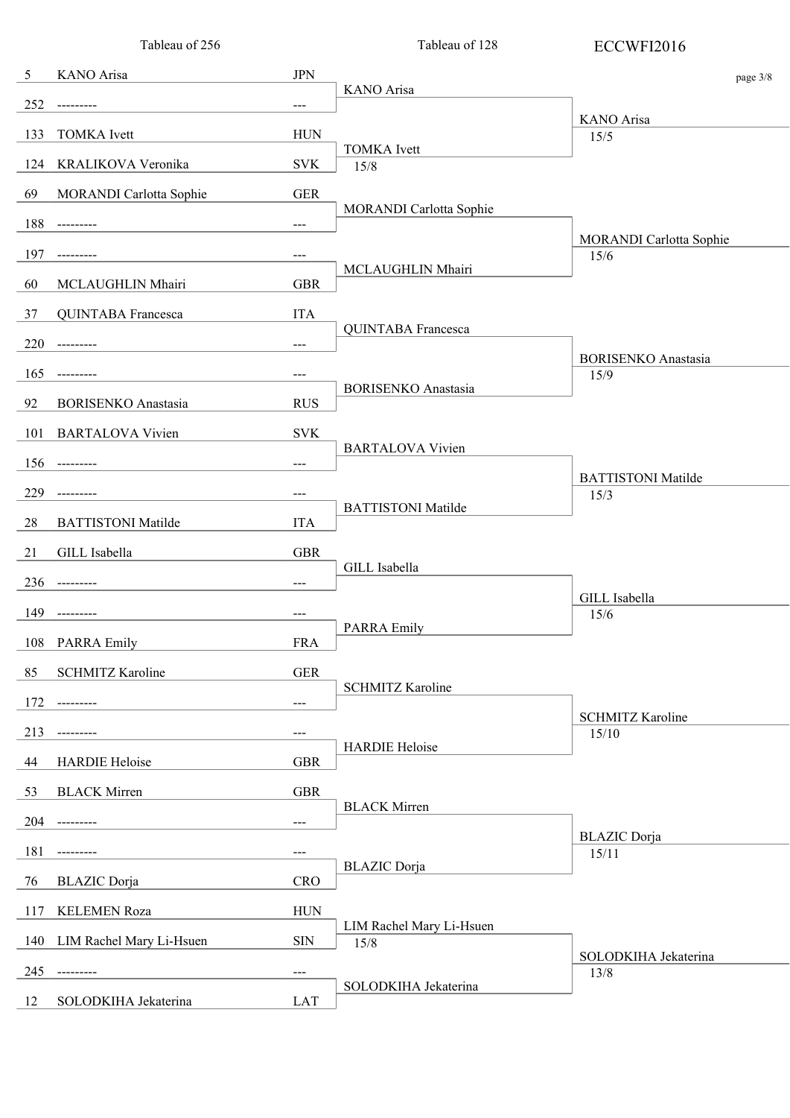|                                  | Tableau of 256                         |             | Tableau of 128                   | ECCWFI2016                         |
|----------------------------------|----------------------------------------|-------------|----------------------------------|------------------------------------|
| KANO Arisa<br>- 5                | <b>JPN</b>                             |             |                                  | page 3/8                           |
| 252<br>----------                | $\qquad \qquad - -$                    |             | KANO Arisa                       |                                    |
| 133<br><b>TOMKA</b> Ivett        |                                        | <b>HUN</b>  |                                  | KANO Arisa<br>15/5                 |
| KRALIKOVA Veronika<br>124        |                                        | <b>SVK</b>  | <b>TOMKA</b> Ivett<br>15/8       |                                    |
| 69<br>MORANDI Carlotta Sophie    |                                        | <b>GER</b>  |                                  |                                    |
| 188<br>---------                 | $---$                                  |             | MORANDI Carlotta Sophie          |                                    |
| 197                              | $---$                                  |             |                                  | MORANDI Carlotta Sophie<br>15/6    |
| 60<br>MCLAUGHLIN Mhairi          |                                        | <b>GBR</b>  | MCLAUGHLIN Mhairi                |                                    |
| 37<br>QUINTABA Francesca         | <b>ITA</b>                             |             |                                  |                                    |
| 220<br>----------                | ---                                    |             | <b>QUINTABA</b> Francesca        |                                    |
| 165                              | ---                                    |             |                                  | <b>BORISENKO</b> Anastasia<br>15/9 |
| 92<br><b>BORISENKO</b> Anastasia |                                        | <b>RUS</b>  | <b>BORISENKO</b> Anastasia       |                                    |
| 101<br><b>BARTALOVA Vivien</b>   |                                        | <b>SVK</b>  |                                  |                                    |
| 156<br>---------                 | $---$                                  |             | <b>BARTALOVA Vivien</b>          |                                    |
| 229<br>---------                 | ---                                    |             |                                  | <b>BATTISTONI Matilde</b><br>15/3  |
| 28<br><b>BATTISTONI Matilde</b>  | <b>ITA</b>                             |             | <b>BATTISTONI</b> Matilde        |                                    |
| GILL Isabella<br>21              |                                        | <b>GBR</b>  |                                  |                                    |
| 236<br>---------                 | $\scriptstyle\cdots\scriptstyle\cdots$ |             | GILL Isabella                    |                                    |
| 149<br>-------                   | $---$                                  |             |                                  | GILL Isabella<br>15/6              |
| <b>PARRA Emily</b><br>108        |                                        | <b>FRA</b>  | <b>PARRA Emily</b>               |                                    |
| <b>SCHMITZ Karoline</b><br>85    |                                        | ${\tt GER}$ |                                  |                                    |
| 172<br>----------                | $\scriptstyle\cdots\scriptstyle\cdots$ |             | <b>SCHMITZ Karoline</b>          |                                    |
| 213<br>---------                 | $---$                                  |             |                                  | <b>SCHMITZ Karoline</b><br>15/10   |
| <b>HARDIE Heloise</b><br>44      |                                        | <b>GBR</b>  | <b>HARDIE Heloise</b>            |                                    |
| <b>BLACK Mirren</b><br>53        |                                        | <b>GBR</b>  |                                  |                                    |
| 204<br>----------                | $---$                                  |             | <b>BLACK Mirren</b>              |                                    |
| 181                              | ---                                    |             |                                  | <b>BLAZIC</b> Dorja<br>15/11       |
| 76<br><b>BLAZIC</b> Dorja        |                                        | <b>CRO</b>  | <b>BLAZIC</b> Dorja              |                                    |
| <b>KELEMEN Roza</b><br>117       |                                        | <b>HUN</b>  |                                  |                                    |
| 140<br>LIM Rachel Mary Li-Hsuen  | <b>SIN</b>                             |             | LIM Rachel Mary Li-Hsuen<br>15/8 |                                    |
| 245<br>---------                 | ---                                    |             |                                  | SOLODKIHA Jekaterina               |
| SOLODKIHA Jekaterina<br>12       |                                        | <b>LAT</b>  | SOLODKIHA Jekaterina             | 13/8                               |
|                                  |                                        |             |                                  |                                    |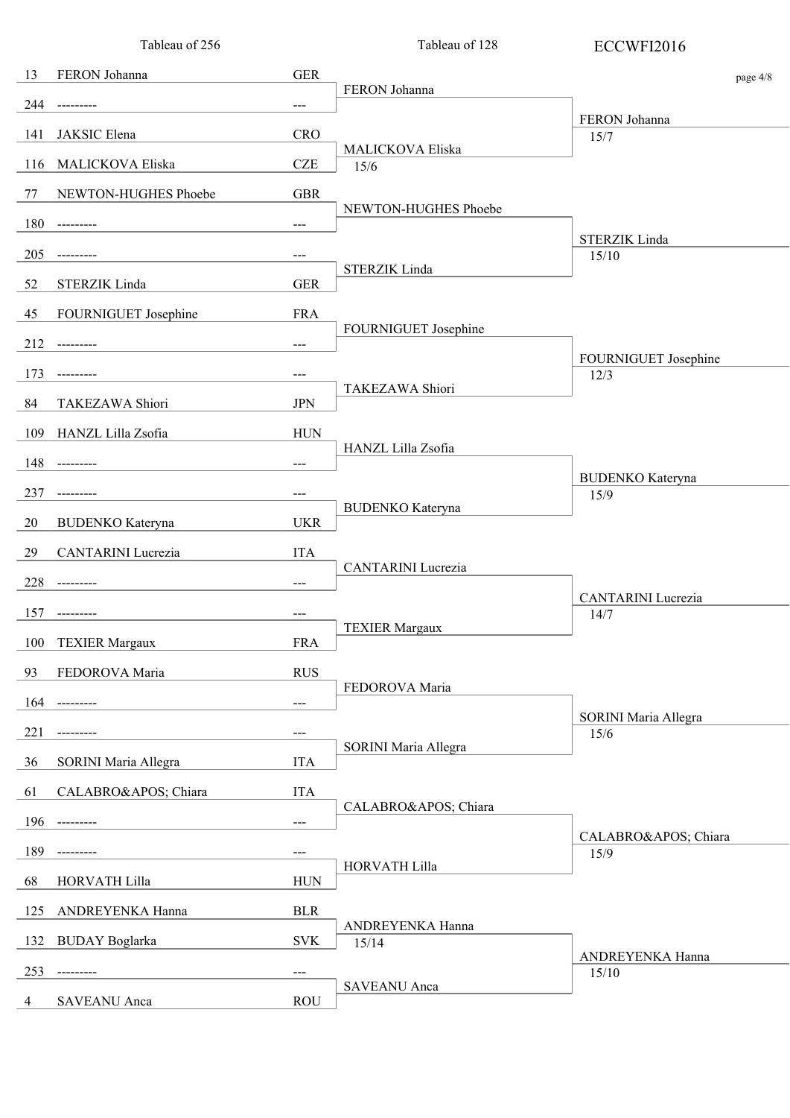|     | Tableau of 256          |                     | Tableau of 128            | ECCWFI2016                        |
|-----|-------------------------|---------------------|---------------------------|-----------------------------------|
| 13  | FERON Johanna           | <b>GER</b>          |                           | page 4/8                          |
| 244 | ---------               | $---$               | FERON Johanna             |                                   |
| 141 | JAKSIC Elena            | <b>CRO</b>          |                           | FERON Johanna<br>15/7             |
| 116 | MALICKOVA Eliska        | <b>CZE</b>          | MALICKOVA Eliska<br>15/6  |                                   |
| 77  | NEWTON-HUGHES Phoebe    | <b>GBR</b>          |                           |                                   |
| 180 | ---------               | $---$               | NEWTON-HUGHES Phoebe      |                                   |
| 205 | ---------               | $---$               |                           | STERZIK Linda<br>15/10            |
| 52  | STERZIK Linda           | <b>GER</b>          | <b>STERZIK Linda</b>      |                                   |
| 45  | FOURNIGUET Josephine    | <b>FRA</b>          |                           |                                   |
| 212 | ----------              | $\qquad \qquad - -$ | FOURNIGUET Josephine      |                                   |
| 173 | ---------               | $---$               |                           | FOURNIGUET Josephine<br>12/3      |
| 84  | <b>TAKEZAWA Shiori</b>  | <b>JPN</b>          | TAKEZAWA Shiori           |                                   |
| 109 | HANZL Lilla Zsofia      | <b>HUN</b>          |                           |                                   |
| 148 | ----------              | $---$               | HANZL Lilla Zsofia        |                                   |
| 237 | ---------               | $---$               |                           | <b>BUDENKO</b> Kateryna<br>15/9   |
| 20  | <b>BUDENKO</b> Kateryna | <b>UKR</b>          | <b>BUDENKO</b> Kateryna   |                                   |
| 29  | CANTARINI Lucrezia      | <b>ITA</b>          |                           |                                   |
| 228 | ---------               | $---$               | <b>CANTARINI</b> Lucrezia |                                   |
| 157 | ----------              | $---$               |                           | <b>CANTARINI</b> Lucrezia<br>14/7 |
| 100 | <b>TEXIER Margaux</b>   | <b>FRA</b>          | <b>TEXIER Margaux</b>     |                                   |
| 93  | FEDOROVA Maria          | <b>RUS</b>          |                           |                                   |
| 164 | ----------              | $---$               | FEDOROVA Maria            |                                   |
| 221 |                         | $---$               |                           | SORINI Maria Allegra<br>15/6      |
| 36  | SORINI Maria Allegra    | <b>ITA</b>          | SORINI Maria Allegra      |                                   |
| 61  | CALABRO' Chiara         | <b>ITA</b>          |                           |                                   |
| 196 | ----------              | $---$               | CALABRO' Chiara           |                                   |
| 189 | ---------               | $---$               |                           | CALABRO' Chiara<br>15/9           |
| 68  | HORVATH Lilla           | <b>HUN</b>          | HORVATH Lilla             |                                   |
| 125 | ANDREYENKA Hanna        | <b>BLR</b>          |                           |                                   |
| 132 | <b>BUDAY</b> Boglarka   | <b>SVK</b>          | ANDREYENKA Hanna<br>15/14 |                                   |
| 253 | ---------               | $---$               |                           | ANDREYENKA Hanna<br>15/10         |
| 4   | SAVEANU Anca            | <b>ROU</b>          | <b>SAVEANU</b> Anca       |                                   |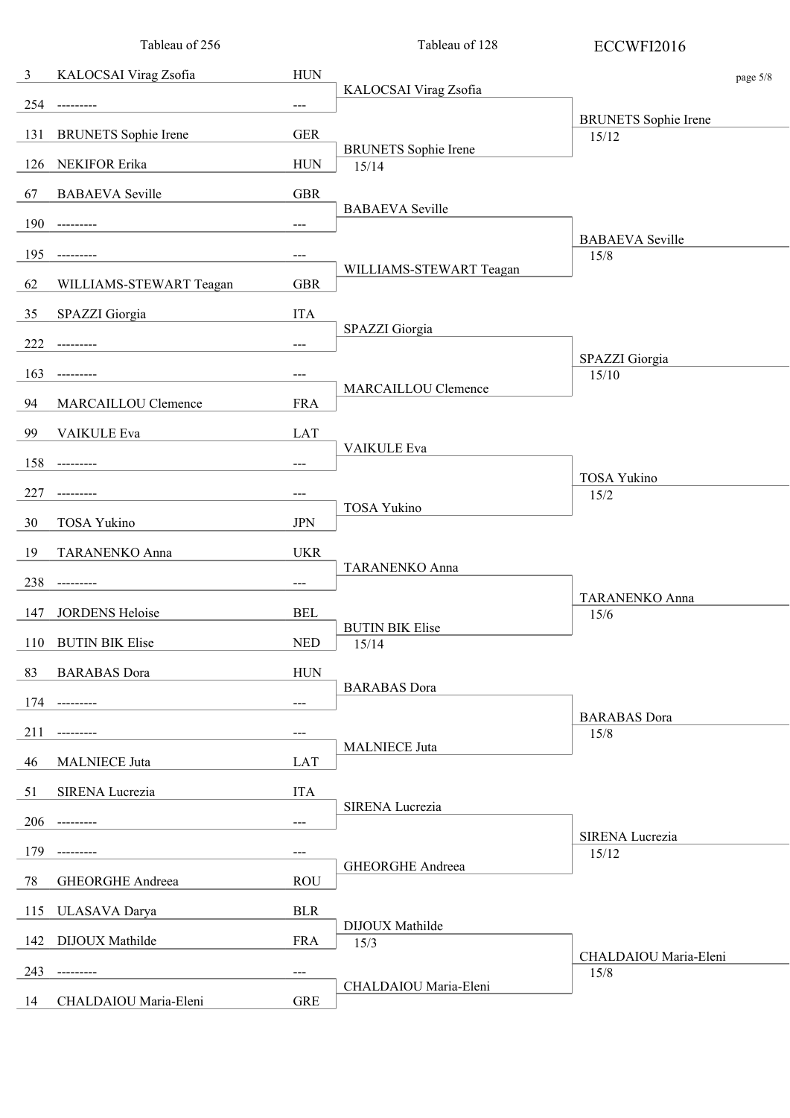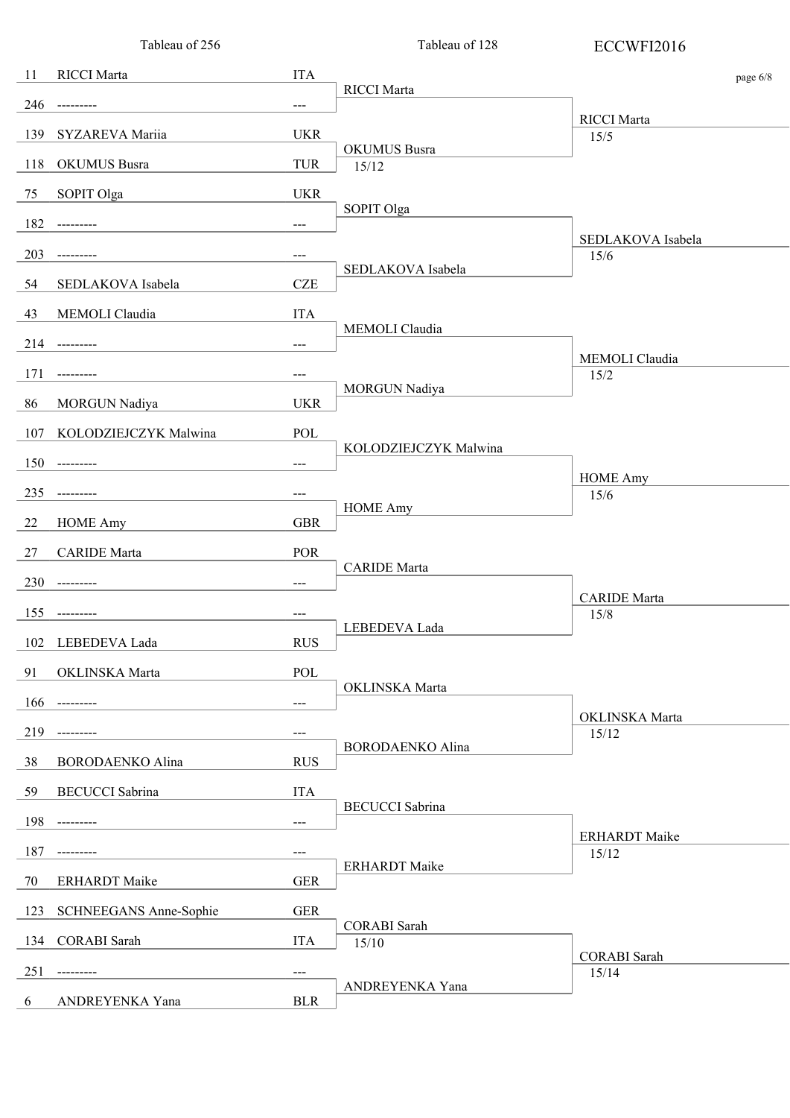|     | Tableau of 256          |                     | Tableau of 128               | ECCWFI2016                    |          |
|-----|-------------------------|---------------------|------------------------------|-------------------------------|----------|
| 11  | RICCI Marta             | <b>ITA</b>          |                              |                               | page 6/8 |
| 246 | ---------               | $---$               | RICCI Marta                  |                               |          |
| 139 | SYZAREVA Mariia         | <b>UKR</b>          |                              | <b>RICCI</b> Marta<br>15/5    |          |
| 118 | <b>OKUMUS</b> Busra     | <b>TUR</b>          | OKUMUS Busra<br>15/12        |                               |          |
| 75  | SOPIT Olga              | <b>UKR</b>          |                              |                               |          |
| 182 | ---------               | $---$               | SOPIT Olga                   |                               |          |
| 203 | ---------               | ---                 |                              | SEDLAKOVA Isabela<br>15/6     |          |
| 54  | SEDLAKOVA Isabela       | <b>CZE</b>          | SEDLAKOVA Isabela            |                               |          |
| 43  | MEMOLI Claudia          | <b>ITA</b>          |                              |                               |          |
|     | 214 ---------           | $---$               | MEMOLI Claudia               |                               |          |
| 171 | ---------               | $---$               |                              | MEMOLI Claudia<br>15/2        |          |
| 86  | MORGUN Nadiya           | <b>UKR</b>          | <b>MORGUN Nadiya</b>         |                               |          |
| 107 | KOLODZIEJCZYK Malwina   | POL                 |                              |                               |          |
| 150 | ---------               | $---$               | KOLODZIEJCZYK Malwina        |                               |          |
| 235 | ---------               | $---$               |                              | <b>HOME Amy</b><br>15/6       |          |
| 22  | <b>HOME Amy</b>         | <b>GBR</b>          | <b>HOME Amy</b>              |                               |          |
| 27  | <b>CARIDE</b> Marta     | POR                 |                              |                               |          |
| 230 | ---------               | $---$               | <b>CARIDE</b> Marta          |                               |          |
| 155 | ---------               | $\qquad \qquad - -$ |                              | <b>CARIDE</b> Marta<br>15/8   |          |
| 102 | LEBEDEVA Lada           | <b>RUS</b>          | LEBEDEVA Lada                |                               |          |
| 91  | OKLINSKA Marta          | POL                 |                              |                               |          |
| 166 | ---------               | $---$               | OKLINSKA Marta               |                               |          |
| 219 |                         | $---$               |                              | OKLINSKA Marta<br>15/12       |          |
| 38  | <b>BORODAENKO Alina</b> | <b>RUS</b>          | <b>BORODAENKO Alina</b>      |                               |          |
| 59  | <b>BECUCCI</b> Sabrina  | <b>ITA</b>          |                              |                               |          |
| 198 | ---------               | $---$               | <b>BECUCCI</b> Sabrina       |                               |          |
| 187 |                         | ---                 |                              | <b>ERHARDT</b> Maike<br>15/12 |          |
| 70  | <b>ERHARDT</b> Maike    | <b>GER</b>          | <b>ERHARDT</b> Maike         |                               |          |
| 123 | SCHNEEGANS Anne-Sophie  | <b>GER</b>          |                              |                               |          |
| 134 | <b>CORABI</b> Sarah     | <b>ITA</b>          | <b>CORABI</b> Sarah<br>15/10 |                               |          |
| 251 |                         | $---$               |                              | <b>CORABI</b> Sarah<br>15/14  |          |
| 6   | ANDREYENKA Yana         | <b>BLR</b>          | ANDREYENKA Yana              |                               |          |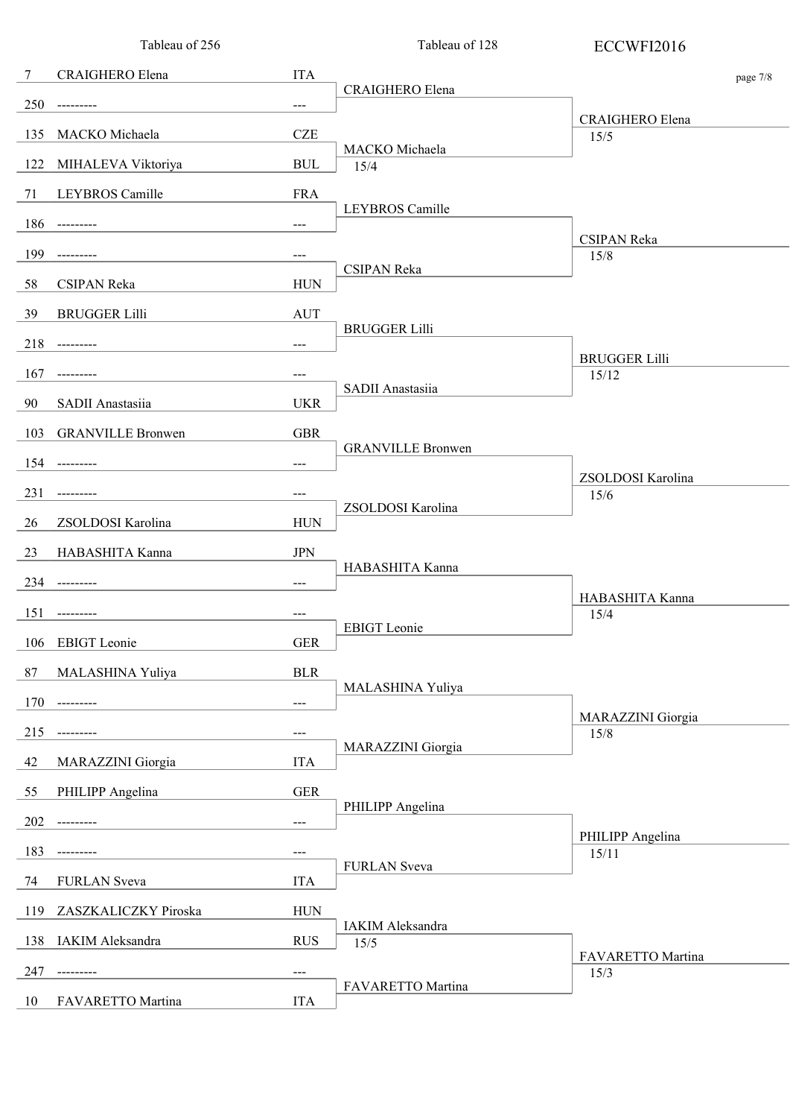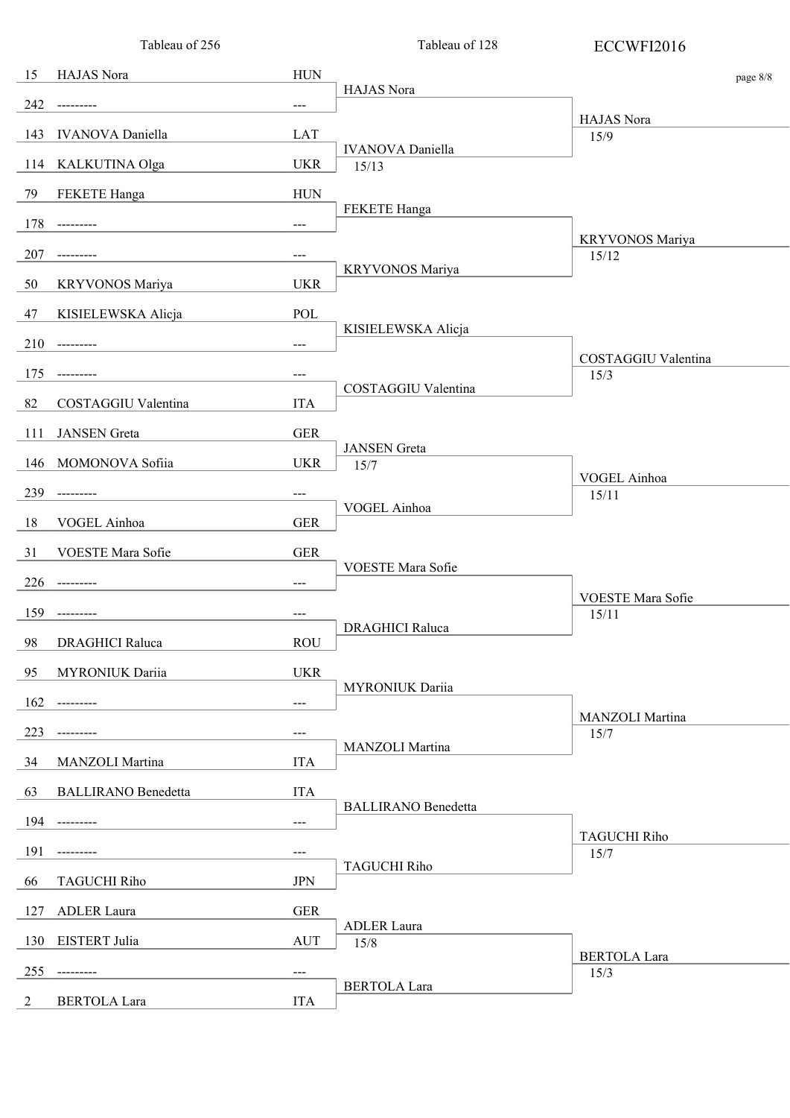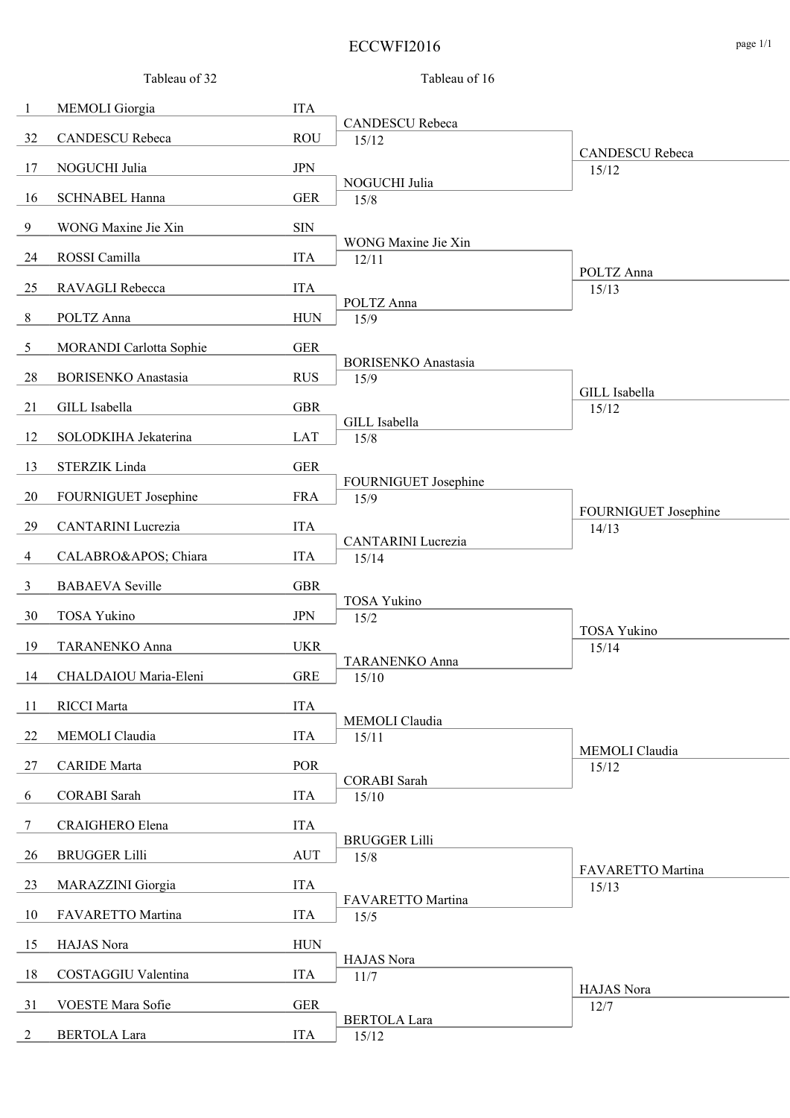#### ECCWFI2016 page 1/1

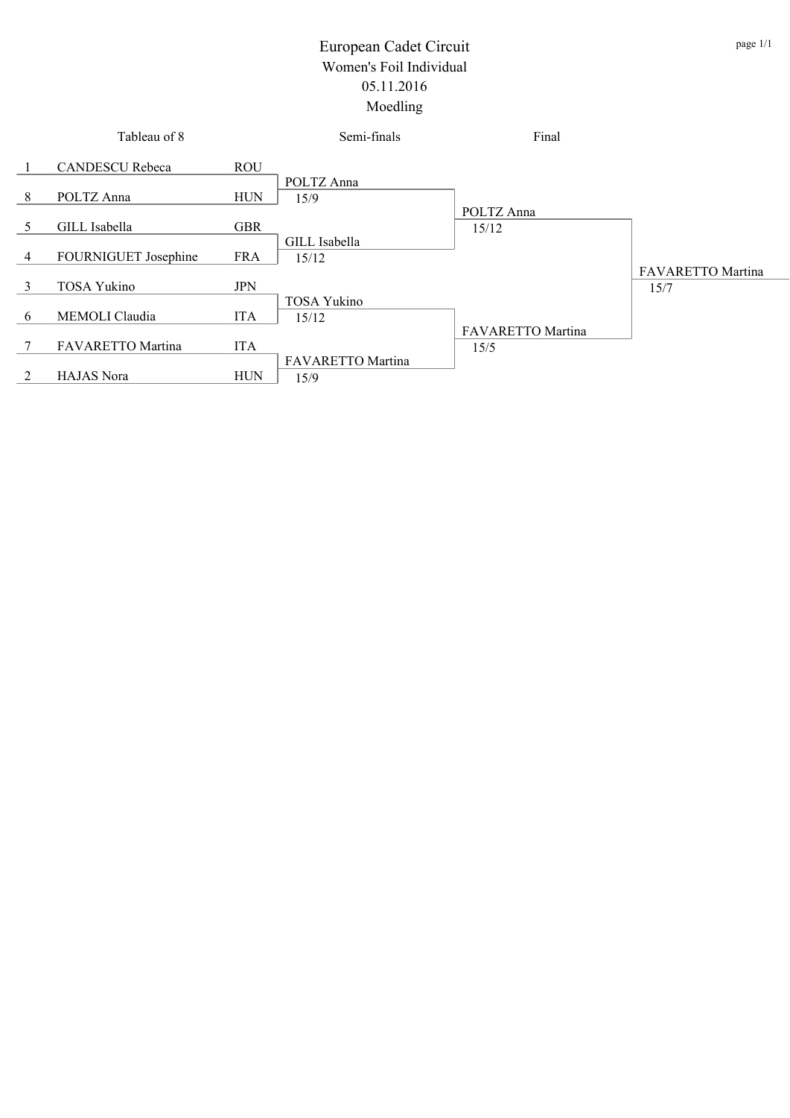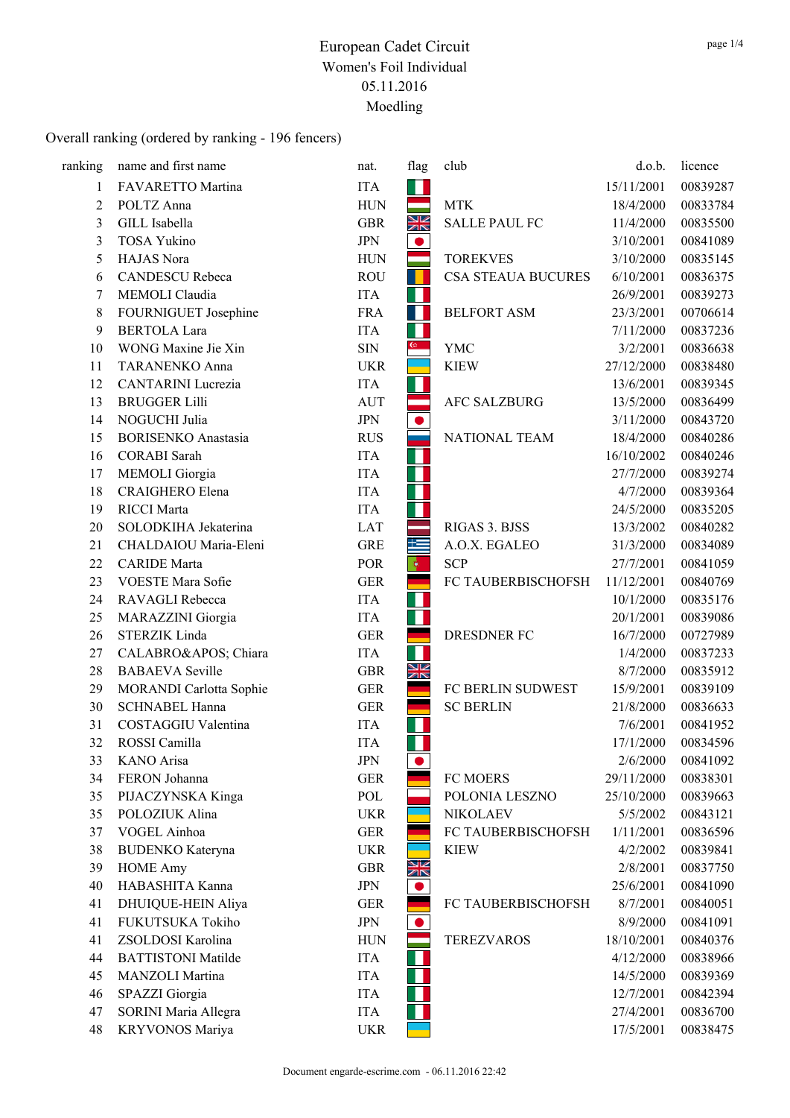| ranking        | name and first name        | nat.       | flag           | club                      | d.o.b.     | licence  |
|----------------|----------------------------|------------|----------------|---------------------------|------------|----------|
| 1              | FAVARETTO Martina          | <b>ITA</b> | Ш              |                           | 15/11/2001 | 00839287 |
| $\overline{c}$ | POLTZ Anna                 | <b>HUN</b> |                | <b>MTK</b>                | 18/4/2000  | 00833784 |
| 3              | GILL Isabella              | <b>GBR</b> | NK<br>NK       | <b>SALLE PAUL FC</b>      | 11/4/2000  | 00835500 |
| 3              | <b>TOSA Yukino</b>         | <b>JPN</b> | $\bullet$      |                           | 3/10/2001  | 00841089 |
| 5              | HAJAS Nora                 | <b>HUN</b> |                | <b>TOREKVES</b>           | 3/10/2000  | 00835145 |
| 6              | <b>CANDESCU</b> Rebeca     | <b>ROU</b> |                | <b>CSA STEAUA BUCURES</b> | 6/10/2001  | 00836375 |
| 7              | MEMOLI Claudia             | <b>ITA</b> | M              |                           | 26/9/2001  | 00839273 |
| 8              | FOURNIGUET Josephine       | <b>FRA</b> | $\mathbb{R}^3$ | <b>BELFORT ASM</b>        | 23/3/2001  | 00706614 |
| 9              | <b>BERTOLA Lara</b>        | <b>ITA</b> | W              |                           | 7/11/2000  | 00837236 |
| 10             | WONG Maxine Jie Xin        | <b>SIN</b> | $\mathbb{G}^+$ | <b>YMC</b>                | 3/2/2001   | 00836638 |
| 11             | <b>TARANENKO Anna</b>      | <b>UKR</b> |                | <b>KIEW</b>               | 27/12/2000 | 00838480 |
| 12             | CANTARINI Lucrezia         | <b>ITA</b> | П              |                           | 13/6/2001  | 00839345 |
| 13             | <b>BRUGGER Lilli</b>       | <b>AUT</b> |                | <b>AFC SALZBURG</b>       | 13/5/2000  | 00836499 |
| 14             | NOGUCHI Julia              | <b>JPN</b> |                |                           | 3/11/2000  | 00843720 |
| 15             | <b>BORISENKO</b> Anastasia | <b>RUS</b> |                | NATIONAL TEAM             | 18/4/2000  | 00840286 |
| 16             | <b>CORABI</b> Sarah        | <b>ITA</b> | Ш              |                           | 16/10/2002 | 00840246 |
| 17             | <b>MEMOLI</b> Giorgia      | <b>ITA</b> | П              |                           | 27/7/2000  | 00839274 |
| 18             | <b>CRAIGHERO Elena</b>     | <b>ITA</b> |                |                           | 4/7/2000   | 00839364 |
| 19             | <b>RICCI</b> Marta         | <b>ITA</b> | M.             |                           | 24/5/2000  | 00835205 |
| 20             | SOLODKIHA Jekaterina       | <b>LAT</b> |                | RIGAS 3. BJSS             | 13/3/2002  | 00840282 |
| 21             | CHALDAIOU Maria-Eleni      | <b>GRE</b> | 隼              | A.O.X. EGALEO             | 31/3/2000  | 00834089 |
| 22             | <b>CARIDE</b> Marta        | POR        | Гф.            | <b>SCP</b>                | 27/7/2001  | 00841059 |
| 23             | VOESTE Mara Sofie          | <b>GER</b> |                | FC TAUBERBISCHOFSH        | 11/12/2001 | 00840769 |
| 24             | RAVAGLI Rebecca            | <b>ITA</b> | H              |                           | 10/1/2000  | 00835176 |
| 25             | MARAZZINI Giorgia          | <b>ITA</b> | П              |                           | 20/1/2001  | 00839086 |
| 26             | STERZIK Linda              | <b>GER</b> |                | <b>DRESDNER FC</b>        | 16/7/2000  | 00727989 |
| 27             | CALABRO' Chiara            | <b>ITA</b> | H              |                           | 1/4/2000   | 00837233 |
| 28             | <b>BABAEVA</b> Seville     | <b>GBR</b> | XK             |                           | 8/7/2000   | 00835912 |
| 29             | MORANDI Carlotta Sophie    | <b>GER</b> |                | FC BERLIN SUDWEST         | 15/9/2001  | 00839109 |
| 30             | <b>SCHNABEL Hanna</b>      | <b>GER</b> |                | <b>SC BERLIN</b>          | 21/8/2000  | 00836633 |
| 31             | COSTAGGIU Valentina        | <b>ITA</b> | H.             |                           | 7/6/2001   | 00841952 |
| 32             | ROSSI Camilla              | <b>ITA</b> | ш              |                           | 17/1/2000  | 00834596 |
| 33             | KANO Arisa                 | <b>JPN</b> | $\bullet$      |                           | 2/6/2000   | 00841092 |
| 34             | FERON Johanna              | <b>GER</b> |                | FC MOERS                  | 29/11/2000 | 00838301 |
| 35             | PIJACZYNSKA Kinga          | POL        |                | POLONIA LESZNO            | 25/10/2000 | 00839663 |
| 35             | POLOZIUK Alina             | <b>UKR</b> |                | <b>NIKOLAEV</b>           | 5/5/2002   | 00843121 |
| 37             | VOGEL Ainhoa               | <b>GER</b> |                | FC TAUBERBISCHOFSH        | 1/11/2001  | 00836596 |
| 38             | <b>BUDENKO</b> Kateryna    | <b>UKR</b> |                | <b>KIEW</b>               | 4/2/2002   | 00839841 |
| 39             | <b>HOME Amy</b>            | <b>GBR</b> | NK<br>NK       |                           | 2/8/2001   | 00837750 |
| 40             | HABASHITA Kanna            | <b>JPN</b> | $\bullet$      |                           | 25/6/2001  | 00841090 |
| 41             | DHUIQUE-HEIN Aliya         | <b>GER</b> |                | FC TAUBERBISCHOFSH        | 8/7/2001   | 00840051 |
| 41             | FUKUTSUKA Tokiho           | <b>JPN</b> |                |                           | 8/9/2000   | 00841091 |
| 41             | ZSOLDOSI Karolina          | <b>HUN</b> |                | <b>TEREZVAROS</b>         | 18/10/2001 | 00840376 |
| 44             | <b>BATTISTONI Matilde</b>  | <b>ITA</b> | ш              |                           | 4/12/2000  | 00838966 |
| 45             | MANZOLI Martina            | <b>ITA</b> | П              |                           | 14/5/2000  | 00839369 |
| 46             | SPAZZI Giorgia             | <b>ITA</b> |                |                           | 12/7/2001  | 00842394 |
| 47             | SORINI Maria Allegra       | <b>ITA</b> |                |                           | 27/4/2001  | 00836700 |
| 48             | KRYVONOS Mariya            | <b>UKR</b> |                |                           | 17/5/2001  | 00838475 |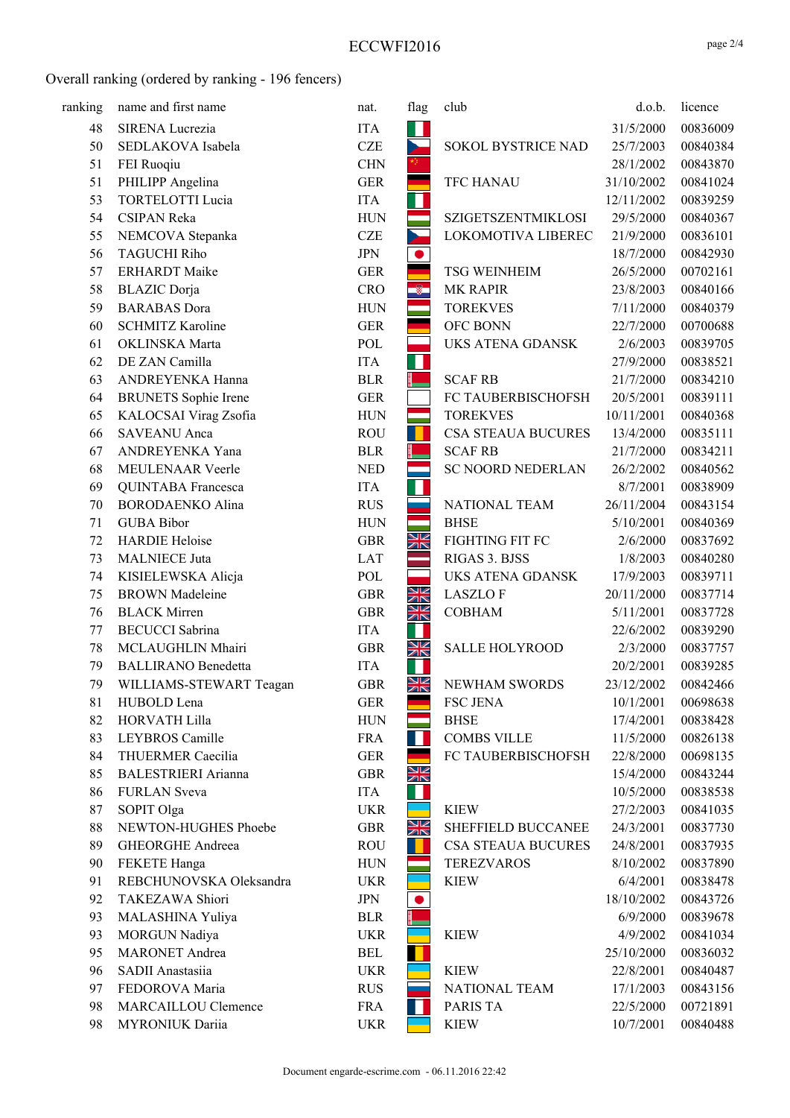| ranking | name and first name         | nat.       | flag         | club                      | d.o.b.     | licence  |
|---------|-----------------------------|------------|--------------|---------------------------|------------|----------|
| 48      | SIRENA Lucrezia             | <b>ITA</b> | ш            |                           | 31/5/2000  | 00836009 |
| 50      | SEDLAKOVA Isabela           | <b>CZE</b> | b.           | SOKOL BYSTRICE NAD        | 25/7/2003  | 00840384 |
| 51      | FEI Ruoqiu                  | <b>CHN</b> |              |                           | 28/1/2002  | 00843870 |
| 51      | PHILIPP Angelina            | <b>GER</b> |              | <b>TFC HANAU</b>          | 31/10/2002 | 00841024 |
| 53      | <b>TORTELOTTI Lucia</b>     | <b>ITA</b> | Ш            |                           | 12/11/2002 | 00839259 |
| 54      | <b>CSIPAN Reka</b>          | <b>HUN</b> | ═            | SZIGETSZENTMIKLOSI        | 29/5/2000  | 00840367 |
| 55      | NEMCOVA Stepanka            | <b>CZE</b> | $\mathbf{r}$ | LOKOMOTIVA LIBEREC        | 21/9/2000  | 00836101 |
| 56      | <b>TAGUCHI Riho</b>         | <b>JPN</b> | $\bullet$    |                           | 18/7/2000  | 00842930 |
| 57      | <b>ERHARDT</b> Maike        | <b>GER</b> |              | <b>TSG WEINHEIM</b>       | 26/5/2000  | 00702161 |
| 58      | <b>BLAZIC</b> Dorja         | <b>CRO</b> | ÷            | <b>MK RAPIR</b>           | 23/8/2003  | 00840166 |
| 59      | <b>BARABAS</b> Dora         | <b>HUN</b> |              | <b>TOREKVES</b>           | 7/11/2000  | 00840379 |
| 60      | <b>SCHMITZ Karoline</b>     | <b>GER</b> |              | OFC BONN                  | 22/7/2000  | 00700688 |
| 61      | OKLINSKA Marta              | POL        |              | UKS ATENA GDANSK          | 2/6/2003   | 00839705 |
| 62      | DE ZAN Camilla              | <b>ITA</b> | ш            |                           | 27/9/2000  | 00838521 |
| 63      | ANDREYENKA Hanna            | <b>BLR</b> |              | <b>SCAF RB</b>            | 21/7/2000  | 00834210 |
| 64      | <b>BRUNETS</b> Sophie Irene | <b>GER</b> |              | FC TAUBERBISCHOFSH        | 20/5/2001  | 00839111 |
| 65      | KALOCSAI Virag Zsofia       | <b>HUN</b> |              | <b>TOREKVES</b>           | 10/11/2001 | 00840368 |
| 66      | <b>SAVEANU</b> Anca         | <b>ROU</b> |              | <b>CSA STEAUA BUCURES</b> | 13/4/2000  | 00835111 |
| 67      | ANDREYENKA Yana             | <b>BLR</b> |              | <b>SCAF RB</b>            | 21/7/2000  | 00834211 |
| 68      | MEULENAAR Veerle            | <b>NED</b> |              | <b>SC NOORD NEDERLAN</b>  | 26/2/2002  | 00840562 |
| 69      | QUINTABA Francesca          | <b>ITA</b> | ш            |                           | 8/7/2001   | 00838909 |
| 70      | <b>BORODAENKO Alina</b>     | <b>RUS</b> |              | NATIONAL TEAM             | 26/11/2004 | 00843154 |
| 71      | <b>GUBA Bibor</b>           | <b>HUN</b> |              | <b>BHSE</b>               | 5/10/2001  | 00840369 |
| 72      | <b>HARDIE Heloise</b>       | <b>GBR</b> | XK           | FIGHTING FIT FC           | 2/6/2000   | 00837692 |
| 73      | <b>MALNIECE Juta</b>        | <b>LAT</b> |              | RIGAS 3. BJSS             | 1/8/2003   | 00840280 |
| 74      | KISIELEWSKA Alicja          | POL        |              | <b>UKS ATENA GDANSK</b>   | 17/9/2003  | 00839711 |
| 75      | <b>BROWN</b> Madeleine      | <b>GBR</b> | XK           | <b>LASZLOF</b>            | 20/11/2000 | 00837714 |
| 76      | <b>BLACK</b> Mirren         | <b>GBR</b> | NK<br>NK     | <b>COBHAM</b>             | 5/11/2001  | 00837728 |
| 77      | <b>BECUCCI</b> Sabrina      | <b>ITA</b> | ш            |                           | 22/6/2002  | 00839290 |
| 78      | MCLAUGHLIN Mhairi           | <b>GBR</b> | XK           | <b>SALLE HOLYROOD</b>     | 2/3/2000   | 00837757 |
| 79      | <b>BALLIRANO</b> Benedetta  | <b>ITA</b> | ш            |                           | 20/2/2001  | 00839285 |
| 79      | WILLIAMS-STEWART Teagan     | <b>GBR</b> | NK<br>7K     | NEWHAM SWORDS             | 23/12/2002 | 00842466 |
| 81      | HUBOLD Lena                 | <b>GER</b> |              | <b>FSC JENA</b>           | 10/1/2001  | 00698638 |
| 82      | <b>HORVATH Lilla</b>        | <b>HUN</b> |              | <b>BHSE</b>               | 17/4/2001  | 00838428 |
| 83      | LEYBROS Camille             | <b>FRA</b> | ш            | <b>COMBS VILLE</b>        | 11/5/2000  | 00826138 |
| 84      | THUERMER Caecilia           | <b>GER</b> |              | FC TAUBERBISCHOFSH        | 22/8/2000  | 00698135 |
| 85      | <b>BALESTRIERI</b> Arianna  | <b>GBR</b> | XK           |                           | 15/4/2000  | 00843244 |
| 86      | <b>FURLAN</b> Sveva         | <b>ITA</b> | ш            |                           | 10/5/2000  | 00838538 |
| 87      | SOPIT Olga                  | <b>UKR</b> |              | <b>KIEW</b>               | 27/2/2003  | 00841035 |
| 88      | NEWTON-HUGHES Phoebe        | <b>GBR</b> | NK<br>NK     | SHEFFIELD BUCCANEE        | 24/3/2001  | 00837730 |
| 89      | <b>GHEORGHE Andreea</b>     | <b>ROU</b> |              | <b>CSA STEAUA BUCURES</b> | 24/8/2001  | 00837935 |
| 90      | FEKETE Hanga                | <b>HUN</b> |              | <b>TEREZVAROS</b>         | 8/10/2002  | 00837890 |
| 91      | REBCHUNOVSKA Oleksandra     | <b>UKR</b> |              | <b>KIEW</b>               | 6/4/2001   | 00838478 |
| 92      | TAKEZAWA Shiori             | <b>JPN</b> |              |                           | 18/10/2002 | 00843726 |
| 93      | MALASHINA Yuliya            | <b>BLR</b> |              |                           | 6/9/2000   | 00839678 |
| 93      | MORGUN Nadiya               | <b>UKR</b> |              | <b>KIEW</b>               | 4/9/2002   | 00841034 |
| 95      | <b>MARONET</b> Andrea       | <b>BEL</b> | ш            |                           | 25/10/2000 | 00836032 |
| 96      | SADII Anastasiia            | <b>UKR</b> |              | <b>KIEW</b>               | 22/8/2001  | 00840487 |
| 97      | FEDOROVA Maria              | <b>RUS</b> |              | NATIONAL TEAM             | 17/1/2003  | 00843156 |
| 98      | MARCAILLOU Clemence         | <b>FRA</b> | ш            | <b>PARIS TA</b>           | 22/5/2000  | 00721891 |
| 98      | MYRONIUK Dariia             | <b>UKR</b> |              | <b>KIEW</b>               | 10/7/2001  | 00840488 |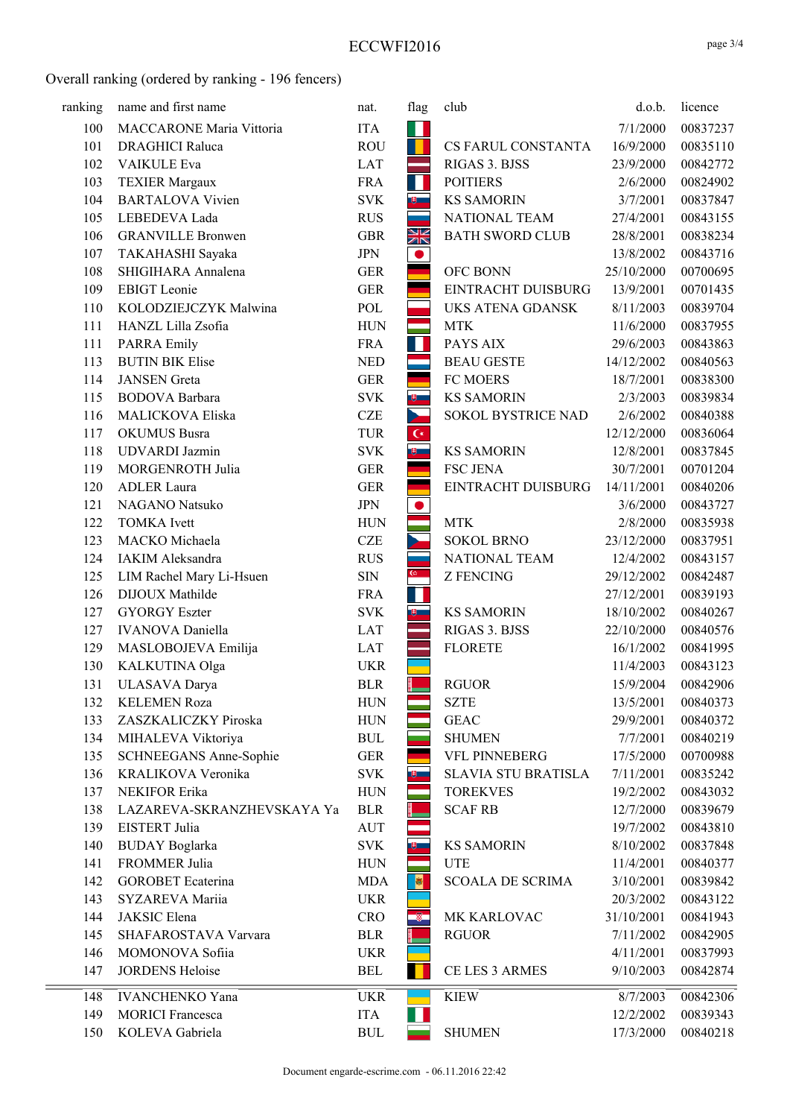| ranking | name and first name        | nat.         | flag                    | club                       | d.o.b.     | licence  |
|---------|----------------------------|--------------|-------------------------|----------------------------|------------|----------|
| 100     | MACCARONE Maria Vittoria   | <b>ITA</b>   | ш                       |                            | 7/1/2000   | 00837237 |
| 101     | <b>DRAGHICI Raluca</b>     | <b>ROU</b>   | H.                      | CS FARUL CONSTANTA         | 16/9/2000  | 00835110 |
| 102     | VAIKULE Eva                | <b>LAT</b>   |                         | RIGAS 3. BJSS              | 23/9/2000  | 00842772 |
| 103     | <b>TEXIER Margaux</b>      | <b>FRA</b>   | ш                       | <b>POITIERS</b>            | 2/6/2000   | 00824902 |
| 104     | <b>BARTALOVA Vivien</b>    | <b>SVK</b>   | $\overline{\mathbf{v}}$ | <b>KS SAMORIN</b>          | 3/7/2001   | 00837847 |
| 105     | LEBEDEVA Lada              | <b>RUS</b>   |                         | NATIONAL TEAM              | 27/4/2001  | 00843155 |
| 106     | <b>GRANVILLE Bronwen</b>   | <b>GBR</b>   | NK<br>AK                | <b>BATH SWORD CLUB</b>     | 28/8/2001  | 00838234 |
| 107     | TAKAHASHI Sayaka           | <b>JPN</b>   | $\bullet$               |                            | 13/8/2002  | 00843716 |
| 108     | SHIGIHARA Annalena         | <b>GER</b>   |                         | OFC BONN                   | 25/10/2000 | 00700695 |
| 109     | <b>EBIGT</b> Leonie        | <b>GER</b>   |                         | EINTRACHT DUISBURG         | 13/9/2001  | 00701435 |
| 110     | KOLODZIEJCZYK Malwina      | POL          |                         | UKS ATENA GDANSK           | 8/11/2003  | 00839704 |
| 111     | HANZL Lilla Zsofia         | <b>HUN</b>   |                         | <b>MTK</b>                 | 11/6/2000  | 00837955 |
| 111     | <b>PARRA Emily</b>         | <b>FRA</b>   | ш                       | PAYS AIX                   | 29/6/2003  | 00843863 |
| 113     | <b>BUTIN BIK Elise</b>     | <b>NED</b>   |                         | <b>BEAU GESTE</b>          | 14/12/2002 | 00840563 |
| 114     | <b>JANSEN</b> Greta        | <b>GER</b>   |                         | <b>FC MOERS</b>            | 18/7/2001  | 00838300 |
| 115     | <b>BODOVA</b> Barbara      | <b>SVK</b>   | 电二                      | <b>KS SAMORIN</b>          | 2/3/2003   | 00839834 |
| 116     | MALICKOVA Eliska           | <b>CZE</b>   | b.                      | SOKOL BYSTRICE NAD         | 2/6/2002   | 00840388 |
| 117     | <b>OKUMUS</b> Busra        | <b>TUR</b>   | $\mathsf{C}^*$          |                            | 12/12/2000 | 00836064 |
| 118     | <b>UDVARDI</b> Jazmin      | <b>SVK</b>   | $\overline{\mathbf{e}}$ | <b>KS SAMORIN</b>          | 12/8/2001  | 00837845 |
| 119     | MORGENROTH Julia           | <b>GER</b>   |                         | <b>FSC JENA</b>            | 30/7/2001  | 00701204 |
| 120     | <b>ADLER</b> Laura         | <b>GER</b>   |                         | EINTRACHT DUISBURG         | 14/11/2001 | 00840206 |
| 121     | NAGANO Natsuko             | $\mbox{JPN}$ | $\bullet$               |                            | 3/6/2000   | 00843727 |
| 122     | <b>TOMKA</b> Ivett         | <b>HUN</b>   |                         | <b>MTK</b>                 | 2/8/2000   | 00835938 |
| 123     | MACKO Michaela             | <b>CZE</b>   |                         | <b>SOKOL BRNO</b>          | 23/12/2000 | 00837951 |
| 124     | IAKIM Aleksandra           | <b>RUS</b>   |                         | NATIONAL TEAM              | 12/4/2002  | 00843157 |
| 125     | LIM Rachel Mary Li-Hsuen   | $\rm SIN$    | $\omega_{\parallel}$    | <b>Z FENCING</b>           | 29/12/2002 | 00842487 |
| 126     | DIJOUX Mathilde            | <b>FRA</b>   | ×.                      |                            | 27/12/2001 | 00839193 |
| 127     | <b>GYORGY Eszter</b>       | <b>SVK</b>   | $\theta$                | <b>KS SAMORIN</b>          | 18/10/2002 | 00840267 |
| 127     | <b>IVANOVA</b> Daniella    | <b>LAT</b>   |                         | RIGAS 3. BJSS              | 22/10/2000 | 00840576 |
| 129     | MASLOBOJEVA Emilija        | LAT          |                         | <b>FLORETE</b>             | 16/1/2002  | 00841995 |
| 130     | KALKUTINA Olga             | <b>UKR</b>   |                         |                            | 11/4/2003  | 00843123 |
| 131     | ULASAVA Darya              | <b>BLR</b>   |                         | <b>RGUOR</b>               | 15/9/2004  | 00842906 |
| 132     | <b>KELEMEN Roza</b>        | <b>HUN</b>   |                         | <b>SZTE</b>                | 13/5/2001  | 00840373 |
| 133     | ZASZKALICZKY Piroska       | <b>HUN</b>   |                         | <b>GEAC</b>                | 29/9/2001  | 00840372 |
| 134     | MIHALEVA Viktoriya         | <b>BUL</b>   |                         | <b>SHUMEN</b>              | 7/7/2001   | 00840219 |
| 135     | SCHNEEGANS Anne-Sophie     | <b>GER</b>   |                         | VFL PINNEBERG              | 17/5/2000  | 00700988 |
| 136     | KRALIKOVA Veronika         | <b>SVK</b>   | ய                       | <b>SLAVIA STU BRATISLA</b> | 7/11/2001  | 00835242 |
| 137     | NEKIFOR Erika              | <b>HUN</b>   |                         | <b>TOREKVES</b>            | 19/2/2002  | 00843032 |
| 138     | LAZAREVA-SKRANZHEVSKAYA Ya | <b>BLR</b>   |                         | <b>SCAF RB</b>             | 12/7/2000  | 00839679 |
| 139     | EISTERT Julia              | <b>AUT</b>   |                         |                            | 19/7/2002  | 00843810 |
| 140     | <b>BUDAY</b> Boglarka      | <b>SVK</b>   | $\theta$                | <b>KS SAMORIN</b>          | 8/10/2002  | 00837848 |
| 141     | FROMMER Julia              | <b>HUN</b>   |                         | <b>UTE</b>                 | 11/4/2001  | 00840377 |
| 142     | <b>GOROBET</b> Ecaterina   | <b>MDA</b>   | $\bullet$               | <b>SCOALA DE SCRIMA</b>    | 3/10/2001  | 00839842 |
| 143     | SYZAREVA Mariia            | <b>UKR</b>   |                         |                            | 20/3/2002  | 00843122 |
| 144     | JAKSIC Elena               | CRO          | ÷                       | MK KARLOVAC                | 31/10/2001 | 00841943 |
| 145     | SHAFAROSTAVA Varvara       | <b>BLR</b>   |                         | <b>RGUOR</b>               | 7/11/2002  | 00842905 |
| 146     | MOMONOVA Sofiia            | <b>UKR</b>   |                         |                            | 4/11/2001  | 00837993 |
| 147     | <b>JORDENS Heloise</b>     | <b>BEL</b>   |                         | CE LES 3 ARMES             | 9/10/2003  | 00842874 |
| 148     | <b>IVANCHENKO Yana</b>     | <b>UKR</b>   |                         | <b>KIEW</b>                | 8/7/2003   | 00842306 |
| 149     | <b>MORICI</b> Francesca    | <b>ITA</b>   |                         |                            | 12/2/2002  | 00839343 |
| 150     | KOLEVA Gabriela            | <b>BUL</b>   |                         | <b>SHUMEN</b>              | 17/3/2000  | 00840218 |
|         |                            |              |                         |                            |            |          |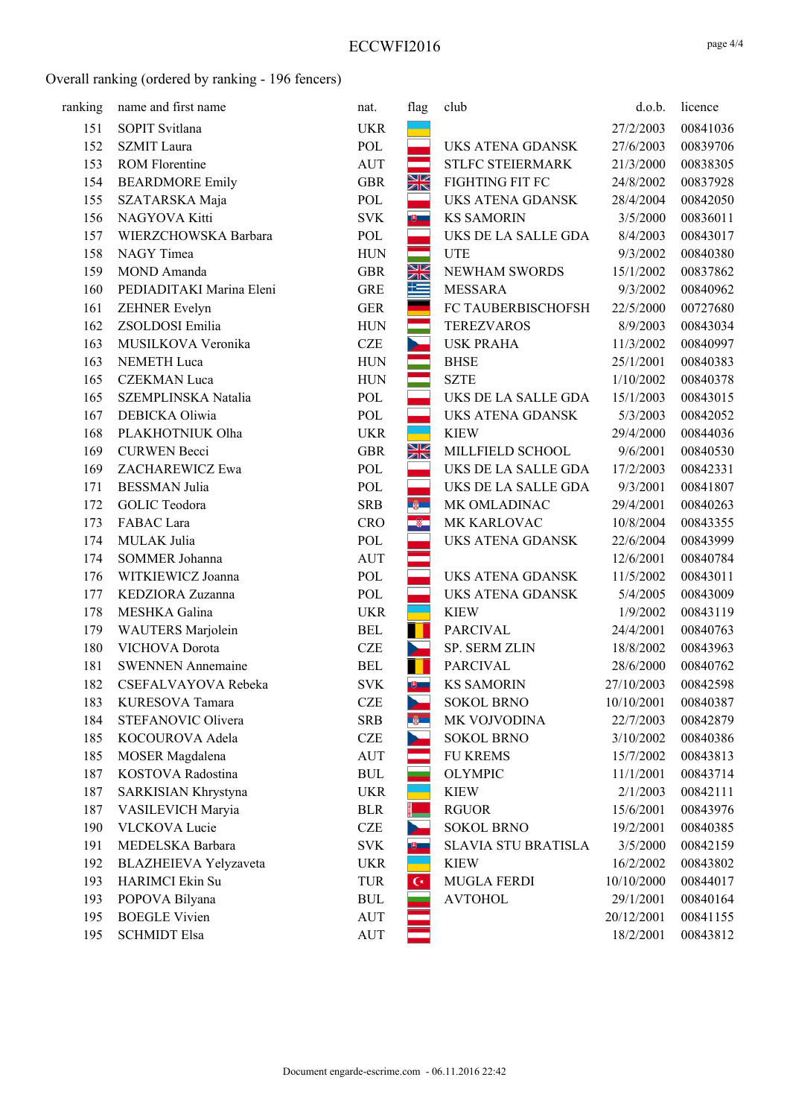| ranking | name and first name      | nat.       | flag                    | club                       | d.o.b.     | licence  |
|---------|--------------------------|------------|-------------------------|----------------------------|------------|----------|
| 151     | SOPIT Svitlana           | <b>UKR</b> |                         |                            | 27/2/2003  | 00841036 |
| 152     | <b>SZMIT</b> Laura       | POL        |                         | <b>UKS ATENA GDANSK</b>    | 27/6/2003  | 00839706 |
| 153     | <b>ROM Florentine</b>    | AUT        |                         | STLFC STEIERMARK           | 21/3/2000  | 00838305 |
| 154     | <b>BEARDMORE Emily</b>   | <b>GBR</b> | XK                      | FIGHTING FIT FC            | 24/8/2002  | 00837928 |
| 155     | SZATARSKA Maja           | POL        |                         | <b>UKS ATENA GDANSK</b>    | 28/4/2004  | 00842050 |
| 156     | NAGYOVA Kitti            | <b>SVK</b> | $\overline{\mathbf{e}}$ | <b>KS SAMORIN</b>          | 3/5/2000   | 00836011 |
| 157     | WIERZCHOWSKA Barbara     | POL        |                         | UKS DE LA SALLE GDA        | 8/4/2003   | 00843017 |
| 158     | NAGY Timea               | <b>HUN</b> |                         | <b>UTE</b>                 | 9/3/2002   | 00840380 |
| 159     | MOND Amanda              | <b>GBR</b> | NK<br>AK                | NEWHAM SWORDS              | 15/1/2002  | 00837862 |
| 160     | PEDIADITAKI Marina Eleni | <b>GRE</b> | 一                       | <b>MESSARA</b>             | 9/3/2002   | 00840962 |
| 161     | ZEHNER Evelyn            | <b>GER</b> |                         | FC TAUBERBISCHOFSH         | 22/5/2000  | 00727680 |
| 162     | ZSOLDOSI Emilia          | <b>HUN</b> |                         | <b>TEREZVAROS</b>          | 8/9/2003   | 00843034 |
| 163     | MUSILKOVA Veronika       | <b>CZE</b> | $\sim$                  | <b>USK PRAHA</b>           | 11/3/2002  | 00840997 |
| 163     | NEMETH Luca              | <b>HUN</b> |                         | <b>BHSE</b>                | 25/1/2001  | 00840383 |
| 165     | <b>CZEKMAN</b> Luca      | <b>HUN</b> |                         | <b>SZTE</b>                | 1/10/2002  | 00840378 |
| 165     | SZEMPLINSKA Natalia      | POL        |                         | UKS DE LA SALLE GDA        | 15/1/2003  | 00843015 |
| 167     | DEBICKA Oliwia           | POL        |                         | UKS ATENA GDANSK           | 5/3/2003   | 00842052 |
| 168     | PLAKHOTNIUK Olha         | <b>UKR</b> |                         | <b>KIEW</b>                | 29/4/2000  | 00844036 |
| 169     | <b>CURWEN</b> Becci      | <b>GBR</b> | NK<br>AK                | MILLFIELD SCHOOL           | 9/6/2001   | 00840530 |
| 169     | ZACHAREWICZ Ewa          | POL        |                         | UKS DE LA SALLE GDA        | 17/2/2003  | 00842331 |
| 171     | <b>BESSMAN</b> Julia     | POL        |                         | UKS DE LA SALLE GDA        | 9/3/2001   | 00841807 |
| 172     | GOLIC Teodora            | <b>SRB</b> | $-8$                    | MK OMLADINAC               | 29/4/2001  | 00840263 |
| 173     | FABAC Lara               | <b>CRO</b> | $\bullet$               | MK KARLOVAC                | 10/8/2004  | 00843355 |
| 174     | MULAK Julia              | POL        |                         | UKS ATENA GDANSK           | 22/6/2004  | 00843999 |
| 174     | SOMMER Johanna           | <b>AUT</b> |                         |                            | 12/6/2001  | 00840784 |
| 176     | WITKIEWICZ Joanna        | POL        |                         | UKS ATENA GDANSK           | 11/5/2002  | 00843011 |
| 177     | KEDZIORA Zuzanna         | POL        |                         | UKS ATENA GDANSK           | 5/4/2005   | 00843009 |
| 178     | MESHKA Galina            | <b>UKR</b> |                         | <b>KIEW</b>                | 1/9/2002   | 00843119 |
| 179     | WAUTERS Marjolein        | <b>BEL</b> |                         | <b>PARCIVAL</b>            | 24/4/2001  | 00840763 |
| 180     | VICHOVA Dorota           | <b>CZE</b> | $\mathbf{r}$            | SP. SERM ZLIN              | 18/8/2002  | 00843963 |
| 181     | <b>SWENNEN Annemaine</b> | <b>BEL</b> |                         | <b>PARCIVAL</b>            | 28/6/2000  | 00840762 |
| 182     | CSEFALVAYOVA Rebeka      | <b>SVK</b> | $\overline{\mathbf{e}}$ | <b>KS SAMORIN</b>          | 27/10/2003 | 00842598 |
| 183     | KURESOVA Tamara          | <b>CZE</b> | 25                      | <b>SOKOL BRNO</b>          | 10/10/2001 | 00840387 |
| 184     | STEFANOVIC Olivera       | <b>SRB</b> | ng m                    | MK VOJVODINA               | 22/7/2003  | 00842879 |
| 185     | KOCOUROVA Adela          | <b>CZE</b> |                         | <b>SOKOL BRNO</b>          | 3/10/2002  | 00840386 |
| 185     | MOSER Magdalena          | <b>AUT</b> |                         | <b>FU KREMS</b>            | 15/7/2002  | 00843813 |
| 187     | KOSTOVA Radostina        | <b>BUL</b> |                         | <b>OLYMPIC</b>             | 11/1/2001  | 00843714 |
| 187     | SARKISIAN Khrystyna      | <b>UKR</b> |                         | <b>KIEW</b>                | 2/1/2003   | 00842111 |
| 187     | VASILEVICH Maryia        | <b>BLR</b> |                         | <b>RGUOR</b>               | 15/6/2001  | 00843976 |
| 190     | <b>VLCKOVA Lucie</b>     | CZE        |                         | <b>SOKOL BRNO</b>          | 19/2/2001  | 00840385 |
| 191     | MEDELSKA Barbara         | <b>SVK</b> | $\mathbf{e}$            | <b>SLAVIA STU BRATISLA</b> | 3/5/2000   | 00842159 |
| 192     | BLAZHEIEVA Yelyzaveta    | <b>UKR</b> |                         | <b>KIEW</b>                | 16/2/2002  | 00843802 |
| 193     | HARIMCI Ekin Su          | TUR        | $\mathsf{C}^*$          | <b>MUGLA FERDI</b>         | 10/10/2000 | 00844017 |
| 193     | POPOVA Bilyana           | <b>BUL</b> |                         | <b>AVTOHOL</b>             | 29/1/2001  | 00840164 |
| 195     | <b>BOEGLE Vivien</b>     | AUT        |                         |                            | 20/12/2001 | 00841155 |
| 195     | <b>SCHMIDT Elsa</b>      | AUT        |                         |                            | 18/2/2001  | 00843812 |